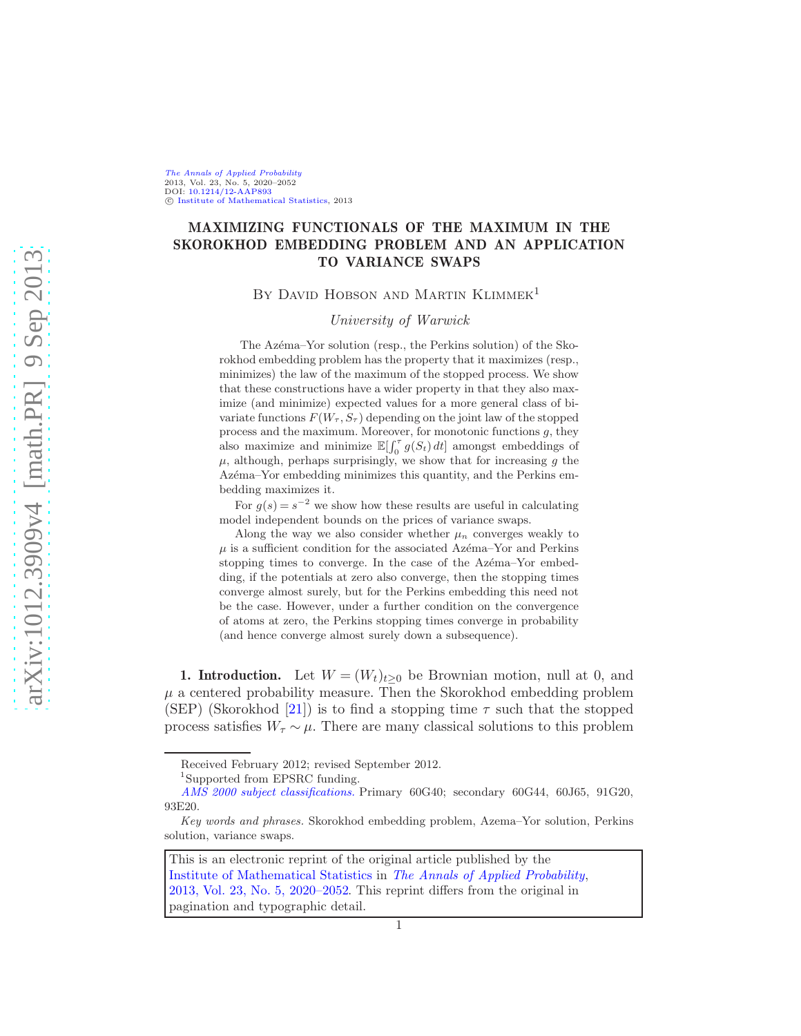[The Annals of Applied Probability](http://www.imstat.org/aap/) 2013, Vol. 23, No. 5, 2020–2052 DOI: [10.1214/12-AAP893](http://dx.doi.org/10.1214/12-AAP893) C [Institute of Mathematical Statistics,](http://www.imstat.org) 2013

# MAXIMIZING FUNCTIONALS OF THE MAXIMUM IN THE SKOROKHOD EMBEDDING PROBLEM AND AN APPLICATION TO VARIANCE SWAPS

BY DAVID HOBSON AND MARTIN KLIMMEK<sup>1</sup>

University of Warwick

The Azéma–Yor solution (resp., the Perkins solution) of the Skorokhod embedding problem has the property that it maximizes (resp., minimizes) the law of the maximum of the stopped process. We show that these constructions have a wider property in that they also maximize (and minimize) expected values for a more general class of bivariate functions  $F(W_\tau, S_\tau)$  depending on the joint law of the stopped process and the maximum. Moreover, for monotonic functions  $g$ , they also maximize and minimize  $\mathbb{E}[\int_0^{\tau} g(S_t) dt]$  amongst embeddings of  $\mu$ , although, perhaps surprisingly, we show that for increasing g the Azéma–Yor embedding minimizes this quantity, and the Perkins embedding maximizes it.

For  $g(s) = s^{-2}$  we show how these results are useful in calculating model independent bounds on the prices of variance swaps.

Along the way we also consider whether  $\mu_n$  converges weakly to  $\mu$  is a sufficient condition for the associated Azema–Yor and Perkins stopping times to converge. In the case of the Azema–Yor embedding, if the potentials at zero also converge, then the stopping times converge almost surely, but for the Perkins embedding this need not be the case. However, under a further condition on the convergence of atoms at zero, the Perkins stopping times converge in probability (and hence converge almost surely down a subsequence).

<span id="page-0-0"></span>1. Introduction. Let  $W = (W_t)_{t>0}$  be Brownian motion, null at 0, and  $\mu$  a centered probability measure. Then the Skorokhod embedding problem (SEP) (Skorokhod [\[21](#page-32-0)]) is to find a stopping time  $\tau$  such that the stopped process satisfies  $W_{\tau} \sim \mu$ . There are many classical solutions to this problem

This is an electronic reprint of the original article published by the [Institute of Mathematical Statistics](http://www.imstat.org) in [The Annals of Applied Probability](http://www.imstat.org/aap/), [2013, Vol. 23, No. 5, 2020–2052.](http://dx.doi.org/10.1214/12-AAP893) This reprint differs from the original in pagination and typographic detail.

Received February 2012; revised September 2012.

<sup>&</sup>lt;sup>1</sup>Supported from EPSRC funding.

*[AMS 2000 subject classifications.](http://www.ams.org/msc/)* Primary 60G40; secondary 60G44, 60J65, 91G20, 93E20.

*Key words and phrases.* Skorokhod embedding problem, Azema–Yor solution, Perkins solution, variance swaps.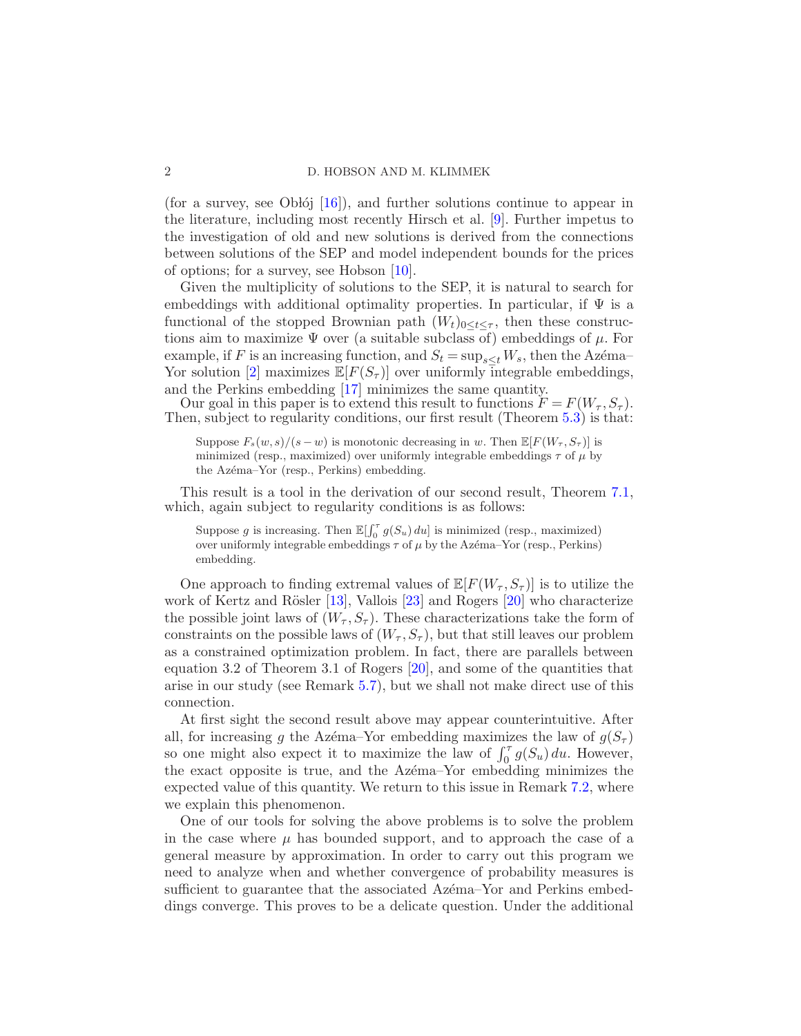(for a survey, see Oblój  $[16]$ ), and further solutions continue to appear in the literature, including most recently Hirsch et al. [\[9](#page-32-2)]. Further impetus to the investigation of old and new solutions is derived from the connections between solutions of the SEP and model independent bounds for the prices of options; for a survey, see Hobson [\[10](#page-32-3)].

Given the multiplicity of solutions to the SEP, it is natural to search for embeddings with additional optimality properties. In particular, if  $\Psi$  is a functional of the stopped Brownian path  $(W_t)_{0 \leq t \leq \tau}$ , then these constructions aim to maximize  $\Psi$  over (a suitable subclass of) embeddings of  $\mu$ . For example, if F is an increasing function, and  $S_t = \sup_{s \leq t} W_s$ , then the Azéma– Yor solution [\[2](#page-32-4)] maximizes  $\mathbb{E}[F(S_{\tau})]$  over uniformly integrable embeddings, and the Perkins embedding [\[17\]](#page-32-5) minimizes the same quantity.

Our goal in this paper is to extend this result to functions  $F = F(W_\tau, S_\tau)$ . Then, subject to regularity conditions, our first result (Theorem [5.3\)](#page-16-0) is that:

Suppose  $F_s(w, s)/(s - w)$  is monotonic decreasing in w. Then  $\mathbb{E}[F(W_\tau, S_\tau)]$  is minimized (resp., maximized) over uniformly integrable embeddings  $\tau$  of  $\mu$  by the Azéma–Yor (resp., Perkins) embedding.

This result is a tool in the derivation of our second result, Theorem [7.1,](#page-23-0) which, again subject to regularity conditions is as follows:

Suppose g is increasing. Then  $\mathbb{E}[\int_0^{\tau} g(S_u) du]$  is minimized (resp., maximized) over uniformly integrable embeddings  $\tau$  of  $\mu$  by the Azéma–Yor (resp., Perkins) embedding.

One approach to finding extremal values of  $\mathbb{E}[F(W_\tau, S_\tau)]$  is to utilize the work of Kertz and Rösler  $[13]$ , Vallois  $[23]$  and Rogers  $[20]$  who characterize the possible joint laws of  $(W_\tau, S_\tau)$ . These characterizations take the form of constraints on the possible laws of  $(W_\tau, S_\tau)$ , but that still leaves our problem as a constrained optimization problem. In fact, there are parallels between equation 3.2 of Theorem 3.1 of Rogers [\[20](#page-32-7)], and some of the quantities that arise in our study (see Remark [5.7\)](#page-17-0), but we shall not make direct use of this connection.

At first sight the second result above may appear counterintuitive. After all, for increasing g the Azema–Yor embedding maximizes the law of  $g(S_\tau)$ so one might also expect it to maximize the law of  $\int_0^{\tau} g(S_u) du$ . However, the exact opposite is true, and the Azema–Yor embedding minimizes the expected value of this quantity. We return to this issue in Remark [7.2,](#page-24-0) where we explain this phenomenon.

One of our tools for solving the above problems is to solve the problem in the case where  $\mu$  has bounded support, and to approach the case of a general measure by approximation. In order to carry out this program we need to analyze when and whether convergence of probability measures is sufficient to guarantee that the associated Azema–Yor and Perkins embeddings converge. This proves to be a delicate question. Under the additional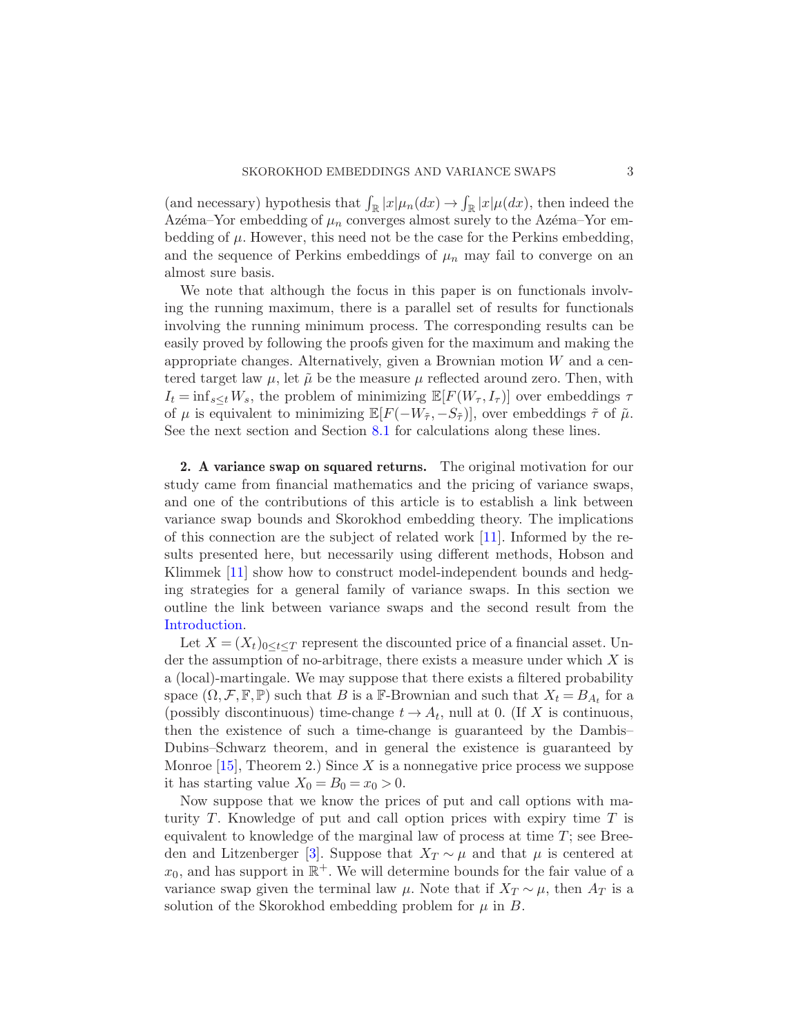(and necessary) hypothesis that  $\int_{\mathbb{R}} |x| \mu_n(dx) \to \int_{\mathbb{R}} |x| \mu(dx)$ , then indeed the Azema–Yor embedding of  $\mu_n$  converges almost surely to the Azema–Yor embedding of  $\mu$ . However, this need not be the case for the Perkins embedding, and the sequence of Perkins embeddings of  $\mu_n$  may fail to converge on an almost sure basis.

We note that although the focus in this paper is on functionals involving the running maximum, there is a parallel set of results for functionals involving the running minimum process. The corresponding results can be easily proved by following the proofs given for the maximum and making the appropriate changes. Alternatively, given a Brownian motion W and a centered target law  $\mu$ , let  $\tilde{\mu}$  be the measure  $\mu$  reflected around zero. Then, with  $I_t = \inf_{s \leq t} W_s$ , the problem of minimizing  $\mathbb{E}[F(W_\tau, I_\tau)]$  over embeddings  $\tau$ of  $\mu$  is equivalent to minimizing  $\mathbb{E}[F(-W_{\tilde{\tau}}, -S_{\tilde{\tau}})]$ , over embeddings  $\tilde{\tau}$  of  $\tilde{\mu}$ . See the next section and Section [8.1](#page-29-0) for calculations along these lines.

<span id="page-2-0"></span>2. A variance swap on squared returns. The original motivation for our study came from financial mathematics and the pricing of variance swaps, and one of the contributions of this article is to establish a link between variance swap bounds and Skorokhod embedding theory. The implications of this connection are the subject of related work [\[11](#page-32-8)]. Informed by the results presented here, but necessarily using different methods, Hobson and Klimmek [\[11\]](#page-32-8) show how to construct model-independent bounds and hedging strategies for a general family of variance swaps. In this section we outline the link between variance swaps and the second result from the [Introduction.](#page-0-0)

Let  $X = (X_t)_{0 \le t \le T}$  represent the discounted price of a financial asset. Under the assumption of no-arbitrage, there exists a measure under which  $X$  is a (local)-martingale. We may suppose that there exists a filtered probability space  $(\Omega, \mathcal{F}, \mathbb{F}, \mathbb{P})$  such that B is a F-Brownian and such that  $X_t = B_{A_t}$  for a (possibly discontinuous) time-change  $t \to A_t$ , null at 0. (If X is continuous, then the existence of such a time-change is guaranteed by the Dambis– Dubins–Schwarz theorem, and in general the existence is guaranteed by Monroe  $[15]$ , Theorem 2.) Since X is a nonnegative price process we suppose it has starting value  $X_0 = B_0 = x_0 > 0$ .

Now suppose that we know the prices of put and call options with maturity  $T$ . Knowledge of put and call option prices with expiry time  $T$  is equivalent to knowledge of the marginal law of process at time  $T$ ; see Bree-den and Litzenberger [\[3\]](#page-32-10). Suppose that  $X_T \sim \mu$  and that  $\mu$  is centered at  $x_0$ , and has support in  $\mathbb{R}^+$ . We will determine bounds for the fair value of a variance swap given the terminal law  $\mu$ . Note that if  $X_T \sim \mu$ , then  $A_T$  is a solution of the Skorokhod embedding problem for  $\mu$  in  $B$ .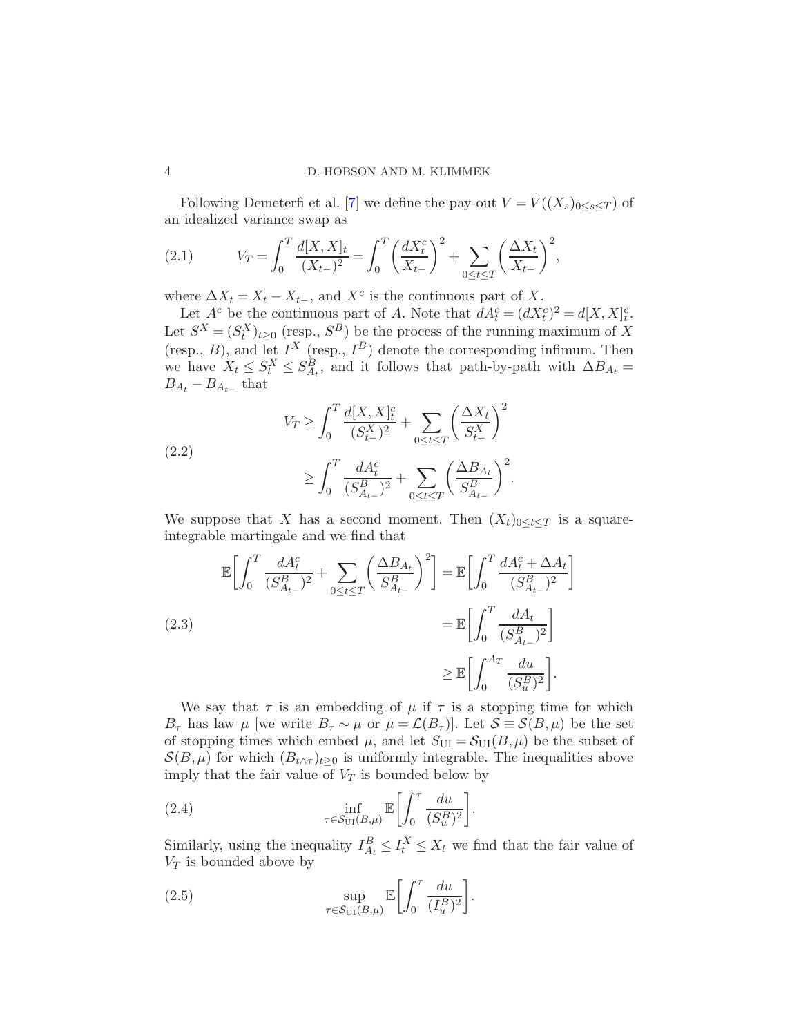Following Demeterfi et al. [\[7\]](#page-32-11) we define the pay-out  $V = V((X_s)_{0 \leq s \leq T})$  of an idealized variance swap as

<span id="page-3-0"></span>(2.1) 
$$
V_T = \int_0^T \frac{d[X,X]_t}{(X_{t-})^2} = \int_0^T \left(\frac{dX_t^c}{X_{t-}}\right)^2 + \sum_{0 \le t \le T} \left(\frac{\Delta X_t}{X_{t-}}\right)^2,
$$

where  $\Delta X_t = X_t - X_{t-}$ , and  $X^c$  is the continuous part of X.

Let  $A^c$  be the continuous part of A. Note that  $dA_t^c = (dX_t^c)^2 = d[X,X]_t^c$ . Let  $S^X = (S_t^X)_{t \geq 0}$  (resp.,  $S^B$ ) be the process of the running maximum of X (resp., B), and let  $I^X$  (resp.,  $I^B$ ) denote the corresponding infimum. Then we have  $X_t \leq S_t^X \leq S_{A_t}^B$ , and it follows that path-by-path with  $\Delta B_{A_t} =$  $B_{A_t} - B_{A_{t-}}$  that

(2.2)  

$$
V_T \ge \int_0^T \frac{d[X,X]_t^c}{(S_{t-}^X)^2} + \sum_{0 \le t \le T} \left(\frac{\Delta X_t}{S_{t-}^X}\right)^2
$$

$$
\ge \int_0^T \frac{dA_t^c}{(S_{A_{t-}}^B)^2} + \sum_{0 \le t \le T} \left(\frac{\Delta B_{A_t}}{S_{A_{t-}}^B}\right)^2.
$$

We suppose that X has a second moment. Then  $(X_t)_{0 \leq t \leq T}$  is a squareintegrable martingale and we find that

$$
\mathbb{E}\left[\int_0^T \frac{dA_t^c}{(S_{A_{t-}}^B)^2} + \sum_{0 \le t \le T} \left(\frac{\Delta B_{A_t}}{S_{A_{t-}}^B}\right)^2\right] = \mathbb{E}\left[\int_0^T \frac{dA_t^c + \Delta A_t}{(S_{A_{t-}}^B)^2}\right]
$$
\n
$$
= \mathbb{E}\left[\int_0^T \frac{dA_t}{(S_{A_{t-}}^B)^2}\right]
$$
\n
$$
\ge \mathbb{E}\left[\int_0^{A_T} \frac{du}{(S_u^B)^2}\right].
$$

We say that  $\tau$  is an embedding of  $\mu$  if  $\tau$  is a stopping time for which  $B_{\tau}$  has law  $\mu$  [we write  $B_{\tau} \sim \mu$  or  $\mu = \mathcal{L}(B_{\tau})$ ]. Let  $\mathcal{S} \equiv \mathcal{S}(B,\mu)$  be the set of stopping times which embed  $\mu$ , and let  $S_{\text{UI}} = S_{\text{UI}}(B, \mu)$  be the subset of  $\mathcal{S}(B,\mu)$  for which  $(B_{t\wedge\tau})_{t>0}$  is uniformly integrable. The inequalities above imply that the fair value of  $V_T$  is bounded below by

<span id="page-3-1"></span>(2.4) 
$$
\inf_{\tau \in \mathcal{S}_{\text{UI}}(B,\mu)} \mathbb{E}\bigg[\int_0^{\tau} \frac{du}{(S_u^B)^2}\bigg].
$$

Similarly, using the inequality  $I_{A_t}^B \leq I_t^X \leq X_t$  we find that the fair value of  $V_T$  is bounded above by

<span id="page-3-2"></span>(2.5) 
$$
\sup_{\tau \in \mathcal{S}_{\text{UI}}(B,\mu)} \mathbb{E}\bigg[\int_0^{\tau} \frac{du}{(I_u^B)^2}\bigg].
$$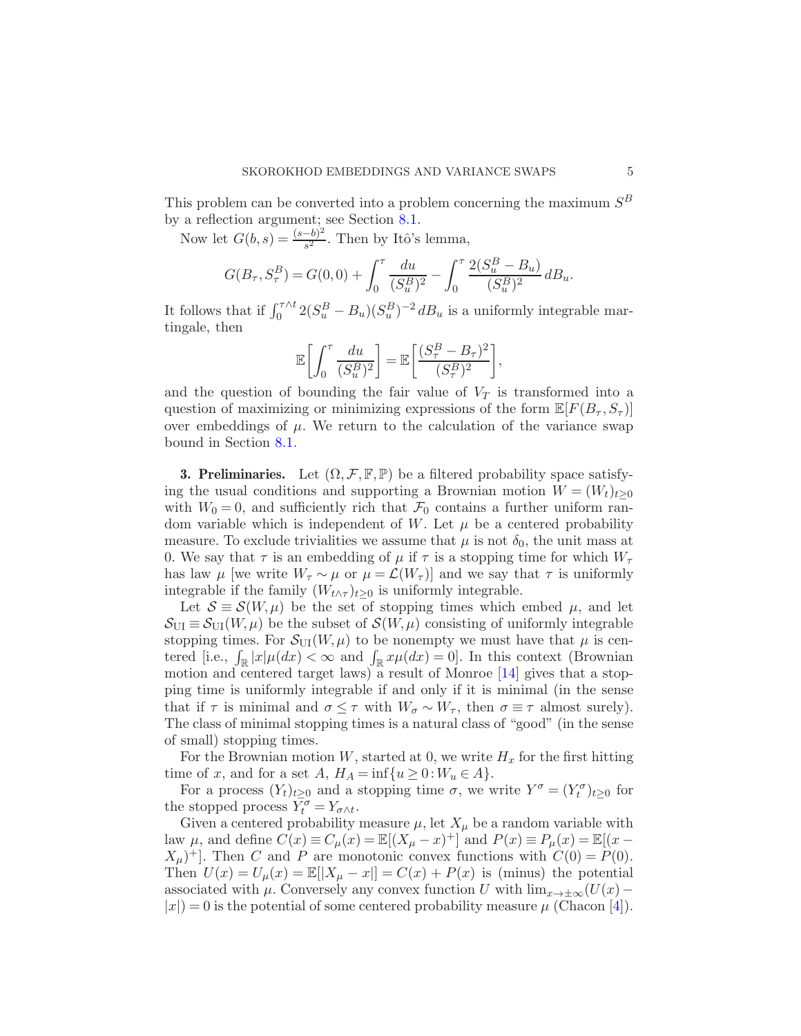This problem can be converted into a problem concerning the maximum  $S^B$ by a reflection argument; see Section [8.1.](#page-29-0)

Now let  $G(b, s) = \frac{(s-b)^2}{s^2}$  $\frac{(-b)^2}{s^2}$ . Then by Itô's lemma,

$$
G(B_{\tau}, S_{\tau}^{B}) = G(0, 0) + \int_0^{\tau} \frac{du}{(S_u^B)^2} - \int_0^{\tau} \frac{2(S_u^B - B_u)}{(S_u^B)^2} dB_u.
$$

It follows that if  $\int_0^{\tau \wedge t} 2(S_u^B - B_u)(S_u^B)^{-2} dB_u$  is a uniformly integrable martingale, then

$$
\mathbb{E}\bigg[\int_0^\tau \frac{du}{(S_u^B)^2}\bigg] = \mathbb{E}\bigg[\frac{(S_\tau^B - B_\tau)^2}{(S_\tau^B)^2}\bigg],
$$

and the question of bounding the fair value of  $V_T$  is transformed into a question of maximizing or minimizing expressions of the form  $\mathbb{E}[F(B_{\tau},S_{\tau})]$ over embeddings of  $\mu$ . We return to the calculation of the variance swap bound in Section [8.1.](#page-29-0)

**3. Preliminaries.** Let  $(\Omega, \mathcal{F}, \mathbb{F}, \mathbb{P})$  be a filtered probability space satisfying the usual conditions and supporting a Brownian motion  $W = (W_t)_{t\geq 0}$ with  $W_0 = 0$ , and sufficiently rich that  $\mathcal{F}_0$  contains a further uniform random variable which is independent of W. Let  $\mu$  be a centered probability measure. To exclude trivialities we assume that  $\mu$  is not  $\delta_0$ , the unit mass at 0. We say that  $\tau$  is an embedding of  $\mu$  if  $\tau$  is a stopping time for which  $W_{\tau}$ has law  $\mu$  [we write  $W_{\tau} \sim \mu$  or  $\mu = \mathcal{L}(W_{\tau})$ ] and we say that  $\tau$  is uniformly integrable if the family  $(W_{t \wedge \tau})_{t \geq 0}$  is uniformly integrable.

Let  $S \equiv \mathcal{S}(W, \mu)$  be the set of stopping times which embed  $\mu$ , and let  $\mathcal{S}_{\text{UI}} \equiv \mathcal{S}_{\text{UI}}(W,\mu)$  be the subset of  $\mathcal{S}(W,\mu)$  consisting of uniformly integrable stopping times. For  $\mathcal{S}_{\text{UI}}(W,\mu)$  to be nonempty we must have that  $\mu$  is centered [i.e.,  $\int_{\mathbb{R}} |x| \mu(dx) < \infty$  and  $\int_{\mathbb{R}} x \mu(dx) = 0$ ]. In this context (Brownian motion and centered target laws) a result of Monroe [\[14](#page-32-12)] gives that a stopping time is uniformly integrable if and only if it is minimal (in the sense that if  $\tau$  is minimal and  $\sigma \leq \tau$  with  $W_{\sigma} \sim W_{\tau}$ , then  $\sigma \equiv \tau$  almost surely). The class of minimal stopping times is a natural class of "good" (in the sense of small) stopping times.

For the Brownian motion W, started at 0, we write  $H_x$  for the first hitting time of x, and for a set  $A, H_A = \inf\{u \geq 0 : W_u \in A\}.$ 

For a process  $(Y_t)_{t\geq 0}$  and a stopping time  $\sigma$ , we write  $Y^{\sigma} = (Y_t^{\sigma})_{t\geq 0}$  for the stopped process  $\overline{Y_t^{\sigma}} = Y_{\sigma \wedge t}$ .

Given a centered probability measure  $\mu$ , let  $X_{\mu}$  be a random variable with law  $\mu$ , and define  $C(x) \equiv C_{\mu}(x) = \mathbb{E}[(X_{\mu} - x)^+]$  and  $P(x) \equiv P_{\mu}(x) = \mathbb{E}[(x - x)]$  $(X_{\mu})^+$ . Then C and P are monotonic convex functions with  $C(0) = P(0)$ . Then  $U(x) = U_{\mu}(x) = \mathbb{E}[|X_{\mu} - x|] = C(x) + P(x)$  is (minus) the potential associated with  $\mu$ . Conversely any convex function U with  $\lim_{x\to\pm\infty}(U(x) |x| = 0$  is the potential of some centered probability measure  $\mu$  (Chacon [\[4](#page-32-13)]).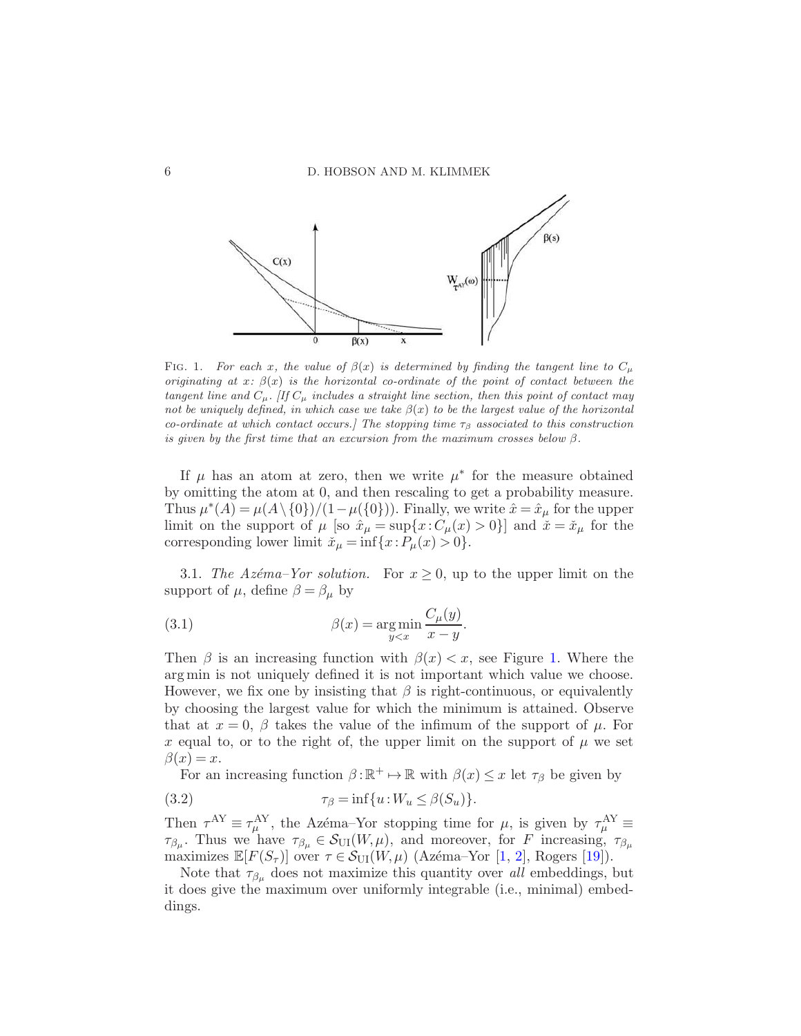

<span id="page-5-0"></span>FIG. 1. *For each* x, the value of  $\beta(x)$  is determined by finding the tangent line to  $C_{\mu}$ *originating at*  $x: \beta(x)$  *is the horizontal co-ordinate of the point of contact between the tangent line and*  $C_\mu$ *. [If*  $C_\mu$  *includes a straight line section, then this point of contact may not be uniquely defined, in which case we take* β(x) *to be the largest value of the horizontal co-ordinate at which contact occurs.] The stopping time*  $\tau_{\beta}$  *associated to this construction is given by the first time that an excursion from the maximum crosses below* β*.*

If  $\mu$  has an atom at zero, then we write  $\mu^*$  for the measure obtained by omitting the atom at 0, and then rescaling to get a probability measure. Thus  $\mu^*(A) = \mu(A \setminus \{0\})/(1-\mu(\{0\}))$ . Finally, we write  $\hat{x} = \hat{x}_\mu$  for the upper limit on the support of  $\mu$  [so  $\hat{x}_{\mu} = \sup\{x : C_{\mu}(x) > 0\}$ ] and  $\check{x} = \check{x}_{\mu}$  for the corresponding lower limit  $\check{x}_{\mu} = \inf\{x : P_{\mu}(x) > 0\}.$ 

3.1. The Azéma–Yor solution. For  $x \geq 0$ , up to the upper limit on the support of  $\mu$ , define  $\beta = \beta_{\mu}$  by

<span id="page-5-2"></span>(3.1) 
$$
\beta(x) = \underset{y
$$

Then  $\beta$  is an increasing function with  $\beta(x) < x$ , see Figure [1.](#page-5-0) Where the arg min is not uniquely defined it is not important which value we choose. However, we fix one by insisting that  $\beta$  is right-continuous, or equivalently by choosing the largest value for which the minimum is attained. Observe that at  $x = 0$ ,  $\beta$  takes the value of the infimum of the support of  $\mu$ . For x equal to, or to the right of, the upper limit on the support of  $\mu$  we set  $\beta(x) = x$ .

<span id="page-5-1"></span>For an increasing function  $\beta : \mathbb{R}^+ \mapsto \mathbb{R}$  with  $\beta(x) \leq x$  let  $\tau_\beta$  be given by

(3.2) 
$$
\tau_{\beta} = \inf \{ u : W_u \leq \beta(S_u) \}.
$$

Then  $\tau^{AY} \equiv \tau^{AY}_\mu$ , the Azéma–Yor stopping time for  $\mu$ , is given by  $\tau^{AY}_\mu \equiv$  $\tau_{\beta\mu}$ . Thus we have  $\tau_{\beta\mu} \in \mathcal{S}_{\text{UI}}(W,\mu)$ , and moreover, for F increasing,  $\tau_{\beta\mu}$ maximizes  $\mathbb{E}[F(S_{\tau})]$  over  $\tau \in \mathcal{S}_{\text{UI}}(W,\mu)$  (Azéma–Yor [\[1](#page-31-0), [2](#page-32-4)], Rogers [\[19](#page-32-14)]).

Note that  $\tau_{\beta_{\mu}}$  does not maximize this quantity over all embeddings, but it does give the maximum over uniformly integrable (i.e., minimal) embeddings.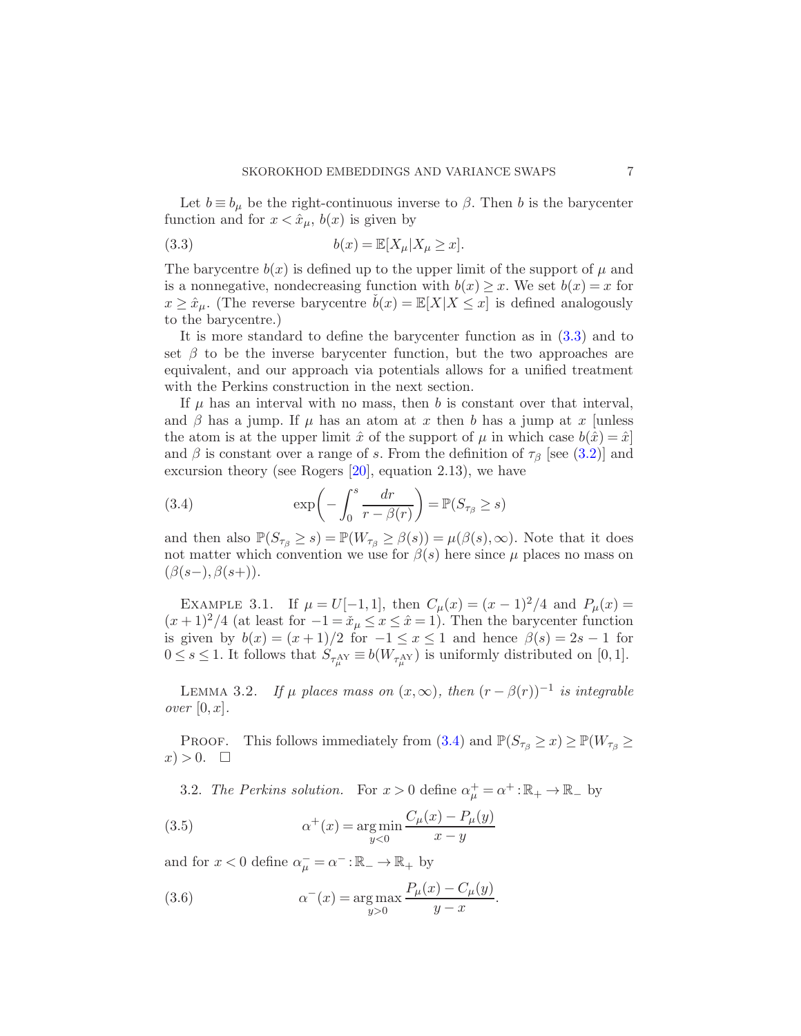Let  $b \equiv b_\mu$  be the right-continuous inverse to  $\beta$ . Then b is the barycenter function and for  $x < \hat{x}_\mu$ ,  $b(x)$  is given by

<span id="page-6-0"></span>(3.3) 
$$
b(x) = \mathbb{E}[X_{\mu}|X_{\mu} \ge x].
$$

The barycentre  $b(x)$  is defined up to the upper limit of the support of  $\mu$  and is a nonnegative, nondecreasing function with  $b(x) \geq x$ . We set  $b(x) = x$  for  $x \geq \hat{x}_\mu$ . (The reverse barycentre  $\dot{b}(x) = \mathbb{E}[X|X \leq x]$  is defined analogously to the barycentre.)

It is more standard to define the barycenter function as in [\(3.3\)](#page-6-0) and to set  $\beta$  to be the inverse barycenter function, but the two approaches are equivalent, and our approach via potentials allows for a unified treatment with the Perkins construction in the next section.

If  $\mu$  has an interval with no mass, then b is constant over that interval, and  $\beta$  has a jump. If  $\mu$  has an atom at x then b has a jump at x [unless the atom is at the upper limit  $\hat{x}$  of the support of  $\mu$  in which case  $b(\hat{x}) = \hat{x}$ and  $\beta$  is constant over a range of s. From the definition of  $\tau_{\beta}$  [see [\(3.2\)](#page-5-1)] and excursion theory (see Rogers [\[20](#page-32-7)], equation 2.13), we have

<span id="page-6-1"></span>(3.4) 
$$
\exp\left(-\int_0^s \frac{dr}{r - \beta(r)}\right) = \mathbb{P}(S_{\tau_\beta} \ge s)
$$

and then also  $\mathbb{P}(S_{\tau_{\beta}} \geq s) = \mathbb{P}(W_{\tau_{\beta}} \geq \beta(s)) = \mu(\beta(s), \infty)$ . Note that it does not matter which convention we use for  $\beta(s)$  here since  $\mu$  places no mass on  $(\beta(s-), \beta(s+)).$ 

<span id="page-6-4"></span>EXAMPLE 3.1. If  $\mu = U[-1,1]$ , then  $C_{\mu}(x) = (x-1)^2/4$  and  $P_{\mu}(x) =$  $(x+1)^2/4$  (at least for  $-1 = \tilde{x}_\mu \leq x \leq \hat{x} = 1$ ). Then the barycenter function is given by  $b(x) = (x+1)/2$  for  $-1 \le x \le 1$  and hence  $\beta(s) = 2s - 1$  for  $0 \leq s \leq 1$ . It follows that  $S_{\tau_{\mu}^{AY}} \equiv b(W_{\tau_{\mu}^{AY}})$  is uniformly distributed on [0, 1].

<span id="page-6-5"></span>LEMMA 3.2. If  $\mu$  places mass on  $(x,\infty)$ , then  $(r - \beta(r))^{-1}$  is integrable over  $[0, x]$ .

PROOF. This follows immediately from [\(3.4\)](#page-6-1) and  $\mathbb{P}(S_{\tau_{\beta}} \geq x) \geq \mathbb{P}(W_{\tau_{\beta}} \geq x)$  $x) > 0.$   $\Box$ 

<span id="page-6-2"></span>3.2. The Perkins solution. For  $x > 0$  define  $\alpha^+_\mu = \alpha^+ : \mathbb{R}_+ \to \mathbb{R}_-$  by

(3.5) 
$$
\alpha^{+}(x) = \underset{y<0}{\arg \min} \frac{C_{\mu}(x) - P_{\mu}(y)}{x - y}
$$

and for  $x < 0$  define  $\alpha_{\mu}^- = \alpha^- : \mathbb{R}_- \to \mathbb{R}_+$  by

<span id="page-6-3"></span>(3.6) 
$$
\alpha^{-}(x) = \arg \max_{y > 0} \frac{P_{\mu}(x) - C_{\mu}(y)}{y - x}.
$$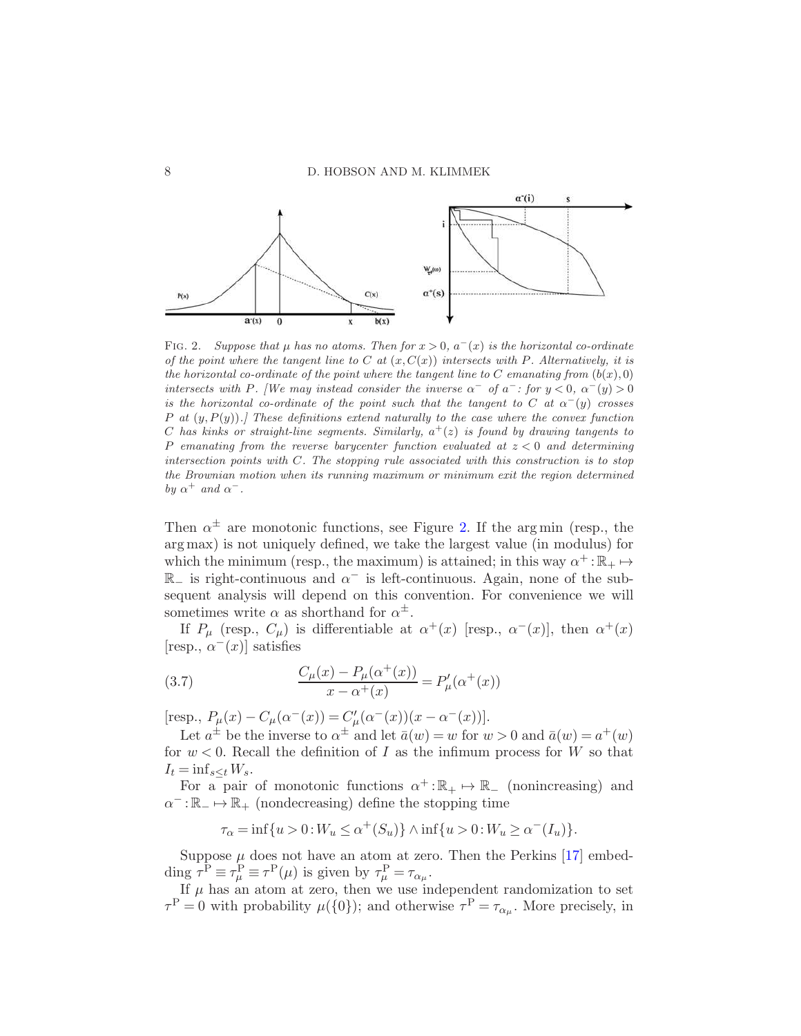

<span id="page-7-0"></span>FIG. 2. Suppose that  $\mu$  has no atoms. Then for  $x > 0$ ,  $a^{-}(x)$  is the horizontal co-ordinate *of the point where the tangent line to* C *at* (x, C(x)) *intersects with* P*. Alternatively, it is the horizontal co-ordinate of the point where the tangent line to* C *emanating from*  $(b(x), 0)$ *intersects with* P. [We may instead consider the inverse  $\alpha^-$  of  $\alpha^-$ : for  $y < 0$ ,  $\alpha^-(y) > 0$ *is the horizontal co-ordinate of the point such that the tangent to*  $C$  *at*  $\alpha^{-}(y)$  *crosses* P *at* (y, P(y))*.] These definitions extend naturally to the case where the convex function*  $C$  has kinks or straight-line segments. Similarly,  $a^+(z)$  is found by drawing tangents to P *emanating from the reverse barycenter function evaluated at* z < 0 *and determining intersection points with* C*. The stopping rule associated with this construction is to stop the Brownian motion when its running maximum or minimum exit the region determined by*  $\alpha^+$  *and*  $\alpha^-$ *.* 

Then  $\alpha^{\pm}$  are monotonic functions, see Figure [2.](#page-7-0) If the argmin (resp., the arg max) is not uniquely defined, we take the largest value (in modulus) for which the minimum (resp., the maximum) is attained; in this way  $\alpha^+ : \mathbb{R}_+ \mapsto$  $ℝ$  is right-continuous and  $α$ <sup>-</sup> is left-continuous. Again, none of the subsequent analysis will depend on this convention. For convenience we will sometimes write  $\alpha$  as shorthand for  $\alpha^{\pm}$ .

If  $P_{\mu}$  (resp.,  $C_{\mu}$ ) is differentiable at  $\alpha^{+}(x)$  [resp.,  $\alpha^{-}(x)$ ], then  $\alpha^{+}(x)$ [resp.,  $\alpha^{-}(x)$ ] satisfies

<span id="page-7-1"></span>(3.7) 
$$
\frac{C_{\mu}(x) - P_{\mu}(\alpha^{+}(x))}{x - \alpha^{+}(x)} = P'_{\mu}(\alpha^{+}(x))
$$

[resp.,  $P_{\mu}(x) - C_{\mu}(\alpha^{-}(x)) = C'_{\mu}(\alpha^{-}(x))(x - \alpha^{-}(x))$ ].

Let  $a^{\pm}$  be the inverse to  $\alpha^{\pm}$  and let  $\bar{a}(w) = w$  for  $w > 0$  and  $\bar{a}(w) = a^+(w)$ for  $w < 0$ . Recall the definition of I as the infimum process for W so that  $I_t = \inf_{s \leq t} W_s$ .

For a pair of monotonic functions  $\alpha^+ : \mathbb{R}_+ \mapsto \mathbb{R}_-$  (nonincreasing) and  $\alpha^-:\mathbb{R}_+\mapsto\mathbb{R}_+$  (nondecreasing) define the stopping time

$$
\tau_{\alpha} = \inf\{u > 0 : W_u \le \alpha^+(S_u)\} \wedge \inf\{u > 0 : W_u \ge \alpha^-(I_u)\}.
$$

Suppose  $\mu$  does not have an atom at zero. Then the Perkins [\[17](#page-32-5)] embedding  $\tau^{\text{P}} \equiv \tau^{\text{P}}_{\mu} \equiv \tau^{\text{P}}(\mu)$  is given by  $\tau^{\text{P}}_{\mu} = \tau_{\alpha_{\mu}}$ .

If  $\mu$  has an atom at zero, then we use independent randomization to set  $\tau^{\text{P}} = 0$  with probability  $\mu({0})$ ; and otherwise  $\tau^{\text{P}} = \tau_{\alpha\mu}$ . More precisely, in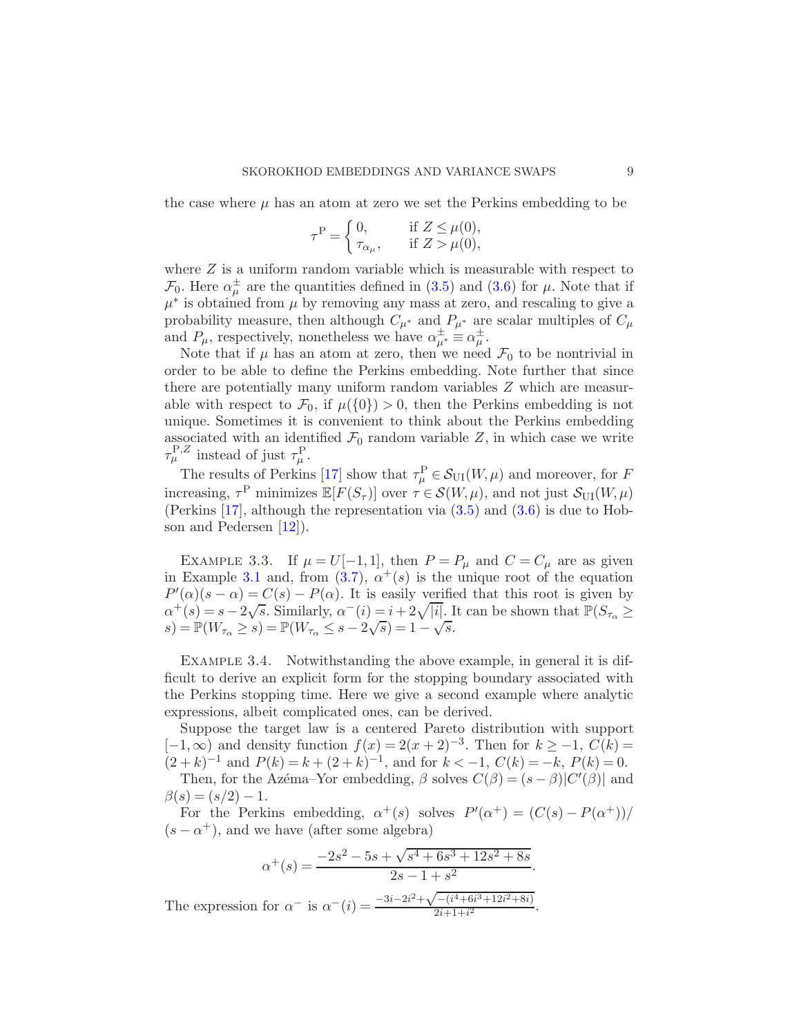the case where  $\mu$  has an atom at zero we set the Perkins embedding to be

$$
\tau^{\mathcal{P}} = \begin{cases} 0, & \text{if } Z \leq \mu(0), \\ \tau_{\alpha_{\mu}}, & \text{if } Z > \mu(0), \end{cases}
$$

where  $Z$  is a uniform random variable which is measurable with respect to  $\mathcal{F}_0$ . Here  $\alpha^{\pm}_{\mu}$  are the quantities defined in [\(3.5\)](#page-6-2) and [\(3.6\)](#page-6-3) for  $\mu$ . Note that if  $\mu^*$  is obtained from  $\mu$  by removing any mass at zero, and rescaling to give a probability measure, then although  $C_{\mu^*}$  and  $P_{\mu^*}$  are scalar multiples of  $C_{\mu}$ and  $P_{\mu}$ , respectively, nonetheless we have  $\alpha^{\pm}_{\mu^*} \equiv \alpha^{\pm}_{\mu}$ .

Note that if  $\mu$  has an atom at zero, then we need  $\mathcal{F}_0$  to be nontrivial in order to be able to define the Perkins embedding. Note further that since there are potentially many uniform random variables Z which are measurable with respect to  $\mathcal{F}_0$ , if  $\mu({0}) > 0$ , then the Perkins embedding is not unique. Sometimes it is convenient to think about the Perkins embedding associated with an identified  $\mathcal{F}_0$  random variable Z, in which case we write  $\tau_{\mu}^{\text{P},Z}$  instead of just  $\tau_{\mu}^{\text{P}}$ .

The results of Perkins [\[17\]](#page-32-5) show that  $\tau_{\mu}^{\text{P}} \in \mathcal{S}_{\text{UI}}(W, \mu)$  and moreover, for F increasing,  $\tau^{\text{P}}$  minimizes  $\mathbb{E}[F(S_{\tau})]$  over  $\tau \in \mathcal{S}(W,\mu)$ , and not just  $\mathcal{S}_{\text{UI}}(W,\mu)$ (Perkins [\[17\]](#page-32-5), although the representation via [\(3.5\)](#page-6-2) and [\(3.6\)](#page-6-3) is due to Hobson and Pedersen [\[12](#page-32-15)]).

<span id="page-8-0"></span>EXAMPLE 3.3. If  $\mu = U[-1,1]$ , then  $P = P_{\mu}$  and  $C = C_{\mu}$  are as given in Example [3.1](#page-6-4) and, from [\(3.7\)](#page-7-1),  $\alpha^+(s)$  is the unique root of the equation  $P'(\alpha)(s-\alpha) = C(s) - P(\alpha)$ . It is easily verified that this root is given by  $\alpha^{+}(s) = s - 2\sqrt{s}$ . Similarly,  $\alpha^{-}(i) = i + 2\sqrt{|i|}$ . It can be shown that  $\mathbb{P}(S_{\tau_{\alpha}} \geq$  $s) = \mathbb{P}(W_{\tau_{\alpha}} \ge s) = \mathbb{P}(W_{\tau_{\alpha}} \le s - 2\sqrt{s}) = 1 - \sqrt{s}.$ 

<span id="page-8-1"></span>EXAMPLE 3.4. Notwithstanding the above example, in general it is difficult to derive an explicit form for the stopping boundary associated with the Perkins stopping time. Here we give a second example where analytic expressions, albeit complicated ones, can be derived.

Suppose the target law is a centered Pareto distribution with support  $[-1,\infty)$  and density function  $f(x) = 2(x+2)^{-3}$ . Then for  $k \ge -1$ ,  $C(k) =$  $(2+k)^{-1}$  and  $P(k) = k + (2+k)^{-1}$ , and for  $k < -1$ ,  $C(k) = -k$ ,  $P(k) = 0$ . Then, for the Azéma–Yor embedding,  $\beta$  solves  $C(\beta) = (s - \beta)|C'(\beta)|$  and  $\beta(s) = (s/2) - 1.$ 

For the Perkins embedding,  $\alpha^+(s)$  solves  $P'(\alpha^+) = (C(s) - P(\alpha^+))/$  $(s - \alpha^+)$ , and we have (after some algebra)

$$
\alpha^{+}(s) = \frac{-2s^2 - 5s + \sqrt{s^4 + 6s^3 + 12s^2 + 8s}}{2s - 1 + s^2}.
$$

The expression for  $\alpha^-$  is  $\alpha^-(i) = \frac{-3i - 2i^2 + \sqrt{-(i^4 + 6i^3 + 12i^2 + 8i)}}{2i + 1 + i^2}$  $\frac{-\left(\iota + 6\iota + 12\iota + 6\iota\right)}{2i+1+i^2}$ .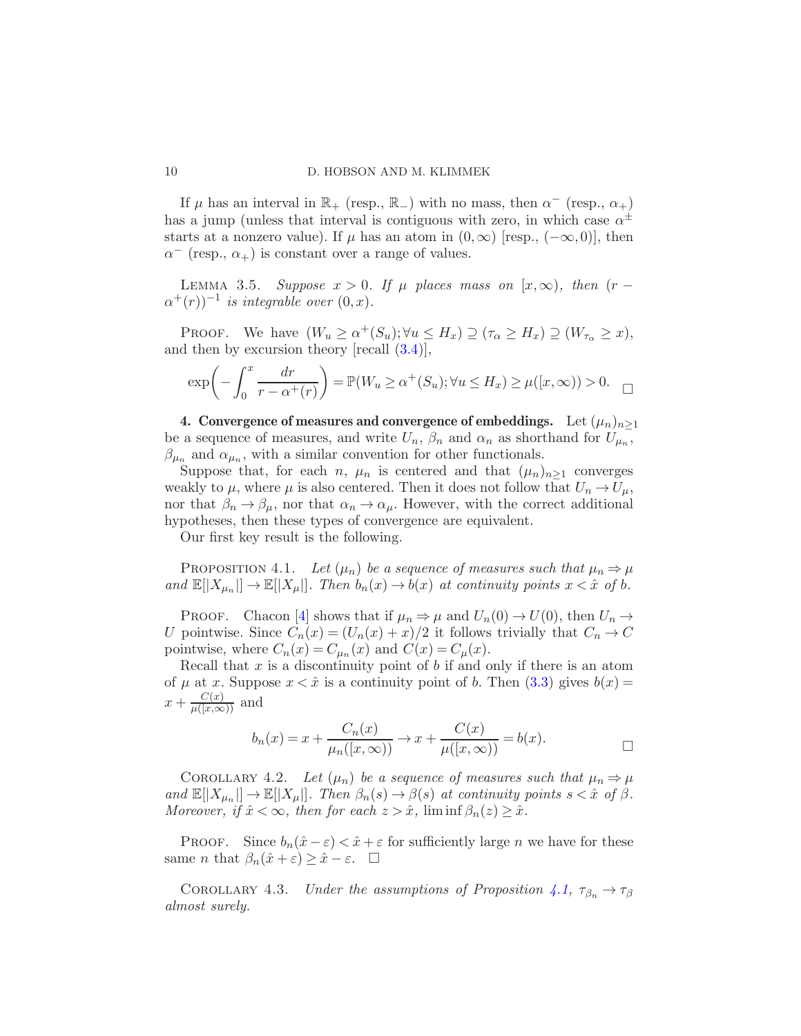If  $\mu$  has an interval in  $\mathbb{R}_+$  (resp.,  $\mathbb{R}_-$ ) with no mass, then  $\alpha^-$  (resp.,  $\alpha_+$ ) has a jump (unless that interval is contiguous with zero, in which case  $\alpha^{\pm}$ starts at a nonzero value). If  $\mu$  has an atom in  $(0, \infty)$  [resp.,  $(-\infty, 0)$ ], then  $\alpha^-$  (resp.,  $\alpha_+$ ) is constant over a range of values.

LEMMA 3.5. Suppose  $x > 0$ . If  $\mu$  places mass on  $[x,\infty)$ , then  $(r (\alpha^+(r))^{-1}$  is integrable over  $(0, x)$ .

PROOF. We have  $(W_u \ge \alpha^+(S_u); \forall u \le H_x) \supseteq (\tau_\alpha \ge H_x) \supseteq (W_{\tau_\alpha} \ge x),$ and then by excursion theory  $[recall (3.4)],$  $[recall (3.4)],$  $[recall (3.4)],$ 

<span id="page-9-2"></span>
$$
\exp\left(-\int_0^x \frac{dr}{r - \alpha^+(r)}\right) = \mathbb{P}(W_u \ge \alpha^+(S_u); \forall u \le H_x) \ge \mu([x, \infty)) > 0. \quad \Box
$$

4. Convergence of measures and convergence of embeddings. Let  $(\mu_n)_{n>1}$ be a sequence of measures, and write  $U_n$ ,  $\beta_n$  and  $\alpha_n$  as shorthand for  $U_{\mu_n}$ ,  $\beta_{\mu_n}$  and  $\alpha_{\mu_n}$ , with a similar convention for other functionals.

Suppose that, for each n,  $\mu_n$  is centered and that  $(\mu_n)_{n>1}$  converges weakly to  $\mu$ , where  $\mu$  is also centered. Then it does not follow that  $U_n \to U_\mu$ , nor that  $\beta_n \to \beta_\mu$ , nor that  $\alpha_n \to \alpha_\mu$ . However, with the correct additional hypotheses, then these types of convergence are equivalent.

<span id="page-9-0"></span>Our first key result is the following.

PROPOSITION 4.1. Let  $(\mu_n)$  be a sequence of measures such that  $\mu_n \Rightarrow \mu$ and  $\mathbb{E}[|X_{\mu_n}|] \to \mathbb{E}[|X_{\mu}|]$ . Then  $b_n(x) \to b(x)$  at continuity points  $x < \hat{x}$  of  $b$ .

**PROOF.** Chacon [\[4\]](#page-32-13) shows that if  $\mu_n \Rightarrow \mu$  and  $U_n(0) \rightarrow U(0)$ , then  $U_n \rightarrow$ U pointwise. Since  $C_n(x) = (U_n(x) + x)/2$  it follows trivially that  $C_n \to C$ pointwise, where  $C_n(x) = C_{\mu_n}(x)$  and  $C(x) = C_{\mu}(x)$ .

Recall that  $x$  is a discontinuity point of  $b$  if and only if there is an atom of  $\mu$  at x. Suppose  $x < \hat{x}$  is a continuity point of b. Then  $(3.3)$  gives  $b(x) =$  $x + \frac{C(x)}{\mu([x,\infty))}$  and

$$
b_n(x) = x + \frac{C_n(x)}{\mu_n([x,\infty))} \to x + \frac{C(x)}{\mu([x,\infty))} = b(x).
$$

<span id="page-9-1"></span>COROLLARY 4.2. Let  $(\mu_n)$  be a sequence of measures such that  $\mu_n \Rightarrow \mu$ and  $\mathbb{E}[|X_{\mu_n}|] \to \mathbb{E}[|X_{\mu}|]$ . Then  $\beta_n(s) \to \beta(s)$  at continuity points  $s < \hat{x}$  of  $\beta$ . Moreover, if  $\hat{x} < \infty$ , then for each  $z > \hat{x}$ ,  $\liminf \beta_n(z) \geq \hat{x}$ .

PROOF. Since  $b_n(\hat{x}-\varepsilon) < \hat{x}+\varepsilon$  for sufficiently large *n* we have for these same *n* that  $\beta_n(\hat{x} + \varepsilon) \geq \hat{x} - \varepsilon$ .  $\Box$ 

COROLLARY 4.3. Under the assumptions of Proposition [4.1,](#page-9-0)  $\tau_{\beta_n} \to \tau_{\beta}$ almost surely.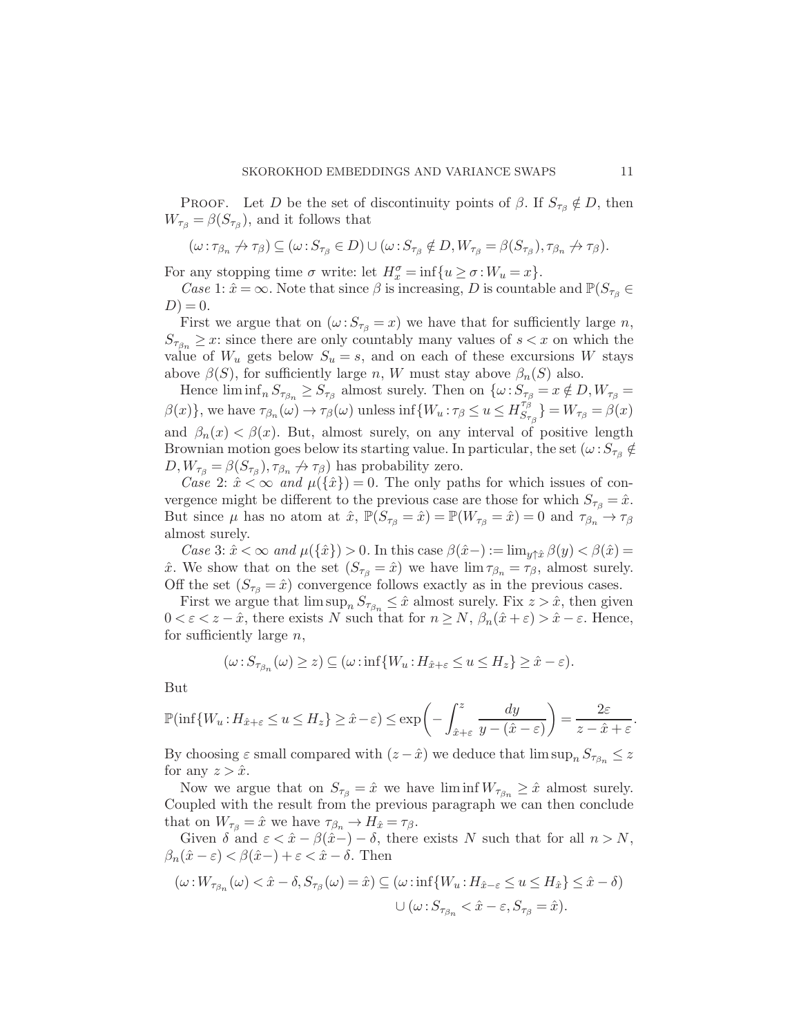PROOF. Let D be the set of discontinuity points of  $\beta$ . If  $S_{\tau_{\beta}} \notin D$ , then  $W_{\tau_{\beta}} = \beta(S_{\tau_{\beta}})$ , and it follows that

$$
(\omega : \tau_{\beta_n} \nrightarrow \tau_\beta) \subseteq (\omega : S_{\tau_\beta} \in D) \cup (\omega : S_{\tau_\beta} \notin D, W_{\tau_\beta} = \beta(S_{\tau_\beta}), \tau_{\beta_n} \nrightarrow \tau_\beta).
$$

For any stopping time  $\sigma$  write: let  $H_x^{\sigma} = \inf\{u \ge \sigma : W_u = x\}.$ 

Case 1:  $\hat{x} = \infty$ . Note that since  $\beta$  is increasing, D is countable and  $\mathbb{P}(S_{\tau_{\beta}} \in$  $D = 0.$ 

First we argue that on  $(\omega : S_{\tau_\beta} = x)$  we have that for sufficiently large n,  $S_{\tau_{\beta_n}} \geq x$ : since there are only countably many values of  $s < x$  on which the value of  $W_u$  gets below  $S_u = s$ , and on each of these excursions W stays above  $\beta(S)$ , for sufficiently large n, W must stay above  $\beta_n(S)$  also.

Hence  $\liminf_n S_{\tau_{\beta_n}} \geq S_{\tau_{\beta}}$  almost surely. Then on  $\{\omega : S_{\tau_{\beta}} = x \notin D, W_{\tau_{\beta}} = x \notin D\}$  $\beta(x)$ , we have  $\tau_{\beta_n}(\omega) \to \tau_{\beta}(\omega)$  unless inf $\{W_u : \tau_{\beta} \le u \le H_{S_{\tau}}^{\tau_{\beta}^{\tau}}\}$  $\{S_{\tau_{\beta}}^{\tau_{\beta}}\}=W_{\tau_{\beta}}=\beta(x)$ and  $\beta_n(x) < \beta(x)$ . But, almost surely, on any interval of positive length Brownian motion goes below its starting value. In particular, the set  $(\omega : S_{\tau_{\beta}} \notin$  $D, W_{\tau_{\beta}} = \beta(S_{\tau_{\beta}}), \tau_{\beta_n} \nrightarrow \tau_{\beta}$  has probability zero.

Case 2:  $\hat{x} < \infty$  and  $\mu({\hat{x}}) = 0$ . The only paths for which issues of convergence might be different to the previous case are those for which  $S_{\tau_\beta} = \hat{x}$ . But since  $\mu$  has no atom at  $\hat{x}$ ,  $\mathbb{P}(S_{\tau_{\beta}} = \hat{x}) = \mathbb{P}(W_{\tau_{\beta}} = \hat{x}) = 0$  and  $\tau_{\beta_n} \to \tau_{\beta}$ almost surely.

Case 3:  $\hat{x} < \infty$  and  $\mu({\hat{x}}) > 0$ . In this case  $\beta(\hat{x}-) := \lim_{y \uparrow \hat{x}} \beta(y) < \beta(\hat{x}) = 0$  $\hat{x}$ . We show that on the set  $(S_{\tau_{\beta}} = \hat{x})$  we have  $\lim \tau_{\beta_n} = \tau_{\beta}$ , almost surely. Off the set  $(S_{\tau_\beta} = \hat{x})$  convergence follows exactly as in the previous cases.

First we argue that  $\limsup_n S_{\tau_{\beta_n}} \leq \hat{x}$  almost surely. Fix  $z > \hat{x}$ , then given  $0 < \varepsilon < z - \hat{x}$ , there exists N such that for  $n \geq N$ ,  $\beta_n(\hat{x} + \varepsilon) > \hat{x} - \varepsilon$ . Hence, for sufficiently large  $n$ ,

$$
(\omega \tcdot S_{\tau_{\beta_n}}(\omega) \geq z) \subseteq (\omega \tcdot \inf\{W_u \tcdot H_{\hat{x}+\varepsilon} \leq u \leq H_z\} \geq \hat{x}-\varepsilon).
$$

But

$$
\mathbb{P}(\inf\{W_u: H_{\hat{x}+\varepsilon} \le u \le H_z\} \ge \hat{x}-\varepsilon) \le \exp\left(-\int_{\hat{x}+\varepsilon}^z \frac{dy}{y-(\hat{x}-\varepsilon)}\right) = \frac{2\varepsilon}{z-\hat{x}+\varepsilon}.
$$

By choosing  $\varepsilon$  small compared with  $(z - \hat{x})$  we deduce that  $\limsup_n S_{\tau_{\beta_n}} \leq z$ for any  $z > \hat{x}$ .

Now we argue that on  $S_{\tau_\beta} = \hat{x}$  we have  $\liminf W_{\tau_{\beta_n}} \geq \hat{x}$  almost surely. Coupled with the result from the previous paragraph we can then conclude that on  $W_{\tau_{\beta}} = \hat{x}$  we have  $\tau_{\beta_n} \to H_{\hat{x}} = \tau_{\beta}$ .

Given  $\delta$  and  $\varepsilon < \hat{x} - \beta(\hat{x}-) - \delta$ , there exists N such that for all  $n > N$ ,  $\beta_n(\hat{x}-\varepsilon) < \beta(\hat{x}-) + \varepsilon < \hat{x} - \delta$ . Then

$$
(\omega: W_{\tau_{\beta_n}}(\omega) < \hat{x} - \delta, S_{\tau_{\beta}}(\omega) = \hat{x}) \subseteq (\omega: \inf\{W_u : H_{\hat{x}-\varepsilon} \le u \le H_{\hat{x}}\} \le \hat{x} - \delta)
$$
  

$$
\cup (\omega: S_{\tau_{\beta_n}} < \hat{x} - \varepsilon, S_{\tau_{\beta}} = \hat{x}).
$$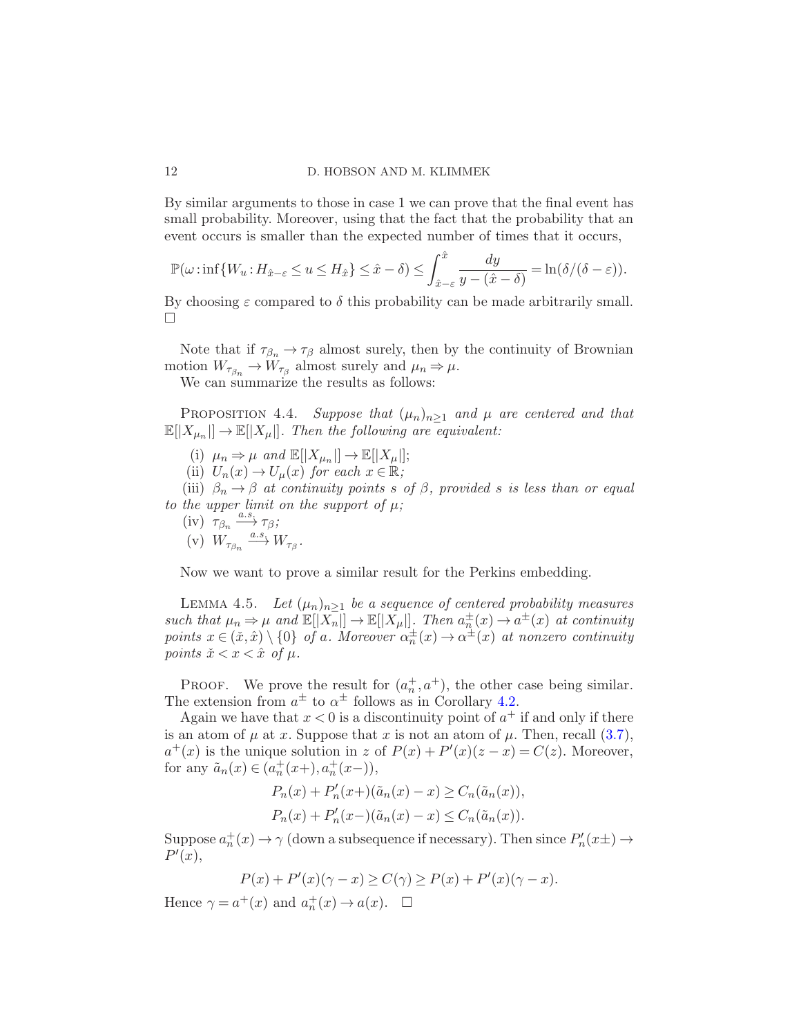By similar arguments to those in case 1 we can prove that the final event has small probability. Moreover, using that the fact that the probability that an event occurs is smaller than the expected number of times that it occurs,

$$
\mathbb{P}(\omega \cdot \inf \{ W_u : H_{\hat{x}-\varepsilon} \le u \le H_{\hat{x}} \} \le \hat{x} - \delta) \le \int_{\hat{x}-\varepsilon}^{\hat{x}} \frac{dy}{y - (\hat{x} - \delta)} = \ln(\delta/(\delta - \varepsilon)).
$$

By choosing  $\varepsilon$  compared to  $\delta$  this probability can be made arbitrarily small.  $\Box$ 

Note that if  $\tau_{\beta_n} \to \tau_\beta$  almost surely, then by the continuity of Brownian motion  $W_{\tau_{\beta_n}} \to W_{\tau_{\beta}}$  almost surely and  $\mu_n \Rightarrow \mu$ . We can summarize the results as follows:

<span id="page-11-1"></span>

PROPOSITION 4.4. Suppose that  $(\mu_n)_{n>1}$  and  $\mu$  are centered and that  $\mathbb{E}[|X_{\mu_n}|] \to \mathbb{E}[|X_{\mu}|]$ . Then the following are equivalent:

- (i)  $\mu_n \Rightarrow \mu$  and  $\mathbb{E}[|X_{\mu_n}|] \rightarrow \mathbb{E}[|X_{\mu}|];$
- (ii)  $U_n(x) \to U_\mu(x)$  for each  $x \in \mathbb{R}$ ;

(iii)  $\beta_n \to \beta$  at continuity points s of  $\beta$ , provided s is less than or equal to the upper limit on the support of  $\mu$ ;

(iv)  $\tau_{\beta_n} \xrightarrow{a.s.} \tau_{\beta}$ ;

$$
(v) W_{\tau_{\beta_n}} \xrightarrow{a.s.} W_{\tau_{\beta}}.
$$

Now we want to prove a similar result for the Perkins embedding.

LEMMA 4.5. Let  $(\mu_n)_{n>1}$  be a sequence of centered probability measures such that  $\mu_n \Rightarrow \mu$  and  $\mathbb{E}[|X_n|] \rightarrow \mathbb{E}[|X_\mu|]$ . Then  $a_n^{\pm}(x) \rightarrow a^{\pm}(x)$  at continuity points  $x \in (\tilde{x}, \hat{x}) \setminus \{0\}$  of a. Moreover  $\alpha_n^{\pm}(x) \to \alpha^{\pm}(x)$  at nonzero continuity points  $\tilde{x} < x < \hat{x}$  of  $\mu$ .

PROOF. We prove the result for  $(a_n^+, a^+)$ , the other case being similar. The extension from  $a^{\pm}$  to  $\alpha^{\pm}$  follows as in Corollary [4.2.](#page-9-1)

Again we have that  $x < 0$  is a discontinuity point of  $a<sup>+</sup>$  if and only if there is an atom of  $\mu$  at x. Suppose that x is not an atom of  $\mu$ . Then, recall [\(3.7\)](#page-7-1),  $a^+(x)$  is the unique solution in z of  $P(x) + P'(x)(z - x) = C(z)$ . Moreover, for any  $\tilde{a}_n(x) \in (a_n^+(x+), a_n^+(x-)),$ 

<span id="page-11-0"></span>
$$
P_n(x) + P'_n(x+) (\tilde{a}_n(x) - x) \ge C_n(\tilde{a}_n(x)),
$$
  
\n
$$
P_n(x) + P'_n(x-)(\tilde{a}_n(x) - x) \le C_n(\tilde{a}_n(x)).
$$

Suppose  $a_n^+(x) \to \gamma$  (down a subsequence if necessary). Then since  $P'_n(x) \to \gamma(x)$  $P'(x),$ 

$$
P(x) + P'(x)(\gamma - x) \ge C(\gamma) \ge P(x) + P'(x)(\gamma - x).
$$

<span id="page-11-2"></span>Hence  $\gamma = a^+(x)$  and  $a_n^+(x) \to a(x)$ .  $\Box$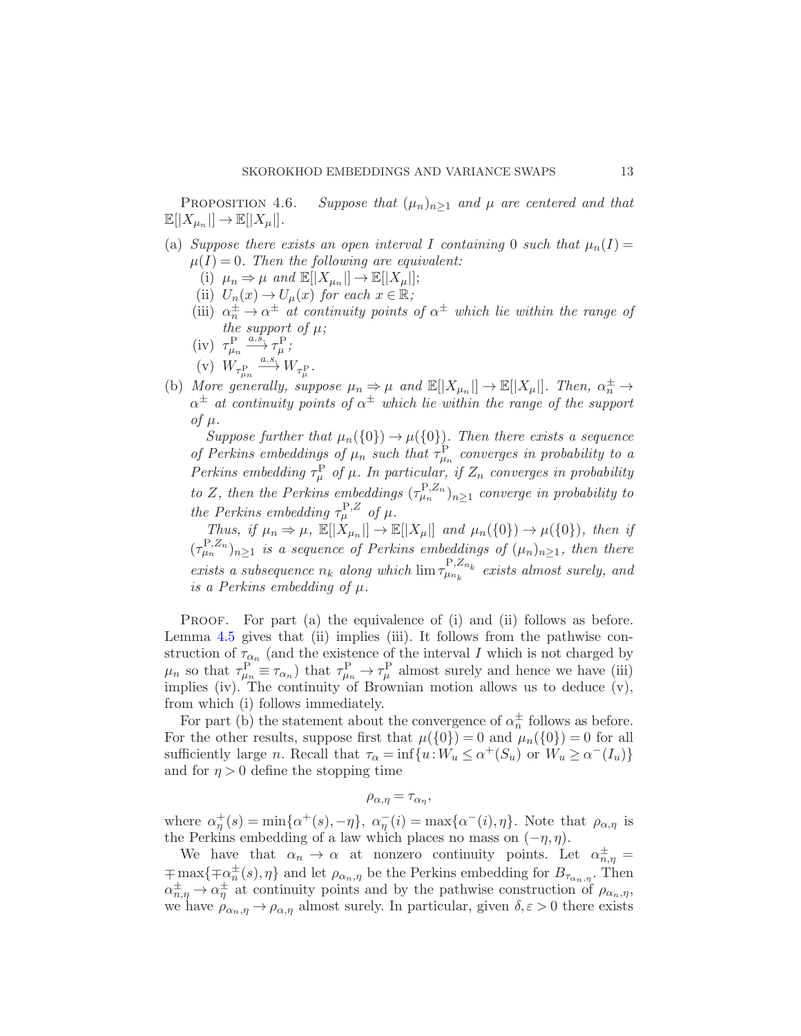PROPOSITION 4.6. Suppose that  $(\mu_n)_{n>1}$  and  $\mu$  are centered and that  $\mathbb{E}[|X_{\mu_n}|] \to \mathbb{E}[|X_{\mu}|].$ 

- (a) Suppose there exists an open interval I containing 0 such that  $\mu_n(I) =$  $\mu(I) = 0$ . Then the following are equivalent:
	- (i)  $\mu_n \Rightarrow \mu$  and  $\mathbb{E}[|X_{\mu_n}|] \rightarrow \mathbb{E}[|X_{\mu}|];$
	- (ii)  $U_n(x) \to U_\mu(x)$  for each  $x \in \mathbb{R}$ ;
	- (iii)  $\alpha_n^{\pm} \rightarrow \alpha^{\pm}$  at continuity points of  $\alpha^{\pm}$  which lie within the range of the support of  $\mu$ ;
	- (iv)  $\tau_{\mu_n}^{\text{P}} \xrightarrow{a.s.} \tau_{\mu}^{\text{P}}$ ;
	- (v)  $W_{\tau^{\text{P}}_{\mu_n}} \stackrel{a.s.}{\longrightarrow} W_{\tau^{\text{P}}_{\mu}}.$
- (b) More generally, suppose  $\mu_n \Rightarrow \mu$  and  $\mathbb{E}[|X_{\mu_n}|] \to \mathbb{E}[|X_{\mu}|]$ . Then,  $\alpha_n^{\pm} \to$  $\alpha^{\pm}$  at continuity points of  $\alpha^{\pm}$  which lie within the range of the support of  $\mu$ .

Suppose further that  $\mu_n(\{0\}) \to \mu(\{0\})$ . Then there exists a sequence of Perkins embeddings of  $\mu_n$  such that  $\tau_{\mu_n}^{\rm P}$  converges in probability to a Perkins embedding  $\tau_{\mu}^{\text{P}}$  of  $\mu$ . In particular, if  $Z_n$  converges in probability to Z, then the Perkins embeddings  $(\tau_{\mu_n}^{\text{P},Z_n})_{n\geq 1}$  converge in probability to the Perkins embedding  $\tau_{\mu}^{\text{P},Z}$  of  $\mu$ .

Thus, if  $\mu_n \Rightarrow \mu$ ,  $\mathbb{E}[|X_{\mu_n}|] \to \mathbb{E}[|X_{\mu}|]$  and  $\mu_n({0}) \to \mu({0})$ , then if  $(\tau_{\mu_n}^{\text{P},Z_n})_{n\geq 1}$  is a sequence of Perkins embeddings of  $(\mu_n)_{n\geq 1}$ , then there exists a subsequence  $n_k$  along which  $\lim_{\tau \downarrow n_k} P_{n_k}^{P,Z_{n_k}}$  $\mu_{n_k}^{1, 2n_k}$  exists almost surely, and is a Perkins embedding of  $\mu$ .

PROOF. For part (a) the equivalence of (i) and (ii) follows as before. Lemma [4.5](#page-11-0) gives that (ii) implies (iii). It follows from the pathwise construction of  $\tau_{\alpha_n}$  (and the existence of the interval I which is not charged by  $\mu_n$  so that  $\tau_{\mu_n}^{\rm P} \equiv \tau_{\alpha_n}$ ) that  $\tau_{\mu_n}^{\rm P} \to \tau_{\mu}^{\rm P}$  almost surely and hence we have (iii) implies (iv). The continuity of Brownian motion allows us to deduce (v), from which (i) follows immediately.

For part (b) the statement about the convergence of  $\alpha_n^{\pm}$  follows as before. For the other results, suppose first that  $\mu({0}) = 0$  and  $\mu_n({0}) = 0$  for all sufficiently large *n*. Recall that  $\tau_{\alpha} = \inf\{u : W_u \leq \alpha^+(S_u) \text{ or } W_u \geq \alpha^-(I_u)\}\$ and for  $\eta > 0$  define the stopping time

$$
\rho_{\alpha,\eta} = \tau_{\alpha_{\eta}},
$$

where  $\alpha_{\eta}^{+}(s) = \min\{\alpha^{+}(s), -\eta\}, \ \alpha_{\eta}^{-}(i) = \max\{\alpha^{-}(i), \eta\}.$  Note that  $\rho_{\alpha,\eta}$  is the Perkins embedding of a law which places no mass on  $(-\eta, \eta)$ .

We have that  $\alpha_n \to \alpha$  at nonzero continuity points. Let  $\alpha_{n,\eta}^{\pm} =$  $\mp \max\{\mp \alpha_n^{\pm}(s),\eta\}$  and let  $\rho_{\alpha_n,\eta}$  be the Perkins embedding for  $B_{\tau_{\alpha_n,\eta}}$ . Then  $\alpha^{\pm}_{n,\eta} \to \alpha^{\pm}_{\eta}$  at continuity points and by the pathwise construction of  $\rho_{\alpha_n,\eta}$ , we have  $\rho_{\alpha_n,\eta} \to \rho_{\alpha,\eta}$  almost surely. In particular, given  $\delta, \varepsilon > 0$  there exists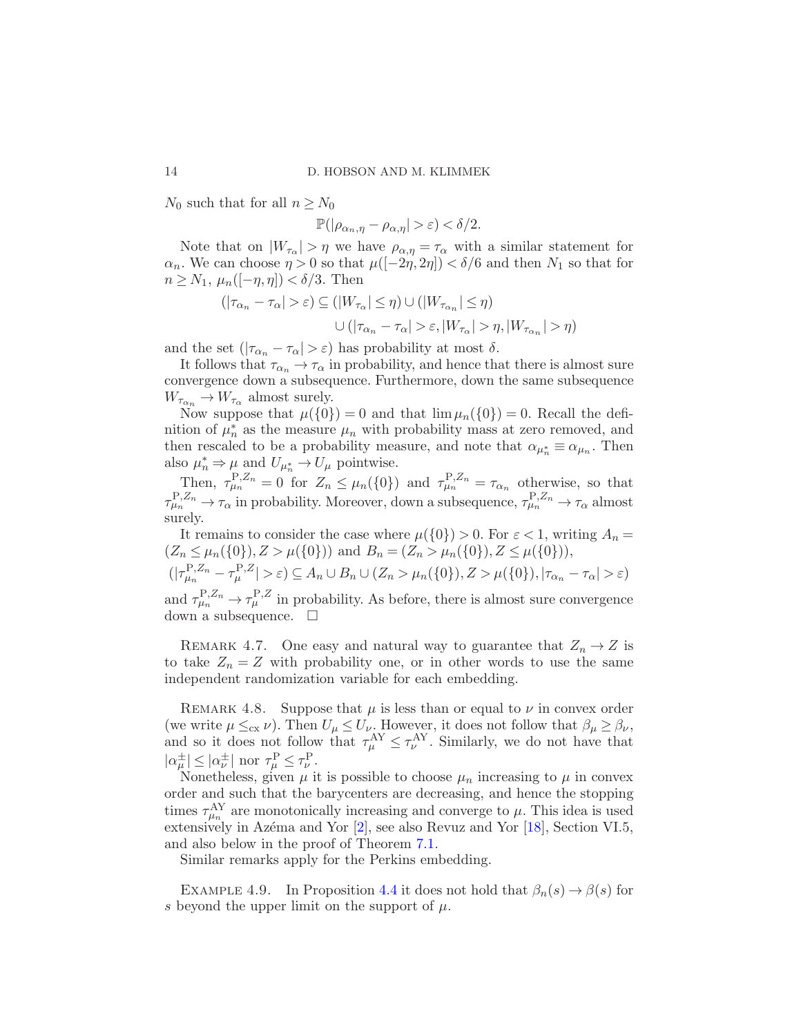$N_0$  such that for all  $n \geq N_0$ 

 $\mathbb{P}(|\rho_{\alpha_n,n} - \rho_{\alpha,n}| > \varepsilon) < \delta/2.$ 

Note that on  $|W_{\tau_{\alpha}}| > \eta$  we have  $\rho_{\alpha,\eta} = \tau_{\alpha}$  with a similar statement for  $\alpha_n$ . We can choose  $\eta > 0$  so that  $\mu([-2\eta, 2\eta]) < \delta/6$  and then  $N_1$  so that for  $n \geq N_1$ ,  $\mu_n([-\eta, \eta]) < \delta/3$ . Then

$$
(|\tau_{\alpha_n} - \tau_{\alpha}| > \varepsilon) \subseteq (|W_{\tau_{\alpha}}| \le \eta) \cup (|W_{\tau_{\alpha_n}}| \le \eta)
$$
  

$$
\cup (|\tau_{\alpha_n} - \tau_{\alpha}| > \varepsilon, |W_{\tau_{\alpha}}| > \eta, |W_{\tau_{\alpha_n}}| > \eta)
$$

and the set  $(|\tau_{\alpha_n} - \tau_{\alpha}| > \varepsilon)$  has probability at most  $\delta$ .

It follows that  $\tau_{\alpha_n} \to \tau_{\alpha}$  in probability, and hence that there is almost sure convergence down a subsequence. Furthermore, down the same subsequence  $W_{\tau_{\alpha_n}} \to W_{\tau_{\alpha}}$  almost surely.

Now suppose that  $\mu({0}) = 0$  and that  $\lim \mu_n({0}) = 0$ . Recall the definition of  $\mu_n^*$  as the measure  $\mu_n$  with probability mass at zero removed, and then rescaled to be a probability measure, and note that  $\alpha_{\mu_n^*} \equiv \alpha_{\mu_n}$ . Then also  $\mu_n^* \Rightarrow \mu$  and  $U_{\mu_n^*} \rightarrow U_\mu$  pointwise.

Then,  $\tau_{\mu_n}^{P,Z_n} = 0$  for  $Z_n \leq \mu_n(\{0\})$  and  $\tau_{\mu_n}^{P,Z_n} = \tau_{\alpha_n}$  otherwise, so that  $\tau_{\mu_n}^{P,Z_n} \to \tau_\alpha$  in probability. Moreover, down a subsequence,  $\tau_{\mu_n}^{P,Z_n} \to \tau_\alpha$  almost surely.

It remains to consider the case where  $\mu({0}) > 0$ . For  $\varepsilon < 1$ , writing  $A_n =$  $(Z_n \leq \mu_n({0}), Z > \mu({0})$  and  $B_n = (Z_n > \mu_n({0}), Z \leq \mu({0})),$  $(|\tau_{\mu_n}^{\mathbf{P},Z_n} - \tau_{\mu}^{\mathbf{P},Z}| > \varepsilon) \subseteq A_n \cup B_n \cup (Z_n > \mu_n(\{0\}), Z > \mu(\{0\}), |\tau_{\alpha_n} - \tau_{\alpha}| > \varepsilon)$ 

and  $\tau_{\mu_n}^{P,Z_n} \to \tau_{\mu}^{P,Z}$  in probability. As before, there is almost sure convergence down a subsequence.  $\square$ 

REMARK 4.7. One easy and natural way to guarantee that  $Z_n \to Z$  is to take  $Z_n = Z$  with probability one, or in other words to use the same independent randomization variable for each embedding.

REMARK 4.8. Suppose that  $\mu$  is less than or equal to  $\nu$  in convex order (we write  $\mu \leq_{\rm cx} \nu$ ). Then  $U_{\mu} \leq U_{\nu}$ . However, it does not follow that  $\beta_{\mu} \geq \beta_{\nu}$ , and so it does not follow that  $\tau_{\mu}^{\mathbf{A}\mathbf{Y}} \leq \tau_{\nu}^{\mathbf{A}\mathbf{Y}}$ . Similarly, we do not have that  $|\alpha^{\pm}_{\mu}| \leq |\alpha^{\pm}_{\nu}|$  nor  $\tau^{\rm P}_{\mu} \leq \tau^{\rm P}_{\nu}$ .

Nonetheless, given  $\mu$  it is possible to choose  $\mu_n$  increasing to  $\mu$  in convex order and such that the barycenters are decreasing, and hence the stopping times  $\tau_{\mu_n}^{\text{AY}}$  are monotonically increasing and converge to  $\mu$ . This idea is used extensively in Azéma and Yor  $[2]$ , see also Revuz and Yor  $[18]$ , Section VI.5, and also below in the proof of Theorem [7.1.](#page-23-0)

Similar remarks apply for the Perkins embedding.

EXAMPLE 4.9. In Proposition [4.4](#page-11-1) it does not hold that  $\beta_n(s) \to \beta(s)$  for s beyond the upper limit on the support of  $\mu$ .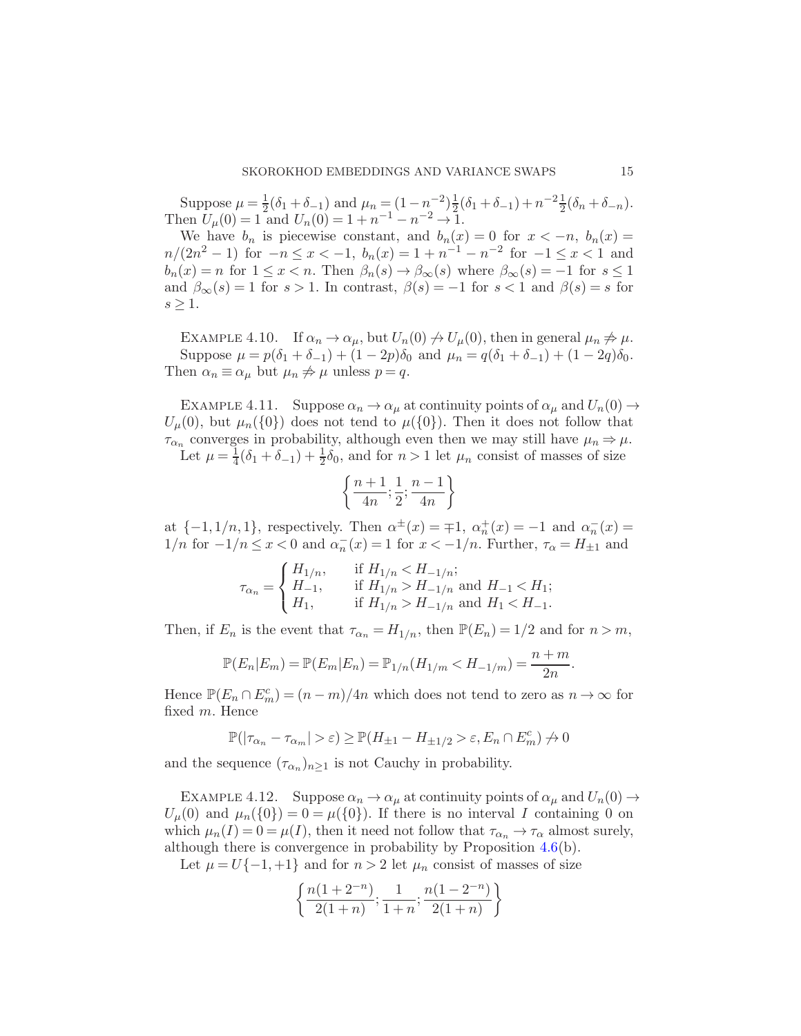Suppose  $\mu = \frac{1}{2}$  $\frac{1}{2}(\delta_1+\delta_{-1})$  and  $\mu_n=(1-n^{-2})\frac{1}{2}$  $\frac{1}{2}(\delta_1 + \delta_{-1}) + n^{-2} \frac{1}{2}(\delta_n + \delta_{-n}).$ Then  $U_{\mu}(0) = 1$  and  $U_{n}(0) = 1 + n^{-1} - n^{-2} \rightarrow 1$ .

We have  $b_n$  is piecewise constant, and  $b_n(x) = 0$  for  $x < -n$ ,  $b_n(x) =$  $n/(2n^2-1)$  for  $-n \le x < -1$ ,  $b_n(x) = 1 + n^{-1} - n^{-2}$  for  $-1 \le x < 1$  and  $b_n(x) = n$  for  $1 \leq x < n$ . Then  $\beta_n(s) \to \beta_\infty(s)$  where  $\beta_\infty(s) = -1$  for  $s \leq 1$ and  $\beta_{\infty}(s) = 1$  for  $s > 1$ . In contrast,  $\beta(s) = -1$  for  $s < 1$  and  $\beta(s) = s$  for  $s \geq 1$ .

EXAMPLE 4.10. If  $\alpha_n \to \alpha_\mu$ , but  $U_n(0) \to U_\mu(0)$ , then in general  $\mu_n \not\Rightarrow \mu$ . Suppose  $\mu = p(\delta_1 + \delta_{-1}) + (1 - 2p)\delta_0$  and  $\mu_n = q(\delta_1 + \delta_{-1}) + (1 - 2q)\delta_0$ . Then  $\alpha_n \equiv \alpha_\mu$  but  $\mu_n \not\Rightarrow \mu$  unless  $p = q$ .

EXAMPLE 4.11. Suppose  $\alpha_n \to \alpha_\mu$  at continuity points of  $\alpha_\mu$  and  $U_n(0) \to$  $U_{\mu}(0)$ , but  $\mu_n(\{0\})$  does not tend to  $\mu(\{0\})$ . Then it does not follow that  $\tau_{\alpha_n}$  converges in probability, although even then we may still have  $\mu_n \Rightarrow \mu$ . Let  $\mu = \frac{1}{4}$  $\frac{1}{4}(\delta_1 + \delta_{-1}) + \frac{1}{2}\delta_0$ , and for  $n > 1$  let  $\mu_n$  consist of masses of size

$$
\left\{\frac{n+1}{4n};\frac{1}{2};\frac{n-1}{4n}\right\}
$$

at  $\{-1, 1/n, 1\}$ , respectively. Then  $\alpha^{\pm}(x) = \pm 1$ ,  $\alpha^{\pm}(x) = -1$  and  $\alpha^{\pm}(x) =$ 1/*n* for  $-1/n \le x < 0$  and  $\alpha_n^-(x) = 1$  for  $x < -1/n$ . Further,  $\tau_\alpha = H_{\pm 1}$  and

$$
\tau_{\alpha_n} = \begin{cases} H_{1/n}, & \text{if } H_{1/n} < H_{-1/n}; \\ H_{-1}, & \text{if } H_{1/n} > H_{-1/n} \text{ and } H_{-1} < H_1; \\ H_1, & \text{if } H_{1/n} > H_{-1/n} \text{ and } H_1 < H_{-1}. \end{cases}
$$

Then, if  $E_n$  is the event that  $\tau_{\alpha_n} = H_{1/n}$ , then  $\mathbb{P}(E_n) = 1/2$  and for  $n > m$ ,

$$
\mathbb{P}(E_n|E_m) = \mathbb{P}(E_m|E_n) = \mathbb{P}_{1/n}(H_{1/m} < H_{-1/m}) = \frac{n+m}{2n}
$$

Hence  $\mathbb{P}(E_n \cap E_m^c) = (n-m)/4n$  which does not tend to zero as  $n \to \infty$  for fixed m. Hence

$$
\mathbb{P}(|\tau_{\alpha_n}-\tau_{\alpha_m}|>\varepsilon)\geq \mathbb{P}(H_{\pm1}-H_{\pm1/2}>\varepsilon,E_n\cap E_m^c)\not\to 0
$$

and the sequence  $(\tau_{\alpha_n})_{n\geq 1}$  is not Cauchy in probability.

EXAMPLE 4.12. Suppose  $\alpha_n \to \alpha_\mu$  at continuity points of  $\alpha_\mu$  and  $U_n(0) \to$  $U_{\mu}(0)$  and  $\mu_n({0}) = 0 = \mu({0})$ . If there is no interval I containing 0 on which  $\mu_n(I) = 0 = \mu(I)$ , then it need not follow that  $\tau_{\alpha_n} \to \tau_{\alpha}$  almost surely, although there is convergence in probability by Proposition [4.6\(](#page-11-2)b).

Let  $\mu = U\{-1, +1\}$  and for  $n > 2$  let  $\mu_n$  consist of masses of size

$$
\left\{\frac{n(1+2^{-n})}{2(1+n)};\frac{1}{1+n};\frac{n(1-2^{-n})}{2(1+n)}\right\}
$$

.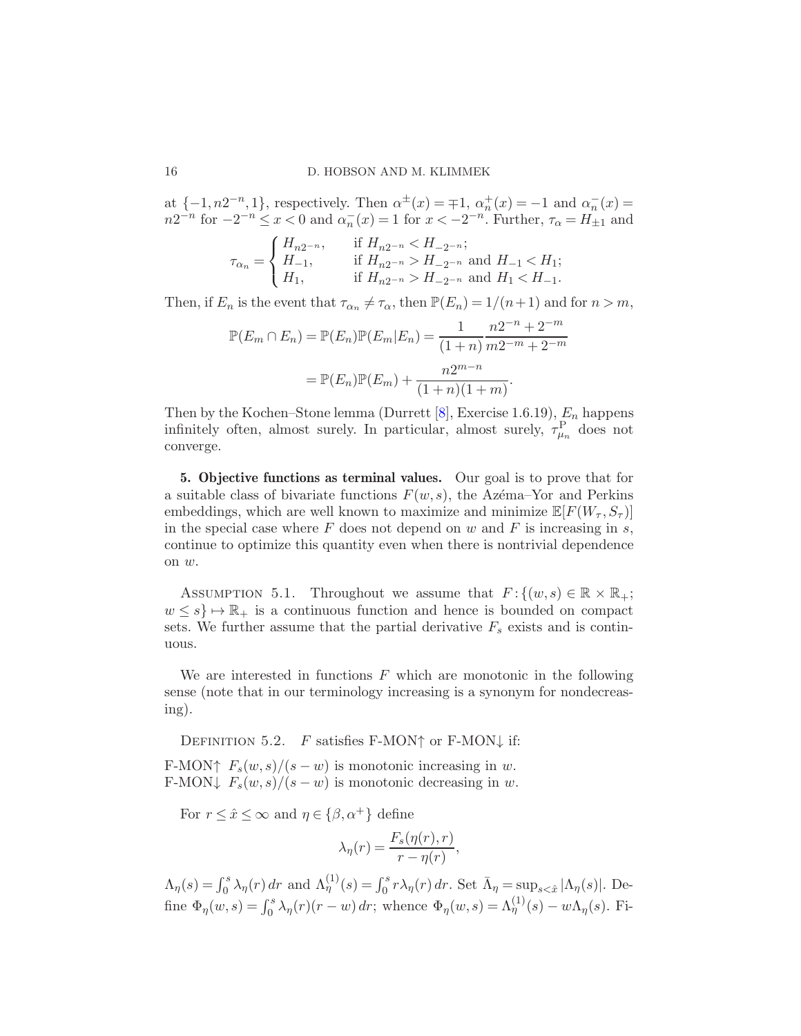at  $\{-1, n2^{-n}, 1\}$ , respectively. Then  $\alpha^{\pm}(x) = \pm 1$ ,  $\alpha^{\pm}_n(x) = -1$  and  $\alpha^-_n(x) =$  $n2^{-n}$  for  $-2^{-n} \le x < 0$  and  $\alpha_n^{-}(x) = 1$  for  $x < -2^{-n}$ . Further,  $\tau_\alpha = H_{\pm 1}$  and

$$
\tau_{\alpha_n} = \begin{cases} H_{n2^{-n}}, & \text{if } H_{n2^{-n}} < H_{-2^{-n}}; \\ H_{-1}, & \text{if } H_{n2^{-n}} > H_{-2^{-n}} \text{ and } H_{-1} < H_1; \\ H_1, & \text{if } H_{n2^{-n}} > H_{-2^{-n}} \text{ and } H_1 < H_{-1}. \end{cases}
$$

Then, if  $E_n$  is the event that  $\tau_{\alpha_n} \neq \tau_{\alpha}$ , then  $\mathbb{P}(E_n) = 1/(n+1)$  and for  $n > m$ ,

$$
\mathbb{P}(E_m \cap E_n) = \mathbb{P}(E_n)\mathbb{P}(E_m|E_n) = \frac{1}{(1+n)}\frac{n2^{-n} + 2^{-m}}{m2^{-m} + 2^{-m}}
$$

$$
= \mathbb{P}(E_n)\mathbb{P}(E_m) + \frac{n2^{m-n}}{(1+n)(1+m)}.
$$

Then by the Kochen–Stone lemma (Durrett  $[8]$ , Exercise 1.6.19),  $E_n$  happens infinitely often, almost surely. In particular, almost surely,  $\tau_{\mu_n}^{\text{P}}$  does not converge.

5. Objective functions as terminal values. Our goal is to prove that for a suitable class of bivariate functions  $F(w, s)$ , the Azema–Yor and Perkins embeddings, which are well known to maximize and minimize  $\mathbb{E}[F(W_\tau, S_\tau)]$ in the special case where  $F$  does not depend on  $w$  and  $F$  is increasing in  $s$ , continue to optimize this quantity even when there is nontrivial dependence on w.

<span id="page-15-0"></span>ASSUMPTION 5.1. Throughout we assume that  $F: \{(w, s) \in \mathbb{R} \times \mathbb{R}_+;$  $w \leq s$   $\mapsto \mathbb{R}_+$  is a continuous function and hence is bounded on compact sets. We further assume that the partial derivative  $F_s$  exists and is continuous.

We are interested in functions  $F$  which are monotonic in the following sense (note that in our terminology increasing is a synonym for nondecreasing).

DEFINITION 5.2. F satisfies F-MON $\dagger$  or F-MON $\downarrow$  if:

F-MON↑  $F_s(w, s)/(s - w)$  is monotonic increasing in w. F-MON $\downarrow$   $F_s(w, s)/(s - w)$  is monotonic decreasing in w.

For  $r \leq \hat{x} \leq \infty$  and  $\eta \in {\beta, \alpha^+}$  define

$$
\lambda_{\eta}(r) = \frac{F_s(\eta(r), r)}{r - \eta(r)},
$$

 $\Lambda_{\eta}(s) = \int_0^s \lambda_{\eta}(r) dr$  and  $\Lambda_{\eta}^{(1)}(s) = \int_0^s r \lambda_{\eta}(r) dr$ . Set  $\bar{\Lambda}_{\eta} = \sup_{s < \hat{x}} |\Lambda_{\eta}(s)|$ . Define  $\Phi_{\eta}(w,s) = \int_0^s \lambda_{\eta}(r)(r-w) dr$ ; whence  $\Phi_{\eta}(w,s) = \Lambda_{\eta}^{(1)}(s) - w \Lambda_{\eta}(s)$ . Fi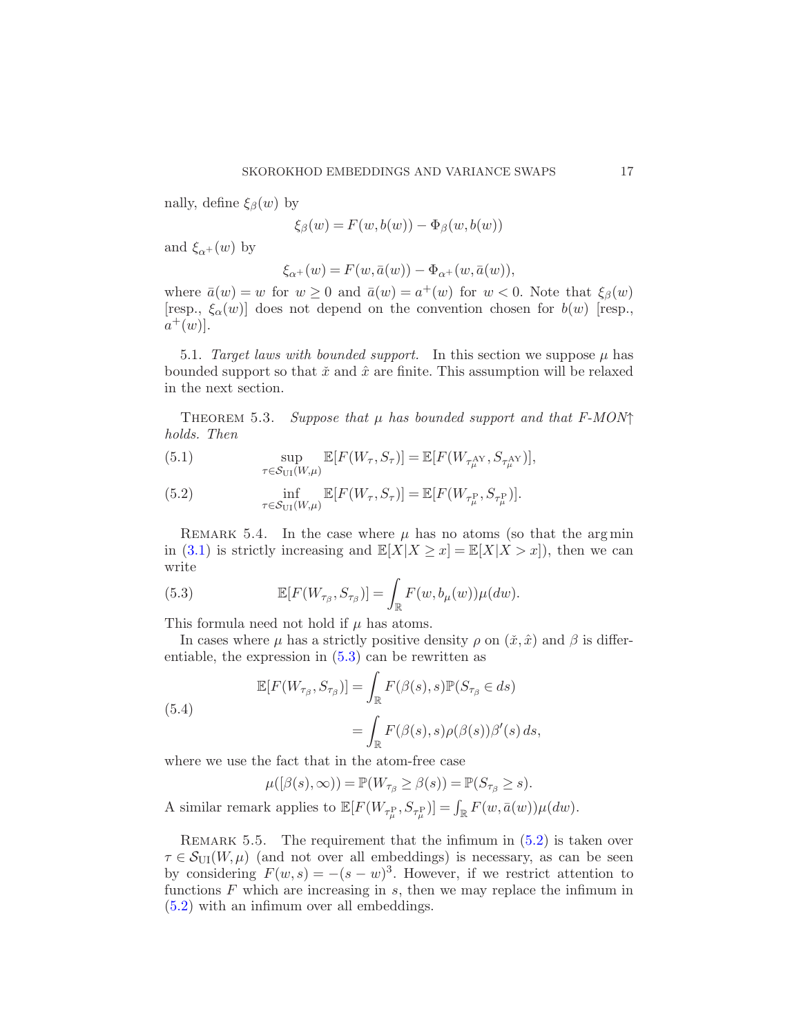nally, define  $\xi_{\beta}(w)$  by

$$
\xi_{\beta}(w) = F(w, b(w)) - \Phi_{\beta}(w, b(w))
$$

and  $\xi_{\alpha+}(w)$  by

<span id="page-16-0"></span>
$$
\xi_{\alpha^+}(w) = F(w, \bar{a}(w)) - \Phi_{\alpha^+}(w, \bar{a}(w)),
$$

where  $\bar{a}(w) = w$  for  $w \ge 0$  and  $\bar{a}(w) = a^+(w)$  for  $w < 0$ . Note that  $\xi_\beta(w)$ [resp.,  $\xi_{\alpha}(w)$ ] does not depend on the convention chosen for  $b(w)$  [resp.,  $a^+(w)$ ].

5.1. Target laws with bounded support. In this section we suppose  $\mu$  has bounded support so that  $\tilde{x}$  and  $\hat{x}$  are finite. This assumption will be relaxed in the next section.

THEOREM 5.3. Suppose that  $\mu$  has bounded support and that  $F-MON\uparrow$ holds. Then

<span id="page-16-2"></span>(5.1) 
$$
\sup_{\tau \in \mathcal{S}_{\text{UI}}(W,\mu)} \mathbb{E}[F(W_{\tau},S_{\tau})] = \mathbb{E}[F(W_{\tau_{\mu}^{\text{AY}}},S_{\tau_{\mu}^{\text{AY}}})],
$$

(5.2) 
$$
\inf_{\tau \in \mathcal{S}_{\text{UI}}(W,\mu)} \mathbb{E}[F(W_{\tau}, S_{\tau})] = \mathbb{E}[F(W_{\tau^{\text{P}}_{\mu}}, S_{\tau^{\text{P}}_{\mu}})].
$$

REMARK 5.4. In the case where  $\mu$  has no atoms (so that the argmin in [\(3.1\)](#page-5-2) is strictly increasing and  $\mathbb{E}[X|X \geq x] = \mathbb{E}[X|X > x]$ , then we can write

<span id="page-16-1"></span>(5.3) 
$$
\mathbb{E}[F(W_{\tau_{\beta}}, S_{\tau_{\beta}})] = \int_{\mathbb{R}} F(w, b_{\mu}(w)) \mu(dw).
$$

This formula need not hold if  $\mu$  has atoms.

In cases where  $\mu$  has a strictly positive density  $\rho$  on  $(\tilde{x}, \tilde{x})$  and  $\beta$  is differentiable, the expression in [\(5.3\)](#page-16-1) can be rewritten as

(5.4)  
\n
$$
\mathbb{E}[F(W_{\tau_{\beta}}, S_{\tau_{\beta}})] = \int_{\mathbb{R}} F(\beta(s), s) \mathbb{P}(S_{\tau_{\beta}} \in ds)
$$
\n
$$
= \int_{\mathbb{R}} F(\beta(s), s) \rho(\beta(s)) \beta'(s) ds,
$$

where we use the fact that in the atom-free case

$$
\mu([\beta(s),\infty)) = \mathbb{P}(W_{\tau_{\beta}} \geq \beta(s)) = \mathbb{P}(S_{\tau_{\beta}} \geq s).
$$

A similar remark applies to  $\mathbb{E}[F(W_{\tau^{\text{P}}_{\mu}}, S_{\tau^{\text{P}}_{\mu}})] = \int_{\mathbb{R}} F(w, \bar{a}(w)) \mu(dw)$ .

REMARK 5.5. The requirement that the infimum in  $(5.2)$  is taken over  $\tau \in \mathcal{S}_{\text{UI}}(W,\mu)$  (and not over all embeddings) is necessary, as can be seen by considering  $F(w, s) = -(s - w)^3$ . However, if we restrict attention to functions  $F$  which are increasing in  $s$ , then we may replace the infimum in [\(5.2\)](#page-16-2) with an infimum over all embeddings.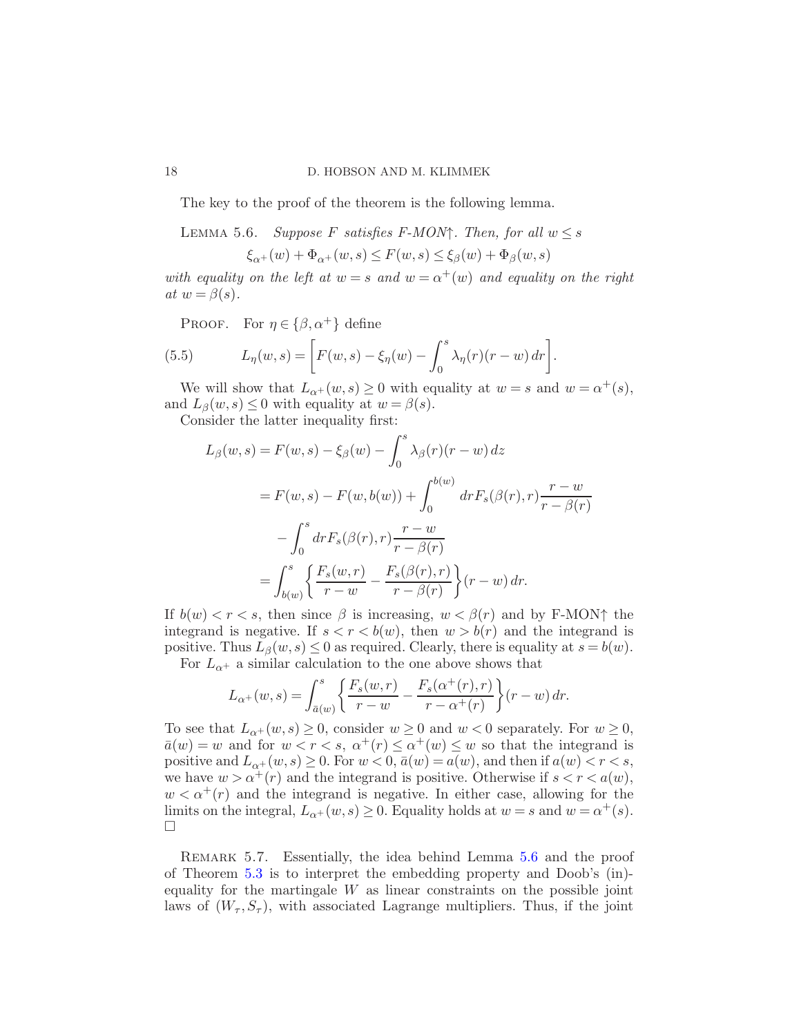The key to the proof of the theorem is the following lemma.

LEMMA 5.6. Suppose F satisfies F-MON $\uparrow$ . Then, for all  $w \leq s$ 

<span id="page-17-1"></span>
$$
\xi_{\alpha^+}(w) + \Phi_{\alpha^+}(w, s) \le F(w, s) \le \xi_{\beta}(w) + \Phi_{\beta}(w, s)
$$

with equality on the left at  $w = s$  and  $w = \alpha^+(w)$  and equality on the right at  $w = \beta(s)$ .

<span id="page-17-2"></span>PROOF. For  $\eta \in \{\beta, \alpha^+\}\$  define

(5.5) 
$$
L_{\eta}(w,s) = \left[ F(w,s) - \xi_{\eta}(w) - \int_0^s \lambda_{\eta}(r)(r-w) dr \right].
$$

We will show that  $L_{\alpha^+}(w, s) \geq 0$  with equality at  $w = s$  and  $w = \alpha^+(s)$ , and  $L_\beta(w, s) \leq 0$  with equality at  $w = \beta(s)$ .

Consider the latter inequality first:

$$
L_{\beta}(w, s) = F(w, s) - \xi_{\beta}(w) - \int_0^s \lambda_{\beta}(r)(r - w) dz
$$
  

$$
= F(w, s) - F(w, b(w)) + \int_0^{b(w)} dr F_s(\beta(r), r) \frac{r - w}{r - \beta(r)}
$$
  

$$
- \int_0^s dr F_s(\beta(r), r) \frac{r - w}{r - \beta(r)}
$$
  

$$
= \int_{b(w)}^s \left\{ \frac{F_s(w, r)}{r - w} - \frac{F_s(\beta(r), r)}{r - \beta(r)} \right\} (r - w) dr.
$$

If  $b(w) < r < s$ , then since  $\beta$  is increasing,  $w < \beta(r)$  and by F-MON $\uparrow$  the integrand is negative. If  $s < r < b(w)$ , then  $w > b(r)$  and the integrand is positive. Thus  $L_{\beta}(w, s) \leq 0$  as required. Clearly, there is equality at  $s = b(w)$ . For  $L_{\alpha^+}$  a similar calculation to the one above shows that

$$
L_{\alpha^+}(w,s) = \int_{\bar{a}(w)}^s \left\{ \frac{F_s(w,r)}{r-w} - \frac{F_s(\alpha^+(r),r)}{r-\alpha^+(r)} \right\} (r-w) dr.
$$

To see that  $L_{\alpha^+}(w,s) \geq 0$ , consider  $w \geq 0$  and  $w < 0$  separately. For  $w \geq 0$ ,  $\bar{a}(w) = w$  and for  $w < r < s$ ,  $\alpha^+(r) \leq \alpha^+(w) \leq w$  so that the integrand is positive and  $L_{\alpha^+}(w, s) \ge 0$ . For  $w < 0$ ,  $\bar{a}(w) = a(w)$ , and then if  $a(w) < r < s$ , we have  $w > \alpha^+(r)$  and the integrand is positive. Otherwise if  $s < r < a(w)$ ,  $w < \alpha^+(r)$  and the integrand is negative. In either case, allowing for the limits on the integral,  $L_{\alpha^+}(w, s) \ge 0$ . Equality holds at  $w = s$  and  $w = \alpha^+(s)$ .  $\Box$ 

<span id="page-17-0"></span>REMARK 5.7. Essentially, the idea behind Lemma [5.6](#page-17-1) and the proof of Theorem [5.3](#page-16-0) is to interpret the embedding property and Doob's (in) equality for the martingale  $W$  as linear constraints on the possible joint laws of  $(W_\tau, S_\tau)$ , with associated Lagrange multipliers. Thus, if the joint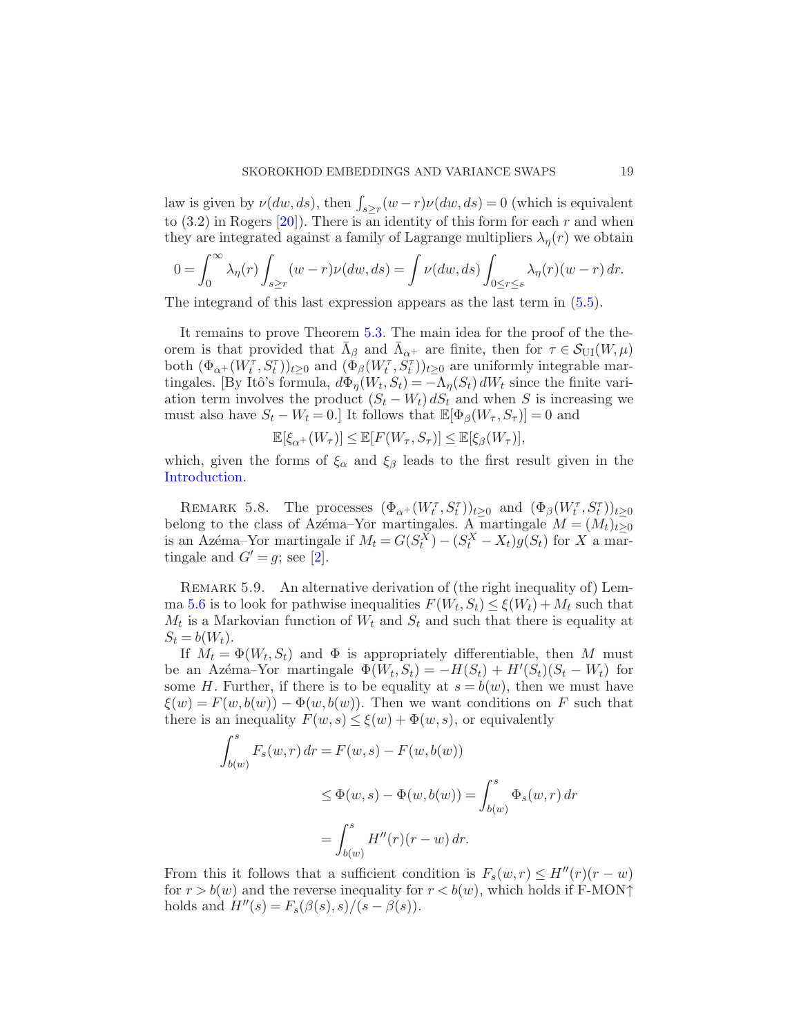law is given by  $\nu(dw, ds)$ , then  $\int_{s \ge r} (w - r) \nu(dw, ds) = 0$  (which is equivalent to  $(3.2)$  in Rogers  $[20]$ . There is an identity of this form for each r and when they are integrated against a family of Lagrange multipliers  $\lambda_n(r)$  we obtain

$$
0=\int_0^\infty \lambda_\eta(r)\int_{s\geq r} (w-r)\nu(dw,ds)=\int \nu(dw,ds)\int_{0\leq r\leq s} \lambda_\eta(r)(w-r)\,dr.
$$

The integrand of this last expression appears as the last term in [\(5.5\)](#page-17-2).

It remains to prove Theorem [5.3.](#page-16-0) The main idea for the proof of the theorem is that provided that  $\overline{\Lambda}_{\beta}$  and  $\overline{\Lambda}_{\alpha^{+}}$  are finite, then for  $\tau \in \mathcal{S}_{\text{UI}}(W,\mu)$ both  $(\Phi_{\alpha^+}(W_t^{\tau}, S_t^{\tau}))_{t\geq 0}$  and  $(\Phi_{\beta}(W_t^{\tau}, S_t^{\tau}))_{t\geq 0}$  are uniformly integrable martingales. [By Itô's formula,  $d\Phi_{\eta}(W_t, S_t) = -\Lambda_{\eta}(S_t) dW_t$  since the finite variation term involves the product  $(S_t - W_t) dS_t$  and when S is increasing we must also have  $S_t - W_t = 0$ . It follows that  $\mathbb{E}[\Phi_\beta(W_\tau, S_\tau)] = 0$  and

$$
\mathbb{E}[\xi_{\alpha+}(W_{\tau})] \leq \mathbb{E}[F(W_{\tau}, S_{\tau})] \leq \mathbb{E}[\xi_{\beta}(W_{\tau})],
$$

which, given the forms of  $\xi_{\alpha}$  and  $\xi_{\beta}$  leads to the first result given in the [Introduction.](#page-0-0)

REMARK 5.8. The processes  $(\Phi_{\alpha^+}(W_t^{\tau}, S_t^{\tau}))_{t\geq 0}$  and  $(\Phi_{\beta}(W_t^{\tau}, S_t^{\tau}))_{t\geq 0}$ belong to the class of Azéma–Yor martingales. A martingale  $M = (M_t)_{t\geq 0}$ is an Azéma–Yor martingale if  $M_t = G(S_t^X) - (S_t^X - X_t)g(S_t)$  for X a martingale and  $G' = g$ ; see [\[2\]](#page-32-4).

REMARK 5.9. An alternative derivation of (the right inequality of) Lem-ma [5.6](#page-17-1) is to look for pathwise inequalities  $F(W_t, S_t) \leq \xi(W_t) + M_t$  such that  $M_t$  is a Markovian function of  $W_t$  and  $S_t$  and such that there is equality at  $S_t = b(W_t)$ .

If  $M_t = \Phi(W_t, S_t)$  and  $\Phi$  is appropriately differentiable, then M must be an Azéma–Yor martingale  $\Phi(W_t, S_t) = -H(S_t) + H'(S_t)(S_t - W_t)$  for some H. Further, if there is to be equality at  $s = b(w)$ , then we must have  $\xi(w) = F(w, b(w)) - \Phi(w, b(w))$ . Then we want conditions on F such that there is an inequality  $F(w, s) \leq \xi(w) + \Phi(w, s)$ , or equivalently

$$
\int_{b(w)}^{s} F_s(w,r) dr = F(w, s) - F(w, b(w))
$$
  
\n
$$
\leq \Phi(w, s) - \Phi(w, b(w)) = \int_{b(w)}^{s} \Phi_s(w,r) dr
$$
  
\n
$$
= \int_{b(w)}^{s} H''(r)(r - w) dr.
$$

From this it follows that a sufficient condition is  $F_s(w, r) \leq H''(r)(r - w)$ for  $r > b(w)$  and the reverse inequality for  $r < b(w)$ , which holds if F-MON $\uparrow$ holds and  $H''(s) = F_s(\beta(s), s)/(s - \beta(s)).$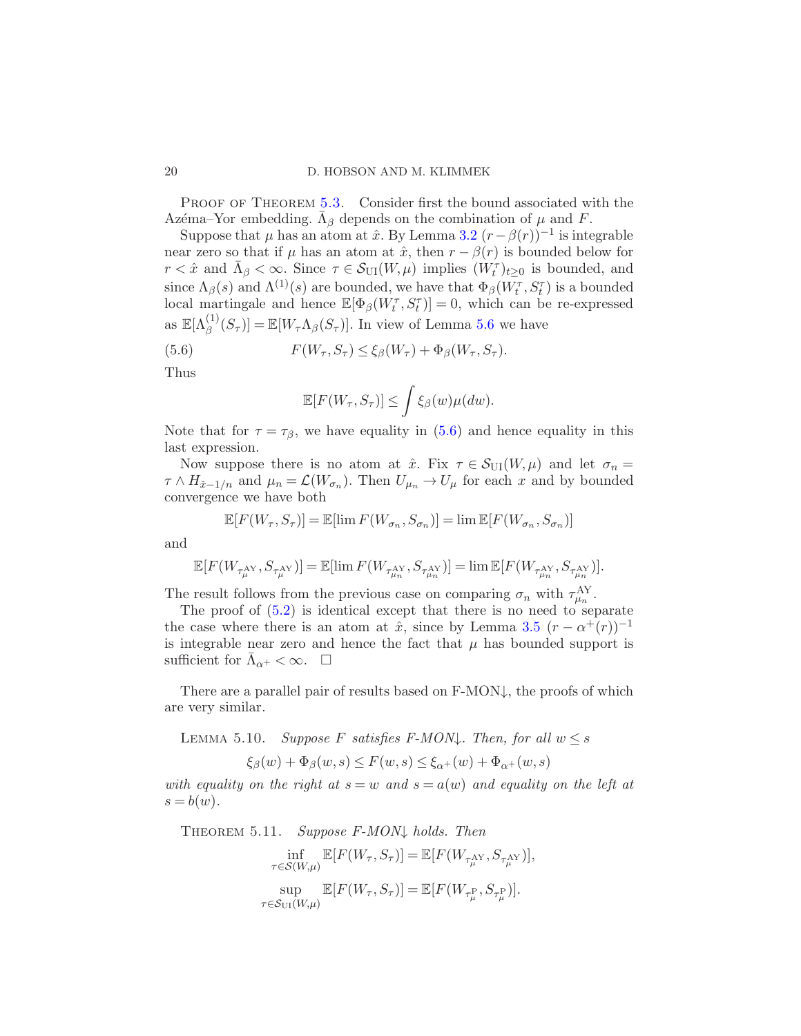#### 20 D. HOBSON AND M. KLIMMEK

PROOF OF THEOREM [5.3.](#page-16-0) Consider first the bound associated with the Azéma–Yor embedding.  $\bar{\Lambda}_{\beta}$  depends on the combination of  $\mu$  and  $F$ .

Suppose that  $\mu$  has an atom at  $\hat{x}$ . By Lemma [3.2](#page-6-5)  $(r - \beta(r))^{-1}$  is integrable near zero so that if  $\mu$  has an atom at  $\hat{x}$ , then  $r - \beta(r)$  is bounded below for  $r < \hat{x}$  and  $\bar{\Lambda}_{\beta} < \infty$ . Since  $\tau \in \mathcal{S}_{\text{UI}}(W,\mu)$  implies  $(\hat{W}_t^{\tau})_{t \geq 0}$  is bounded, and since  $\Lambda_{\beta}(s)$  and  $\Lambda^{(1)}(s)$  are bounded, we have that  $\Phi_{\beta}(W_t^{\tau}, S_t^{\tau})$  is a bounded local martingale and hence  $\mathbb{E}[\Phi_{\beta}(W_t^{\tau}, S_t^{\tau})] = 0$ , which can be re-expressed as  $\mathbb{E}[\Lambda_{\beta}^{(1)}(S_{\tau})] = \mathbb{E}[W_{\tau}\Lambda_{\beta}(S_{\tau})]$ . In view of Lemma [5.6](#page-17-1) we have

(5.6) 
$$
F(W_{\tau}, S_{\tau}) \leq \xi_{\beta}(W_{\tau}) + \Phi_{\beta}(W_{\tau}, S_{\tau}).
$$

Thus

<span id="page-19-0"></span>
$$
\mathbb{E}[F(W_{\tau}, S_{\tau})] \leq \int \xi_{\beta}(w) \mu(dw).
$$

Note that for  $\tau = \tau_{\beta}$ , we have equality in [\(5.6\)](#page-19-0) and hence equality in this last expression.

Now suppose there is no atom at  $\hat{x}$ . Fix  $\tau \in \mathcal{S}_{\text{UI}}(W,\mu)$  and let  $\sigma_n =$  $\tau \wedge H_{\tilde{x}-1/n}$  and  $\mu_n = \mathcal{L}(W_{\sigma_n})$ . Then  $U_{\mu_n} \to U_{\mu}$  for each x and by bounded convergence we have both

$$
\mathbb{E}[F(W_{\tau}, S_{\tau})] = \mathbb{E}[\lim F(W_{\sigma_n}, S_{\sigma_n})] = \lim \mathbb{E}[F(W_{\sigma_n}, S_{\sigma_n})]
$$

and

$$
\mathbb{E}[F(W_{\tau_\mu^{\rm A\!Y}},S_{\tau_\mu^{\rm A\!Y}})]=\mathbb{E}[\lim F(W_{\tau_{\mu_n}^{\rm A\!Y}},S_{\tau_{\mu_n}^{\rm A\!Y}})]=\lim \mathbb{E}[F(W_{\tau_{\mu_n}^{\rm A\!Y}},S_{\tau_{\mu_n}^{\rm A\!Y}})].
$$

The result follows from the previous case on comparing  $\sigma_n$  with  $\tau_{\mu_n}^{\text{AY}}$ .

The proof of  $(5.2)$  is identical except that there is no need to separate the case where there is an atom at  $\hat{x}$ , since by Lemma [3.5](#page-9-2)  $(r - \alpha^+(r))^{-1}$ is integrable near zero and hence the fact that  $\mu$  has bounded support is sufficient for  $\bar{\Lambda}_{\alpha^+} < \infty$ .  $\Box$ 

There are a parallel pair of results based on  $F-MON\downarrow$ , the proofs of which are very similar.

LEMMA 5.10. Suppose F satisfies F-MON $\downarrow$ . Then, for all  $w \leq s$ 

$$
\xi_{\beta}(w) + \Phi_{\beta}(w, s) \le F(w, s) \le \xi_{\alpha+}(w) + \Phi_{\alpha+}(w, s)
$$

with equality on the right at  $s = w$  and  $s = a(w)$  and equality on the left at  $s = b(w)$ .

<span id="page-19-1"></span>Theorem 5.11. Suppose F-MON↓ holds. Then

$$
\inf_{\tau \in \mathcal{S}(W,\mu)} \mathbb{E}[F(W_{\tau}, S_{\tau})] = \mathbb{E}[F(W_{\tau_{\mu}^{\text{AY}}}, S_{\tau_{\mu}^{\text{AY}}})],
$$
  
 
$$
\sup_{\tau \in \mathcal{S}_{\text{UI}}(W,\mu)} \mathbb{E}[F(W_{\tau}, S_{\tau})] = \mathbb{E}[F(W_{\tau_{\mu}^{\text{P}}}, S_{\tau_{\mu}^{\text{P}}})].
$$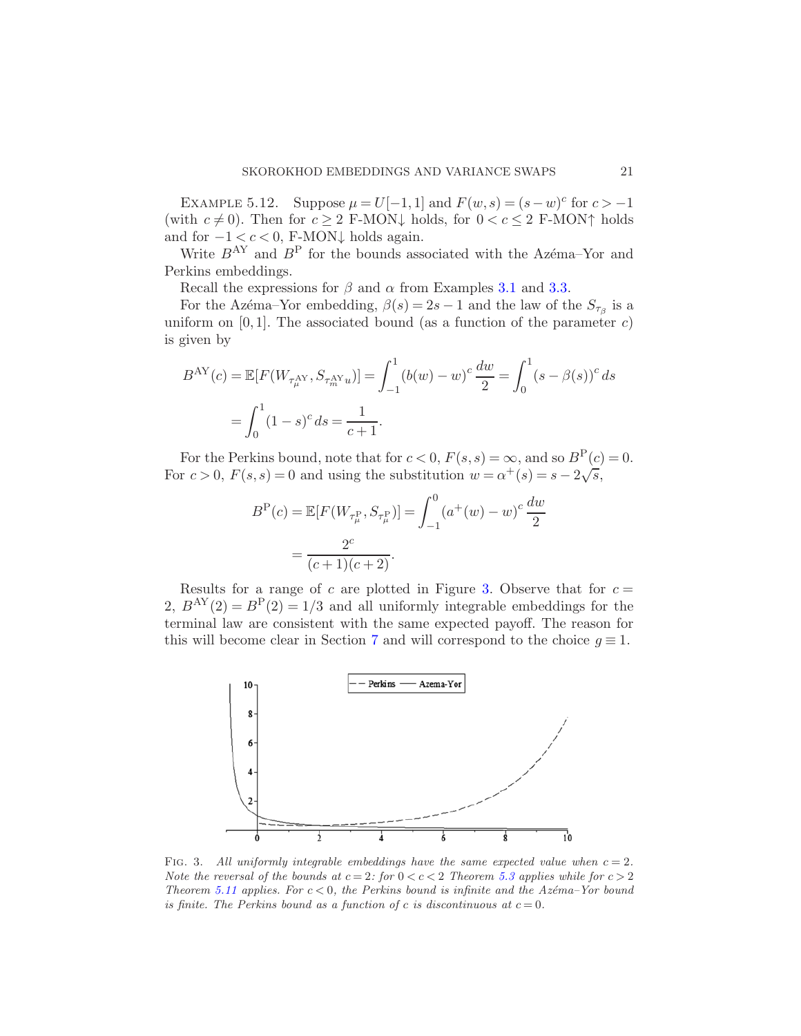EXAMPLE 5.12. Suppose  $\mu = U[-1,1]$  and  $F(w, s) = (s-w)^c$  for  $c > -1$ (with  $c \neq 0$ ). Then for  $c \geq 2$  F-MON $\downarrow$  holds, for  $0 < c \leq 2$  F-MON $\uparrow$  holds and for  $-1 < c < 0$ , F-MON $\downarrow$  holds again.

Write  $B^{AY}$  and  $B^P$  for the bounds associated with the Azema–Yor and Perkins embeddings.

Recall the expressions for  $\beta$  and  $\alpha$  from Examples [3.1](#page-6-4) and [3.3.](#page-8-0)

For the Azema–Yor embedding,  $\beta(s) = 2s - 1$  and the law of the  $S_{\tau_{\beta}}$  is a uniform on  $[0, 1]$ . The associated bound (as a function of the parameter c) is given by

$$
B^{\text{AY}}(c) = \mathbb{E}[F(W_{\tau_{\mu}^{\text{AY}}}, S_{\tau_{m}^{\text{AY}}u})] = \int_{-1}^{1} (b(w) - w)^{c} \frac{dw}{2} = \int_{0}^{1} (s - \beta(s))^{c} ds
$$

$$
= \int_{0}^{1} (1 - s)^{c} ds = \frac{1}{c + 1}.
$$

For the Perkins bound, note that for  $c < 0$ ,  $F(s, s) = \infty$ , and so  $B<sup>P</sup>(c) = 0$ . For  $c > 0$ ,  $F(s, s) = 0$  and using the substitution  $w = \alpha^+(s) = s - 2\sqrt{s}$ ,

$$
B^{P}(c) = \mathbb{E}[F(W_{\tau_{\mu}^{P}}, S_{\tau_{\mu}^{P}})] = \int_{-1}^{0} (a^{+}(w) - w)^{c} \frac{dw}{2}
$$

$$
= \frac{2^{c}}{(c+1)(c+2)}.
$$

Results for a range of c are plotted in Figure [3.](#page-20-0) Observe that for  $c =$ 2,  $B^{AY}(2) = B^{P}(2) = 1/3$  and all uniformly integrable embeddings for the terminal law are consistent with the same expected payoff. The reason for this will become clear in Section [7](#page-23-1) and will correspond to the choice  $g \equiv 1$ .



<span id="page-20-0"></span>FIG. 3. All uniformly integrable embeddings have the same expected value when  $c = 2$ . *Note the reversal of the bounds at*  $c = 2$ *: for*  $0 < c < 2$  *Theorem [5.3](#page-16-0) applies while for*  $c > 2$ *Theorem* [5.11](#page-19-1) applies. For  $c < 0$ , the Perkins bound is infinite and the Az $\acute{e}$ ma–Yor bound *is finite. The Perkins bound as a function of c is discontinuous at*  $c = 0$ *.*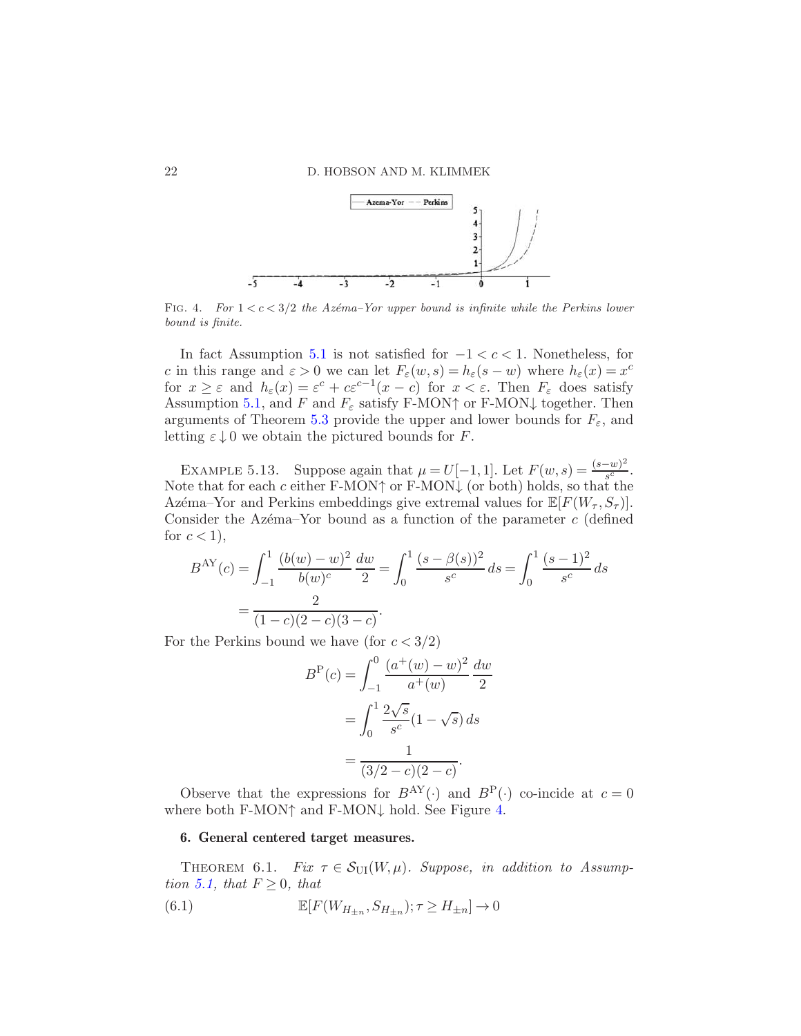

<span id="page-21-0"></span>FIG. 4. *For*  $1 < c < 3/2$  *the Azéma–Yor upper bound is infinite while the Perkins lower bound is finite.*

In fact Assumption [5.1](#page-15-0) is not satisfied for  $-1 < c < 1$ . Nonetheless, for c in this range and  $\varepsilon > 0$  we can let  $F_{\varepsilon}(w, s) = h_{\varepsilon}(s - w)$  where  $h_{\varepsilon}(x) = x^c$ for  $x \geq \varepsilon$  and  $h_{\varepsilon}(x) = \varepsilon^{c} + c\varepsilon^{c-1}(x-c)$  for  $x < \varepsilon$ . Then  $F_{\varepsilon}$  does satisfy Assumption [5.1,](#page-15-0) and F and  $F_{\varepsilon}$  satisfy F-MON $\uparrow$  or F-MON $\downarrow$  together. Then arguments of Theorem [5.3](#page-16-0) provide the upper and lower bounds for  $F_{\varepsilon}$ , and letting  $\varepsilon \downarrow 0$  we obtain the pictured bounds for F.

<span id="page-21-3"></span>EXAMPLE 5.13. Suppose again that  $\mu = U[-1,1]$ . Let  $F(w,s) = \frac{(s-w)^2}{s^c}$  $\frac{-w_j}{s^c}$ . Note that for each c either F-MON $\uparrow$  or F-MON $\downarrow$  (or both) holds, so that the Azema–Yor and Perkins embeddings give extremal values for  $\mathbb{E}[F(W_\tau, S_\tau)].$ Consider the Azema–Yor bound as a function of the parameter  $c$  (defined for  $c < 1$ ,

$$
B^{\text{AY}}(c) = \int_{-1}^{1} \frac{(b(w) - w)^2}{b(w)^c} \frac{dw}{2} = \int_{0}^{1} \frac{(s - \beta(s))^2}{s^c} ds = \int_{0}^{1} \frac{(s - 1)^2}{s^c} ds
$$

$$
= \frac{2}{(1 - c)(2 - c)(3 - c)}.
$$

For the Perkins bound we have (for  $c < 3/2$ )

$$
B^{P}(c) = \int_{-1}^{0} \frac{(a^{+}(w) - w)^{2}}{a^{+}(w)} \frac{dw}{2}
$$

$$
= \int_{0}^{1} \frac{2\sqrt{s}}{s^{c}} (1 - \sqrt{s}) ds
$$

$$
= \frac{1}{(3/2 - c)(2 - c)}.
$$

Observe that the expressions for  $B^{AY}(\cdot)$  and  $B^P(\cdot)$  co-incide at  $c = 0$ where both F-MON↑ and F-MON↓ hold. See Figure [4.](#page-21-0)

#### <span id="page-21-2"></span>6. General centered target measures.

THEOREM 6.1. Fix  $\tau \in \mathcal{S}_{\text{UI}}(W,\mu)$ . Suppose, in addition to Assump-tion [5.1,](#page-15-0) that  $F \geq 0$ , that

<span id="page-21-1"></span>(6.1) 
$$
\mathbb{E}[F(W_{H_{\pm n}}, S_{H_{\pm n}}); \tau \ge H_{\pm n}] \to 0
$$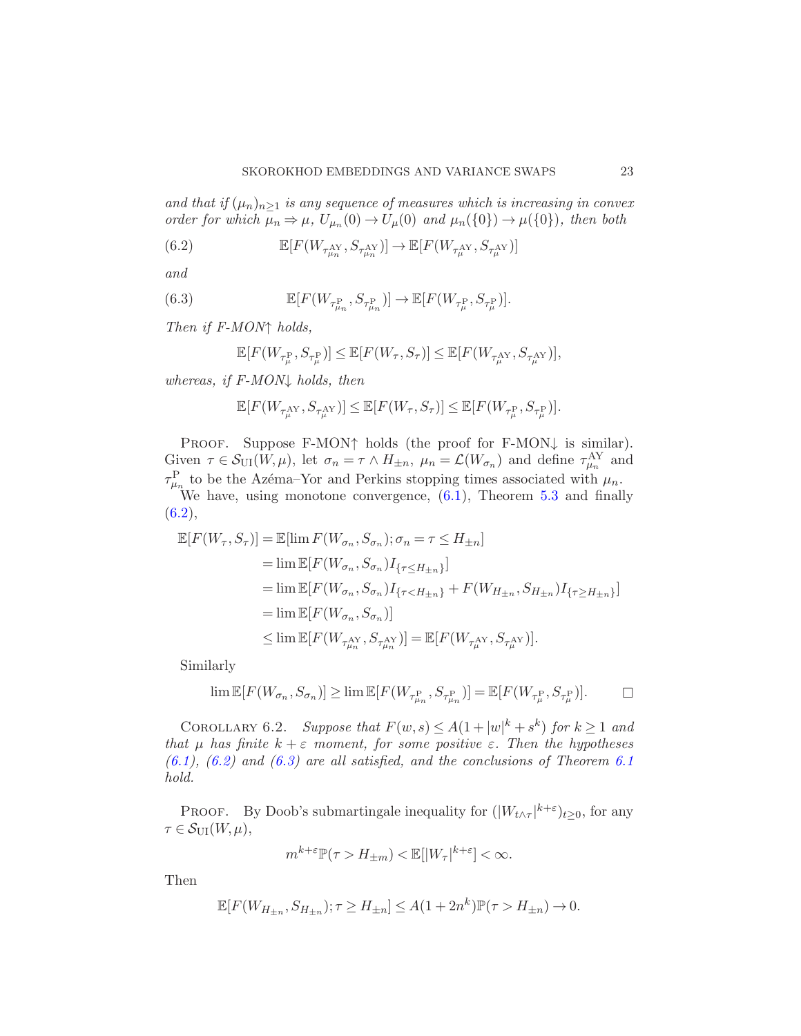and that if  $(\mu_n)_{n\geq 1}$  is any sequence of measures which is increasing in convex order for which  $\mu_n \Rightarrow \mu$ ,  $U_{\mu_n}(0) \rightarrow U_{\mu}(0)$  and  $\mu_n({0}) \rightarrow \mu({0})$ , then both

<span id="page-22-0"></span>(6.2) 
$$
\mathbb{E}[F(W_{\tau_{\mu_n}^{\text{AY}}}, S_{\tau_{\mu_n}^{\text{AY}}})] \to \mathbb{E}[F(W_{\tau_{\mu}^{\text{AY}}}, S_{\tau_{\mu}^{\text{AY}}})]
$$

and

(6.3) 
$$
\mathbb{E}[F(W_{\tau^{\text{P}}_{\mu_n}}, S_{\tau^{\text{P}}_{\mu_n}})] \to \mathbb{E}[F(W_{\tau^{\text{P}}_{\mu}}, S_{\tau^{\text{P}}_{\mu}})].
$$

Then if F-MON↑ holds,

<span id="page-22-1"></span>
$$
\mathbb{E}[F(W_{\tau^{\mathrm{P}}_{\mu}},S_{\tau^{\mathrm{P}}_{\mu}})]\leq \mathbb{E}[F(W_{\tau},S_{\tau})]\leq \mathbb{E}[F(W_{\tau^{\mathrm{AY}}_{\mu}},S_{\tau^{\mathrm{AY}}_{\mu}})],
$$

whereas, if  $F-MON\downarrow$  holds, then

$$
\mathbb{E}[F(W_{\tau_{\mu}^{\mathrm{AY}}}, S_{\tau_{\mu}^{\mathrm{AY}}})] \leq \mathbb{E}[F(W_{\tau}, S_{\tau})] \leq \mathbb{E}[F(W_{\tau_{\mu}^{\mathrm{P}}}, S_{\tau_{\mu}^{\mathrm{P}}})].
$$

Proof. Suppose F-MON↑ holds (the proof for F-MON↓ is similar). Given  $\tau \in \mathcal{S}_{\text{UI}}(W,\mu)$ , let  $\sigma_n = \tau \wedge H_{\pm n}$ ,  $\mu_n = \mathcal{L}(W_{\sigma_n})$  and define  $\tau_{\mu_n}^{\text{AY}}$  and  $\tau_{\mu_n}^{\rm P}$  to be the Azéma–Yor and Perkins stopping times associated with  $\mu_n$ . We have, using monotone convergence, [\(6.1\)](#page-21-1), Theorem [5.3](#page-16-0) and finally  $(6.2),$  $(6.2),$ 

$$
\mathbb{E}[F(W_{\tau}, S_{\tau})] = \mathbb{E}[\lim F(W_{\sigma_n}, S_{\sigma_n}); \sigma_n = \tau \le H_{\pm n}]
$$
  
\n
$$
= \lim \mathbb{E}[F(W_{\sigma_n}, S_{\sigma_n}) I_{\{\tau \le H_{\pm n}\}}]
$$
  
\n
$$
= \lim \mathbb{E}[F(W_{\sigma_n}, S_{\sigma_n}) I_{\{\tau < H_{\pm n}\}} + F(W_{H_{\pm n}}, S_{H_{\pm n}}) I_{\{\tau \ge H_{\pm n}\}}]
$$
  
\n
$$
= \lim \mathbb{E}[F(W_{\sigma_n}, S_{\sigma_n})]
$$
  
\n
$$
\le \lim \mathbb{E}[F(W_{\tau_{\mu_n}^{\text{AY}}}, S_{\tau_{\mu_n}^{\text{AY}}})] = \mathbb{E}[F(W_{\tau_{\mu}^{\text{AY}}}, S_{\tau_{\mu}^{\text{AY}}})].
$$

Similarly

$$
\lim \mathbb{E}[F(W_{\sigma_n}, S_{\sigma_n})] \ge \lim \mathbb{E}[F(W_{\tau^{\mathrm{P}}_{\mu_n}}, S_{\tau^{\mathrm{P}}_{\mu_n}})] = \mathbb{E}[F(W_{\tau^{\mathrm{P}}_{\mu}}, S_{\tau^{\mathrm{P}}_{\mu}})]. \qquad \Box
$$

COROLLARY 6.2. Suppose that  $F(w, s) \leq A(1+|w|^k + s^k)$  for  $k \geq 1$  and that  $\mu$  has finite  $k + \varepsilon$  moment, for some positive  $\varepsilon$ . Then the hypotheses  $(6.1)$ ,  $(6.2)$  and  $(6.3)$  are all satisfied, and the conclusions of Theorem [6.1](#page-21-2) hold.

**PROOF.** By Doob's submartingale inequality for  $(|W_{t\wedge\tau}|^{k+\epsilon})_{t\geq0}$ , for any  $\tau \in \mathcal{S}_{\text{UI}}(W,\mu),$ 

$$
m^{k+\varepsilon} \mathbb{P}(\tau > H_{\pm m}) < \mathbb{E}[|W_\tau|^{k+\varepsilon}] < \infty.
$$

Then

$$
\mathbb{E}[F(W_{H_{\pm n}}, S_{H_{\pm n}}); \tau \ge H_{\pm n}] \le A(1 + 2n^k)\mathbb{P}(\tau > H_{\pm n}) \to 0.
$$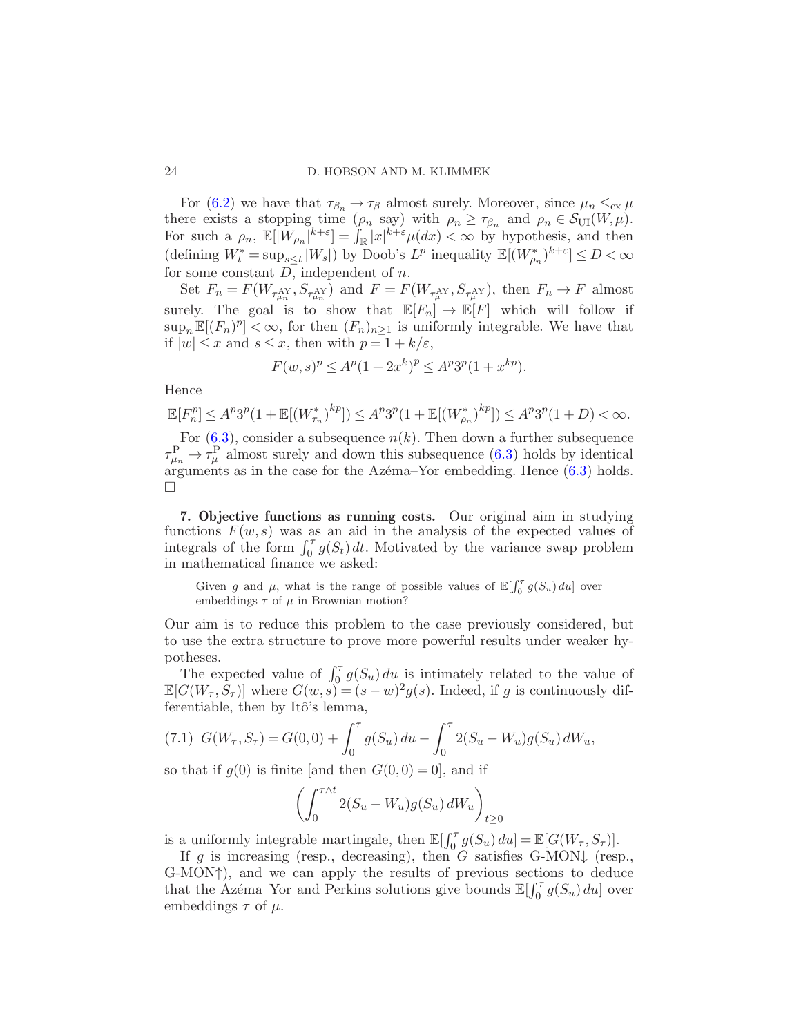For [\(6.2\)](#page-22-0) we have that  $\tau_{\beta_n} \to \tau_\beta$  almost surely. Moreover, since  $\mu_n \leq_{\text{cx}} \mu$ there exists a stopping time  $(\rho_n \text{ say})$  with  $\rho_n \geq \tau_{\beta_n}$  and  $\rho_n \in \mathcal{S}_{\text{UI}}(W,\mu)$ . For such a  $\rho_n$ ,  $\mathbb{E}[\tilde{W}_{\rho_n}]^{k+\varepsilon} = \int_{\mathbb{R}} |x|^{k+\varepsilon} \mu(dx) < \infty$  by hypothesis, and then  $(\mbox{defining}\ W_t^*=\mbox{sup}_{s\leq t}\ |W_s|)\ \mbox{by Doob's}\ L^p\ \mbox{inequality}\ \mathbb{E}[(W_{\rho_n}^*)^{k+\varepsilon}]\leq D<\infty$ for some constant  $D$ , independent of  $n$ .

Set  $F_n = F(W_{\tau_{\mu_n}^{AY}}, S_{\tau_{\mu_n}^{AY}})$  and  $F = F(W_{\tau_{\mu}^{AY}}, S_{\tau_{\mu}^{AY}})$ , then  $F_n \to F$  almost surely. The goal is to show that  $\mathbb{E}[F_n] \to \mathbb{E}[F]$  which will follow if  $\sup_n \mathbb{E}[(F_n)^p] < \infty$ , for then  $(F_n)_{n \geq 1}$  is uniformly integrable. We have that if  $|w| \leq x$  and  $s \leq x$ , then with  $p = 1 + k/\varepsilon$ ,

$$
F(w, s)^p \le A^p (1 + 2x^k)^p \le A^p 3^p (1 + x^{kp}).
$$

Hence

$$
\mathbb{E}[F_n^p] \le A^p 3^p (1 + \mathbb{E}[(W_{\tau_n}^*)^{kp}]) \le A^p 3^p (1 + \mathbb{E}[(W_{\rho_n}^*)^{kp}]) \le A^p 3^p (1 + D) < \infty.
$$

For  $(6.3)$ , consider a subsequence  $n(k)$ . Then down a further subsequence  $\tau_{\mu_n}^{\rm P} \rightarrow \tau_{\mu}^{\rm P}$  almost surely and down this subsequence [\(6.3\)](#page-22-1) holds by identical arguments as in the case for the Azema–Yor embedding. Hence  $(6.3)$  holds.  $\Box$ 

<span id="page-23-1"></span>7. Objective functions as running costs. Our original aim in studying functions  $F(w, s)$  was as an aid in the analysis of the expected values of integrals of the form  $\int_0^{\tau} g(S_t) dt$ . Motivated by the variance swap problem in mathematical finance we asked:

Given g and  $\mu$ , what is the range of possible values of  $\mathbb{E}[\int_0^{\tau} g(S_u) du]$  over embeddings  $\tau$  of  $\mu$  in Brownian motion?

Our aim is to reduce this problem to the case previously considered, but to use the extra structure to prove more powerful results under weaker hypotheses.

The expected value of  $\int_0^{\tau} g(S_u) du$  is intimately related to the value of  $\mathbb{E}[G(W_\tau, S_\tau)]$  where  $G(w, s) = (s - w)^2 g(s)$ . Indeed, if g is continuously differentiable, then by Itô's lemma,

<span id="page-23-2"></span>(7.1) 
$$
G(W_{\tau}, S_{\tau}) = G(0, 0) + \int_0^{\tau} g(S_u) du - \int_0^{\tau} 2(S_u - W_u) g(S_u) dW_u,
$$

so that if  $g(0)$  is finite [and then  $G(0,0) = 0$ ], and if

<span id="page-23-0"></span>
$$
\left(\int_0^{\tau \wedge t} 2(S_u - W_u) g(S_u) dW_u\right)_{t \ge 0}
$$

is a uniformly integrable martingale, then  $\mathbb{E}[\int_0^{\tau} g(S_u) du] = \mathbb{E}[G(W_{\tau}, S_{\tau})].$ 

If g is increasing (resp., decreasing), then G satisfies G-MON $\downarrow$  (resp., G-MON↑), and we can apply the results of previous sections to deduce that the Azéma–Yor and Perkins solutions give bounds  $\mathbb{E}[\int_0^{\tau} g(S_u) du]$  over embeddings  $\tau$  of  $\mu$ .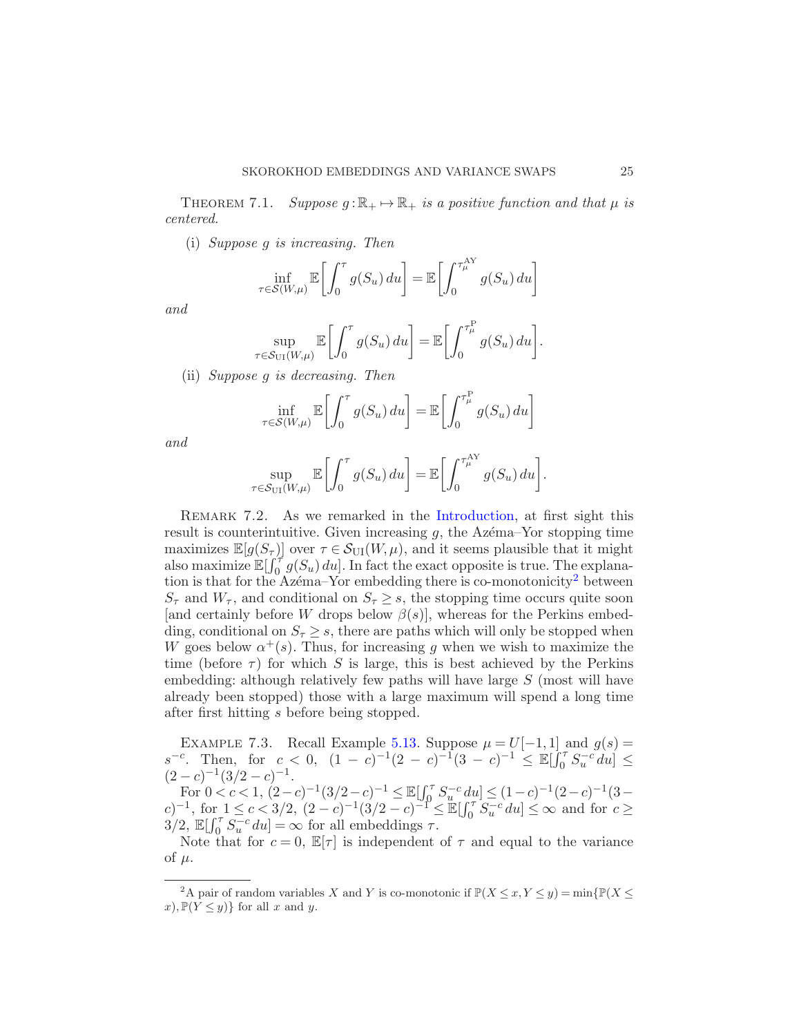THEOREM 7.1. Suppose  $q : \mathbb{R}_+ \mapsto \mathbb{R}_+$  is a positive function and that  $\mu$  is centered.

(i) Suppose g is increasing. Then

$$
\inf_{\tau \in \mathcal{S}(W,\mu)} \mathbb{E}\left[\int_0^{\tau} g(S_u) \, du\right] = \mathbb{E}\left[\int_0^{\tau_{\mu}^{\mathrm{AY}}} g(S_u) \, du\right]
$$

and

$$
\sup_{\tau \in \mathcal{S}_{\text{UI}}(W,\mu)} \mathbb{E}\bigg[\int_0^{\tau} g(S_u) \, du\bigg] = \mathbb{E}\bigg[\int_0^{\tau_{\mu}^{\text{P}}} g(S_u) \, du\bigg].
$$

(ii) Suppose g is decreasing. Then

$$
\inf_{\tau \in \mathcal{S}(W,\mu)} \mathbb{E}\left[\int_0^{\tau} g(S_u) \, du\right] = \mathbb{E}\left[\int_0^{\tau_{\mu}^{\mathbb{P}}} g(S_u) \, du\right]
$$

and

$$
\sup_{\tau \in \mathcal{S}_{\text{UI}}(W,\mu)} \mathbb{E}\bigg[\int_0^{\tau} g(S_u) \, du\bigg] = \mathbb{E}\bigg[\int_0^{\tau_{\mu}^{\text{AY}}} g(S_u) \, du\bigg].
$$

<span id="page-24-0"></span>REMARK 7.2. As we remarked in the [Introduction,](#page-0-0) at first sight this result is counterintuitive. Given increasing  $g$ , the Azema–Yor stopping time maximizes  $\mathbb{E}[g(S_{\tau})]$  over  $\tau \in \mathcal{S}_{\text{UI}}(W,\mu)$ , and it seems plausible that it might also maximize  $\mathbb{E}[\int_0^{\tau} g(S_u) du]$ . In fact the exact opposite is true. The explana-tion is that for the Azema–Yor embedding there is co-monotonicity<sup>[2](#page-24-1)</sup> between  $S_{\tau}$  and  $W_{\tau}$ , and conditional on  $S_{\tau} \geq s$ , the stopping time occurs quite soon [and certainly before W drops below  $\beta(s)$ ], whereas for the Perkins embedding, conditional on  $S_\tau \geq s$ , there are paths which will only be stopped when W goes below  $\alpha^+(s)$ . Thus, for increasing g when we wish to maximize the time (before  $\tau$ ) for which S is large, this is best achieved by the Perkins embedding: although relatively few paths will have large S (most will have already been stopped) those with a large maximum will spend a long time after first hitting s before being stopped.

EXAMPLE 7.3. Recall Example [5.13.](#page-21-3) Suppose  $\mu = U[-1,1]$  and  $g(s) =$  $s^{-c}$ . Then, for  $c < 0$ ,  $(1 - c)^{-1}(2 - c)^{-1}(3 - c)^{-1} \leq \mathbb{E}[\int_0^{\tau} S_u^{-c} du] \leq$  $(2-c)^{-1}(3/2-c)^{-1}.$ 

 $\text{For } 0 < c < 1, \ (2-c)^{-1}(3/2-c)^{-1} \leq \mathbb{E}[\int_0^\tau S_u^{-c} du] \leq (1-c)^{-1}(2-c)^{-1}(3-c)$  $(c)$ <sup>-1</sup>, for 1 ≤ c < 3/2,  $(2 - c)^{-1}(3/2 - c)^{-1} \leq \mathbb{E}[\int_0^\tau S_u^{-c} du] \leq \infty$  and for  $c \geq$  $3/2$ ,  $\mathbb{E}[\int_0^{\tau} \overline{S}_u^{-c} du] = \infty$  for all embeddings  $\tau$ .

Note that for  $c = 0$ ,  $\mathbb{E}[\tau]$  is independent of  $\tau$  and equal to the variance of  $\mu$ .

<span id="page-24-1"></span><sup>&</sup>lt;sup>2</sup>A pair of random variables X and Y is co-monotonic if  $\mathbb{P}(X \leq x, Y \leq y) = \min\{\mathbb{P}(X \leq x, Y \leq y)\}$  $x), \mathbb{P}(Y \leq y) \}$  for all x and y.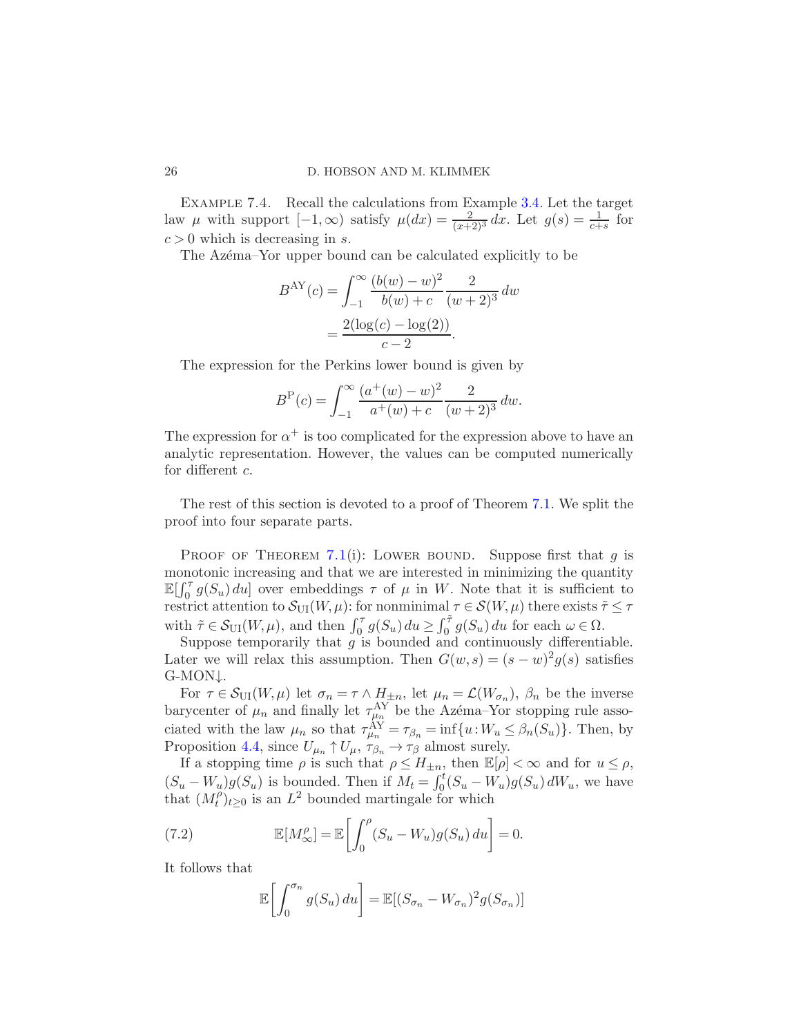Example 7.4. Recall the calculations from Example [3.4.](#page-8-1) Let the target law  $\mu$  with support  $[-1,\infty)$  satisfy  $\mu(dx) = \frac{2}{(x+2)^3} dx$ . Let  $g(s) = \frac{1}{c+s}$  for  $c > 0$  which is decreasing in s.

The Azema–Yor upper bound can be calculated explicitly to be

$$
B^{\text{AY}}(c) = \int_{-1}^{\infty} \frac{(b(w) - w)^2}{b(w) + c} \frac{2}{(w+2)^3} dw
$$

$$
= \frac{2(\log(c) - \log(2))}{c - 2}.
$$

The expression for the Perkins lower bound is given by

$$
BP(c) = \int_{-1}^{\infty} \frac{(a^+(w) - w)^2}{a^+(w) + c} \frac{2}{(w+2)^3} dw.
$$

The expression for  $\alpha^+$  is too complicated for the expression above to have an analytic representation. However, the values can be computed numerically for different c.

The rest of this section is devoted to a proof of Theorem [7.1.](#page-23-0) We split the proof into four separate parts.

PROOF OF THEOREM [7.1](#page-23-0)(i): LOWER BOUND. Suppose first that q is monotonic increasing and that we are interested in minimizing the quantity  $\mathbb{E}[\int_0^{\tau} g(S_u) du]$  over embeddings  $\tau$  of  $\mu$  in W. Note that it is sufficient to restrict attention to  $\mathcal{S}_{\text{UI}}(W,\mu)$ : for nonminimal  $\tau \in \mathcal{S}(W,\mu)$  there exists  $\tilde{\tau} \leq \tau$ with  $\tilde{\tau} \in \mathcal{S}_{\text{UI}}(W, \mu)$ , and then  $\int_0^{\tau} g(S_u) du \geq \int_0^{\tilde{\tau}} g(S_u) du$  for each  $\omega \in \Omega$ .

Suppose temporarily that  $g$  is bounded and continuously differentiable. Later we will relax this assumption. Then  $G(w, s) = (s - w)^2 g(s)$  satisfies G-MON↓.

For  $\tau \in \mathcal{S}_{\text{UI}}(W,\mu)$  let  $\sigma_n = \tau \wedge H_{\pm n}$ , let  $\mu_n = \mathcal{L}(W_{\sigma_n})$ ,  $\beta_n$  be the inverse barycenter of  $\mu_n$  and finally let  $\tau_{\mu_n}^{\rm AY}$  be the Azema–Yor stopping rule associated with the law  $\mu_n$  so that  $\tau_{\mu_n}^{AY} = \tau_{\beta_n} = \inf\{u : W_u \leq \beta_n(S_u)\}\.$  Then, by Proposition [4.4,](#page-11-1) since  $U_{\mu_n} \uparrow U_{\mu}, \tau_{\beta_n} \to \tau_{\beta}$  almost surely.

If a stopping time  $\rho$  is such that  $\rho \leq H_{\pm n}$ , then  $\mathbb{E}[\rho] < \infty$  and for  $u \leq \rho$ ,  $(S_u - W_u)g(S_u)$  is bounded. Then if  $M_t = \int_0^t (S_u - W_u)g(S_u) dW_u$ , we have that  $(M_t^{\rho})$  $(t<sup>0</sup>)<sub>t</sub> \geq 0$  is an  $L<sup>2</sup>$  bounded martingale for which

(7.2) 
$$
\mathbb{E}[M^{\rho}_{\infty}] = \mathbb{E}\left[\int_0^{\rho} (S_u - W_u)g(S_u) du\right] = 0.
$$

It follows that

<span id="page-25-0"></span>
$$
\mathbb{E}\left[\int_0^{\sigma_n} g(S_u) du\right] = \mathbb{E}[(S_{\sigma_n} - W_{\sigma_n})^2 g(S_{\sigma_n})]
$$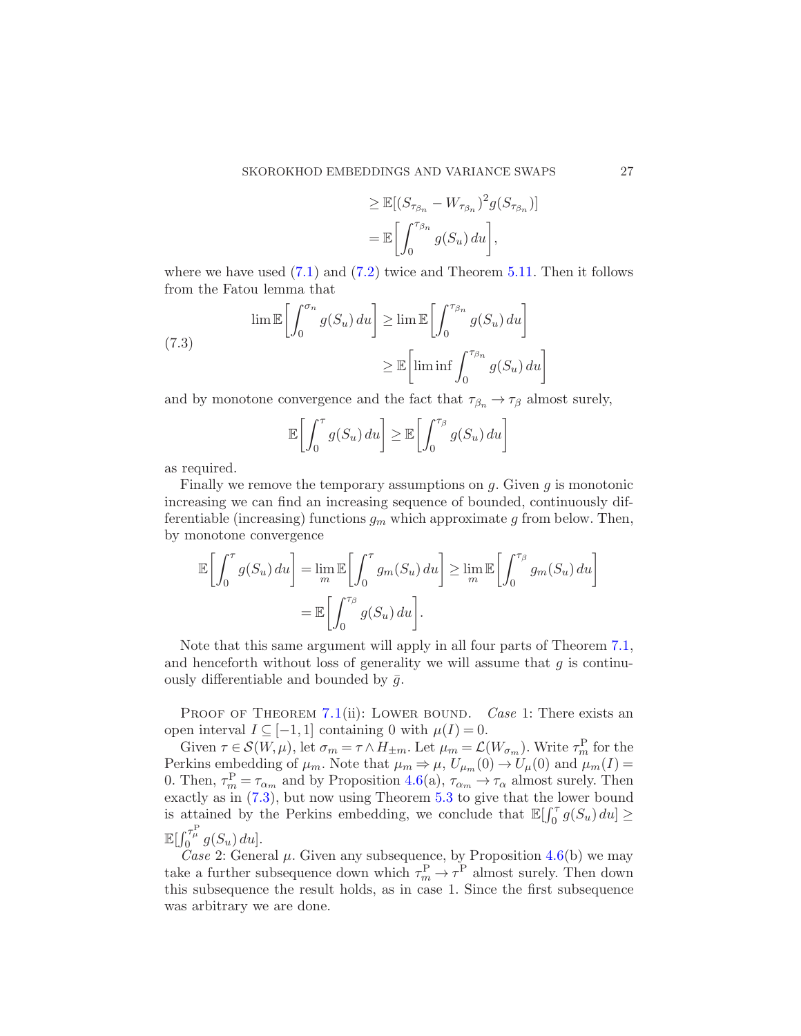$$
\geq \mathbb{E}[(S_{\tau_{\beta_n}} - W_{\tau_{\beta_n}})^2 g(S_{\tau_{\beta_n}})]
$$
  
= 
$$
\mathbb{E}\bigg[\int_0^{\tau_{\beta_n}} g(S_u) du\bigg],
$$

where we have used  $(7.1)$  and  $(7.2)$  twice and Theorem [5.11.](#page-19-1) Then it follows from the Fatou lemma that

<span id="page-26-0"></span>(7.3) 
$$
\lim \mathbb{E} \left[ \int_0^{\sigma_n} g(S_u) du \right] \ge \lim \mathbb{E} \left[ \int_0^{\tau_{\beta_n}} g(S_u) du \right]
$$

$$
\ge \mathbb{E} \left[ \liminf \int_0^{\tau_{\beta_n}} g(S_u) du \right]
$$

and by monotone convergence and the fact that  $\tau_{\beta_n} \to \tau_\beta$  almost surely,

$$
\mathbb{E}\left[\int_0^{\tau} g(S_u) du\right] \geq \mathbb{E}\left[\int_0^{\tau_\beta} g(S_u) du\right]
$$

as required.

Finally we remove the temporary assumptions on  $g$ . Given  $g$  is monotonic increasing we can find an increasing sequence of bounded, continuously differentiable (increasing) functions  $g_m$  which approximate g from below. Then, by monotone convergence

$$
\mathbb{E}\left[\int_0^{\tau} g(S_u) du\right] = \lim_{m} \mathbb{E}\left[\int_0^{\tau} g_m(S_u) du\right] \ge \lim_{m} \mathbb{E}\left[\int_0^{\tau_{\beta}} g_m(S_u) du\right]
$$

$$
= \mathbb{E}\left[\int_0^{\tau_{\beta}} g(S_u) du\right].
$$

Note that this same argument will apply in all four parts of Theorem [7.1,](#page-23-0) and henceforth without loss of generality we will assume that  $g$  is continuously differentiable and bounded by  $\bar{q}$ .

PROOF OF THEOREM [7.1](#page-23-0)(ii): LOWER BOUND. Case 1: There exists an open interval  $I \subseteq [-1,1]$  containing 0 with  $\mu(I) = 0$ .

Given  $\tau \in \mathcal{S}(W,\mu)$ , let  $\sigma_m = \tau \wedge H_{\pm m}$ . Let  $\mu_m = \mathcal{L}(W_{\sigma_m})$ . Write  $\tau_m^{\text{P}}$  for the Perkins embedding of  $\mu_m$ . Note that  $\mu_m \Rightarrow \mu$ ,  $U_{\mu_m}(0) \rightarrow U_{\mu}(0)$  and  $\mu_m(I) =$ 0. Then,  $\tau_m^{\text{P}} = \tau_{\alpha_m}$  and by Proposition [4.6\(](#page-11-2)a),  $\tau_{\alpha_m} \to \tau_{\alpha}$  almost surely. Then exactly as in [\(7.3\)](#page-26-0), but now using Theorem [5.3](#page-16-0) to give that the lower bound is attained by the Perkins embedding, we conclude that  $\mathbb{E}[\int_0^{\tau} g(S_u) du] \geq$  $\mathbb{E}[\int_0^{\tau_\mu^{\mathrm{P}}} g(S_u) du].$ 

Case 2: General  $\mu$ . Given any subsequence, by Proposition [4.6\(](#page-11-2)b) we may take a further subsequence down which  $\tau_m^{\text{P}} \to \tau^{\text{P}}$  almost surely. Then down this subsequence the result holds, as in case 1. Since the first subsequence was arbitrary we are done.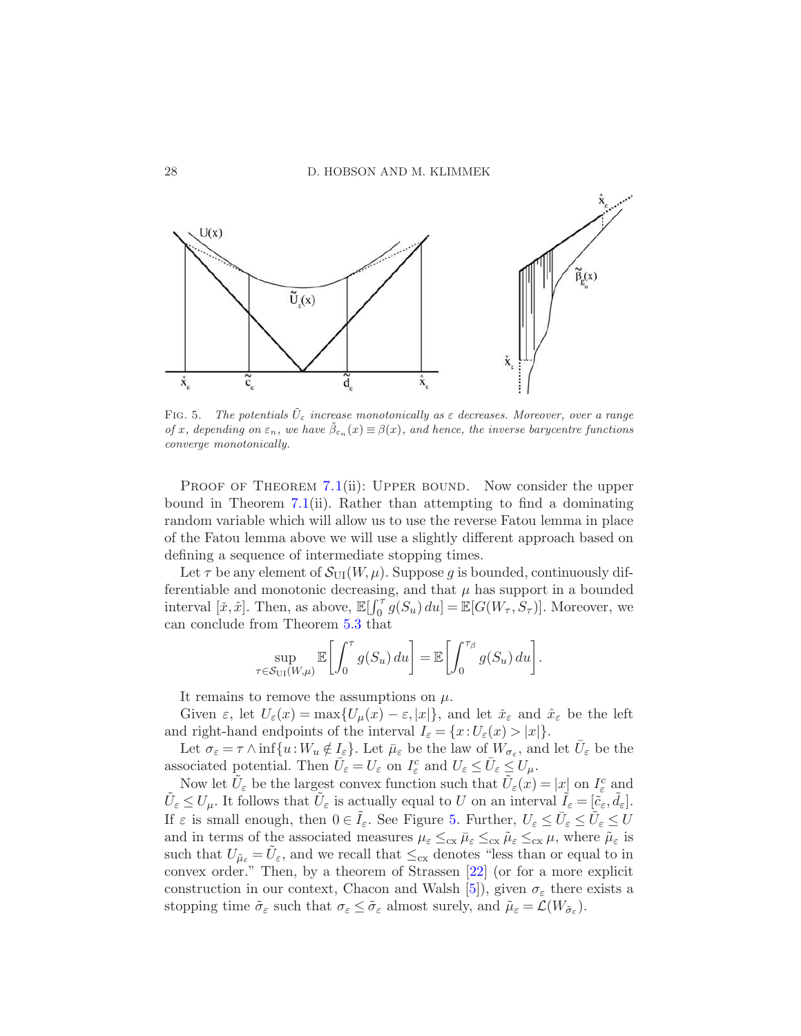

<span id="page-27-0"></span>FIG. 5. *The potentials*  $\tilde{U}_{\varepsilon}$  *increase monotonically as*  $\varepsilon$  *decreases. Moreover, over a range of* x, depending on  $\varepsilon_n$ , we have  $\bar{\beta}_{\varepsilon_n}(x) \equiv \beta(x)$ , and hence, the inverse barycentre functions *converge monotonically.*

PROOF OF THEOREM [7.1](#page-23-0)(ii): UPPER BOUND. Now consider the upper bound in Theorem [7.1\(](#page-23-0)ii). Rather than attempting to find a dominating random variable which will allow us to use the reverse Fatou lemma in place of the Fatou lemma above we will use a slightly different approach based on defining a sequence of intermediate stopping times.

Let  $\tau$  be any element of  $\mathcal{S}_{\text{UI}}(W,\mu)$ . Suppose g is bounded, continuously differentiable and monotonic decreasing, and that  $\mu$  has support in a bounded interval  $[\tilde{x}, \hat{x}]$ . Then, as above,  $\mathbb{E}[\int_0^{\tau} g(S_u) du] = \mathbb{E}[G(W_{\tau}, S_{\tau})]$ . Moreover, we can conclude from Theorem [5.3](#page-16-0) that

$$
\sup_{\tau \in \mathcal{S}_{\text{UI}}(W,\mu)} \mathbb{E}\bigg[\int_0^{\tau} g(S_u) \, du\bigg] = \mathbb{E}\bigg[\int_0^{\tau_{\beta}} g(S_u) \, du\bigg].
$$

It remains to remove the assumptions on  $\mu$ .

Given  $\varepsilon$ , let  $U_{\varepsilon}(x) = \max\{U_{\mu}(x) - \varepsilon, |x|\}$ , and let  $\check{x}_{\varepsilon}$  and  $\hat{x}_{\varepsilon}$  be the left and right-hand endpoints of the interval  $I_{\varepsilon} = \{x : U_{\varepsilon}(x) > |x|\}.$ 

Let  $\sigma_{\varepsilon} = \tau \wedge \inf \{ u : W_u \notin I_{\varepsilon} \}$ . Let  $\bar{\mu}_{\varepsilon}$  be the law of  $W_{\sigma_{\varepsilon}}$ , and let  $\bar{U}_{\varepsilon}$  be the associated potential. Then  $\bar{U}_{\varepsilon} = U_{\varepsilon}$  on  $I_{\varepsilon}^c$  and  $U_{\varepsilon} \leq \bar{U}_{\varepsilon} \leq U_{\mu}$ .

Now let  $\tilde{U}_{\varepsilon}$  be the largest convex function such that  $\tilde{U}_{\varepsilon}(x) = |x|$  on  $I_{\varepsilon}^{c}$  and  $\tilde{U}_{\varepsilon} \leq U_{\mu}$ . It follows that  $\tilde{U}_{\varepsilon}$  is actually equal to U on an interval  $\tilde{I}_{\varepsilon} = [\tilde{c}_{\varepsilon}, \tilde{d}_{\varepsilon}].$ If  $\varepsilon$  is small enough, then  $0 \in \tilde{I}_{\varepsilon}$ . See Figure [5.](#page-27-0) Further,  $U_{\varepsilon} \le \bar{U}_{\varepsilon} \le \tilde{U}_{\varepsilon} \le U$ and in terms of the associated measures  $\mu_{\varepsilon} \leq_{\text{cx}} \bar{\mu}_{\varepsilon} \leq_{\text{cx}} \mu$ , where  $\tilde{\mu}_{\varepsilon}$  is such that  $U_{\tilde{\mu}_{\varepsilon}} = \tilde{U}_{\varepsilon}$ , and we recall that  $\leq_{\text{cx}}$  denotes "less than or equal to in convex order." Then, by a theorem of Strassen [\[22\]](#page-33-1) (or for a more explicit construction in our context, Chacon and Walsh [\[5](#page-32-18)]), given  $\sigma_{\varepsilon}$  there exists a stopping time  $\tilde{\sigma}_{\varepsilon}$  such that  $\sigma_{\varepsilon} \leq \tilde{\sigma}_{\varepsilon}$  almost surely, and  $\tilde{\mu}_{\varepsilon} = \mathcal{L}(W_{\tilde{\sigma}_{\varepsilon}})$ .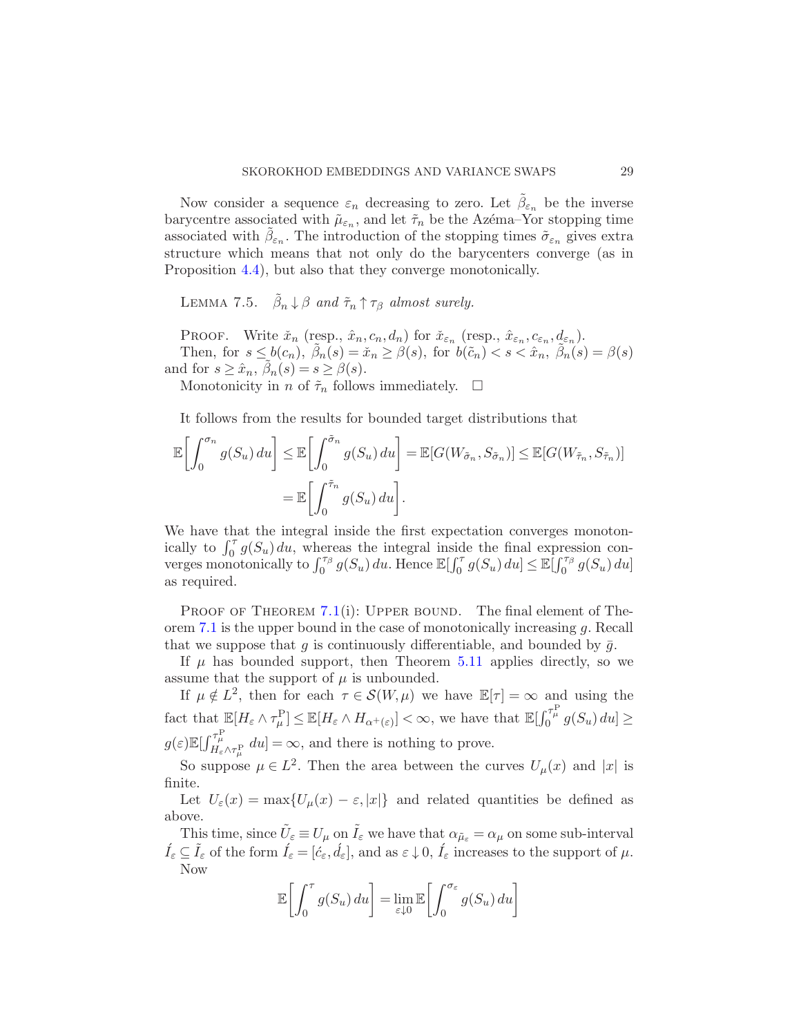Now consider a sequence  $\varepsilon_n$  decreasing to zero. Let  $\tilde{\beta}_{\varepsilon_n}$  be the inverse barycentre associated with  $\tilde{\mu}_{\varepsilon_n}$ , and let  $\tilde{\tau}_n$  be the Azéma–Yor stopping time associated with  $\tilde{\beta}_{\varepsilon_n}$ . The introduction of the stopping times  $\tilde{\sigma}_{\varepsilon_n}$  gives extra structure which means that not only do the barycenters converge (as in Proposition [4.4\)](#page-11-1), but also that they converge monotonically.

LEMMA 7.5.  $\tilde{\beta}_n \downarrow \beta$  and  $\tilde{\tau}_n \uparrow \tau_\beta$  almost surely.

PROOF. Write  $\check{x}_n$  (resp.,  $\hat{x}_n, c_n, d_n$ ) for  $\check{x}_{\varepsilon_n}$  (resp.,  $\hat{x}_{\varepsilon_n}, c_{\varepsilon_n}, d_{\varepsilon_n}$ ). Then, for  $s \leq b(c_n)$ ,  $\tilde{\beta}_n(s) = \tilde{x}_n \geq \beta(s)$ , for  $b(\tilde{c}_n) < s < \hat{x}_n$ ,  $\tilde{\beta}_n(s) = \beta(s)$ and for  $s \geq \hat{x}_n$ ,  $\tilde{\beta}_n(s) = s \geq \beta(s)$ .

Monotonicity in n of  $\tilde{\tau}_n$  follows immediately.  $\Box$ 

It follows from the results for bounded target distributions that

$$
\mathbb{E}\left[\int_0^{\sigma_n} g(S_u) du\right] \leq \mathbb{E}\left[\int_0^{\tilde{\sigma}_n} g(S_u) du\right] = \mathbb{E}[G(W_{\tilde{\sigma}_n}, S_{\tilde{\sigma}_n})] \leq \mathbb{E}[G(W_{\tilde{\tau}_n}, S_{\tilde{\tau}_n})]
$$

$$
= \mathbb{E}\left[\int_0^{\tilde{\tau}_n} g(S_u) du\right].
$$

We have that the integral inside the first expectation converges monotonically to  $\int_0^{\tau} g(S_u) du$ , whereas the integral inside the final expression converges monotonically to  $\int_0^{\tau_\beta} g(S_u) du$ . Hence  $\mathbb{E}[\int_0^{\tau} g(S_u) du] \leq \mathbb{E}[\int_0^{\tau_\beta} g(S_u) du]$ as required.

PROOF OF THEOREM [7.1](#page-23-0)(i): UPPER BOUND. The final element of Theorem [7.1](#page-23-0) is the upper bound in the case of monotonically increasing g. Recall that we suppose that q is continuously differentiable, and bounded by  $\bar{q}$ .

If  $\mu$  has bounded support, then Theorem [5.11](#page-19-1) applies directly, so we assume that the support of  $\mu$  is unbounded.

If  $\mu \notin L^2$ , then for each  $\tau \in \mathcal{S}(W,\mu)$  we have  $\mathbb{E}[\tau] = \infty$  and using the fact that  $\mathbb{E}[H_{\varepsilon} \wedge \tau_{\mu}^{\mathcal{P}}] \leq \mathbb{E}[H_{\varepsilon} \wedge H_{\alpha^+(\varepsilon)}] < \infty$ , we have that  $\mathbb{E}[\int_0^{\tau_{\mu}^{\mathcal{P}}} g(S_u) du] \geq$  $g(\varepsilon) \mathbb{E}[\int_{H_{\varepsilon} \wedge \tau_{\mu}^{\mathbf{P}}}^{\tau_{\mu}^{\mathbf{P}}} du] = \infty$ , and there is nothing to prove.

So suppose  $\mu \in L^2$ . Then the area between the curves  $U_{\mu}(x)$  and  $|x|$  is finite.

Let  $U_{\varepsilon}(x) = \max\{U_{\mu}(x) - \varepsilon, |x|\}\$  and related quantities be defined as above.

This time, since  $\tilde{U}_{\varepsilon} \equiv U_{\mu}$  on  $\tilde{I}_{\varepsilon}$  we have that  $\alpha_{\tilde{\mu}_{\varepsilon}} = \alpha_{\mu}$  on some sub-interval  $\hat{I}_{\varepsilon} \subseteq \tilde{I}_{\varepsilon}$  of the form  $\hat{I}_{\varepsilon} = [\hat{c}_{\varepsilon}, \hat{d}_{\varepsilon}],$  and as  $\varepsilon \downarrow 0, \hat{I}_{\varepsilon}$  increases to the support of  $\mu$ . Now

$$
\mathbb{E}\left[\int_0^{\tau} g(S_u) du\right] = \lim_{\varepsilon \downarrow 0} \mathbb{E}\left[\int_0^{\sigma_{\varepsilon}} g(S_u) du\right]
$$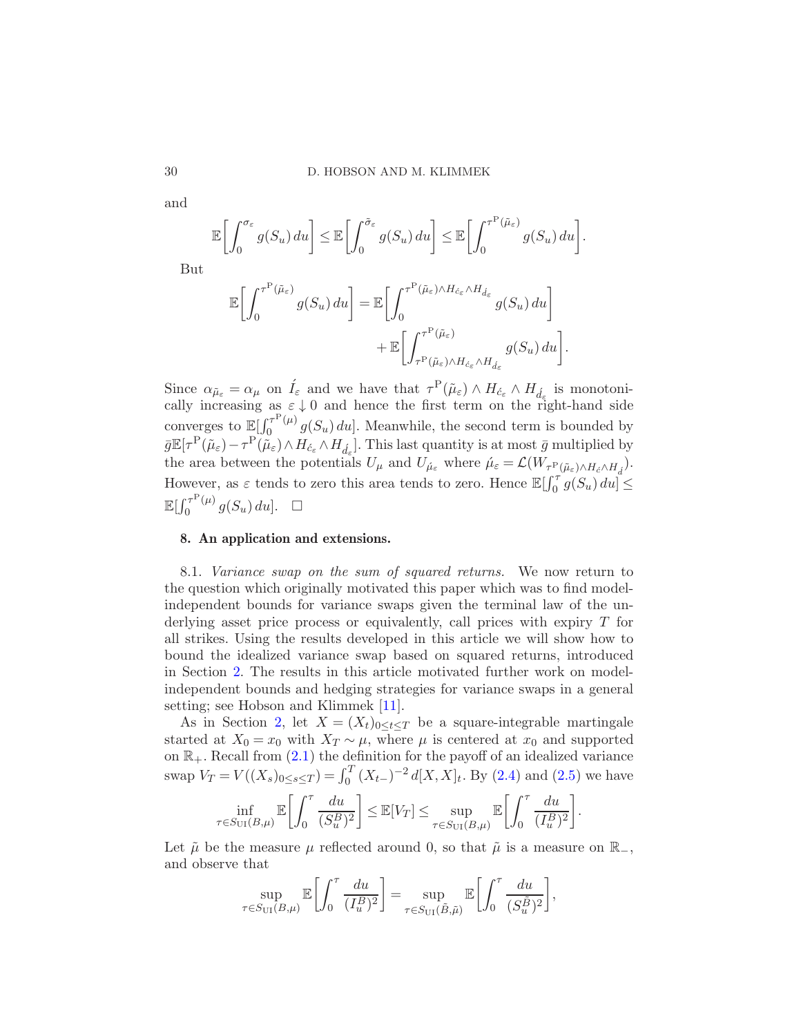$$
\mathbb{E}\bigg[\int_0^{\sigma_{\varepsilon}} g(S_u) du\bigg] \leq \mathbb{E}\bigg[\int_0^{\tilde{\sigma}_{\varepsilon}} g(S_u) du\bigg] \leq \mathbb{E}\bigg[\int_0^{\tau^{\mathcal{P}}(\tilde{\mu}_{\varepsilon})} g(S_u) du\bigg].
$$

But

$$
\mathbb{E}\left[\int_0^{\tau^{\mathcal{P}}(\tilde{\mu}_{\varepsilon})} g(S_u) du\right] = \mathbb{E}\left[\int_0^{\tau^{\mathcal{P}}(\tilde{\mu}_{\varepsilon}) \wedge H_{\varepsilon_{\varepsilon}} \wedge H_{\varepsilon_{\varepsilon}}} g(S_u) du\right] + \mathbb{E}\left[\int_{\tau^{\mathcal{P}}(\tilde{\mu}_{\varepsilon}) \wedge H_{\varepsilon_{\varepsilon}} \wedge H_{\varepsilon_{\varepsilon}}} g(S_u) du\right].
$$

Since  $\alpha_{\tilde{\mu}_{\varepsilon}} = \alpha_{\mu}$  on  $\tilde{I}_{\varepsilon}$  and we have that  $\tau^{\mathcal{P}}(\tilde{\mu}_{\varepsilon}) \wedge H_{\acute{c}_{\varepsilon}} \wedge H_{\acute{d}_{\varepsilon}}$  is monotonically increasing as  $\varepsilon \downarrow 0$  and hence the first term on the right-hand side converges to  $\mathbb{E}[\int_0^{\tau^{\mathrm{P}}(\mu)}$  $\int_0^{\tau^2(\mu)} g(S_u) du$ . Meanwhile, the second term is bounded by  $\bar{g}\mathbb{E}[\tau^{\mathcal{P}}(\tilde{\mu}_{\varepsilon})-\tau^{\mathcal{P}}(\tilde{\mu}_{\varepsilon})\wedge H_{\varepsilon_{\varepsilon}}\wedge H_{\varepsilon_{\varepsilon}}].$  This last quantity is at most  $\bar{g}$  multiplied by the area between the potentials  $U_{\mu}$  and  $U_{\mu_{\varepsilon}}$  where  $\hat{\mu}_{\varepsilon} = \mathcal{L}(W_{\tau_{\varepsilon}} |_{\hat{\mu}_{\varepsilon}) \wedge H_{\varepsilon} \wedge H_{\varepsilon}})$ . However, as  $\varepsilon$  tends to zero this area tends to zero. Hence  $\mathbb{E}[\int_0^{\tau} g(S_u) du] \leq$  $\mathbb{E}[\int_{0}^{\tau^{\text{P}}(\mu)}$  $\int_0^{\tau^P(\mu)} g(S_u) du$ .  $\Box$ 

## 8. An application and extensions.

<span id="page-29-0"></span>8.1. Variance swap on the sum of squared returns. We now return to the question which originally motivated this paper which was to find modelindependent bounds for variance swaps given the terminal law of the underlying asset price process or equivalently, call prices with expiry T for all strikes. Using the results developed in this article we will show how to bound the idealized variance swap based on squared returns, introduced in Section [2.](#page-2-0) The results in this article motivated further work on modelindependent bounds and hedging strategies for variance swaps in a general setting; see Hobson and Klimmek [\[11](#page-32-8)].

As in Section [2,](#page-2-0) let  $X = (X_t)_{0 \le t \le T}$  be a square-integrable martingale started at  $X_0 = x_0$  with  $X_T \sim \mu$ , where  $\mu$  is centered at  $x_0$  and supported on  $\mathbb{R}_+$ . Recall from  $(2.1)$  the definition for the payoff of an idealized variance swap  $V_T = V((X_s)_{0 \le s \le T}) = \int_0^T (X_{t-})^{-2} d[X, X]_t$ . By [\(2.4\)](#page-3-1) and [\(2.5\)](#page-3-2) we have

$$
\inf_{\tau \in S_{\text{UI}}(B,\mu)} \mathbb{E}\bigg[\int_0^{\tau} \frac{du}{(S_u^B)^2}\bigg] \leq \mathbb{E}[V_T] \leq \sup_{\tau \in S_{\text{UI}}(B,\mu)} \mathbb{E}\bigg[\int_0^{\tau} \frac{du}{(I_u^B)^2}\bigg].
$$

Let  $\tilde{\mu}$  be the measure  $\mu$  reflected around 0, so that  $\tilde{\mu}$  is a measure on  $\mathbb{R}_-,$ and observe that

$$
\sup_{\tau \in S_{\text{UI}}(B,\mu)} \mathbb{E}\bigg[\int_0^{\tau} \frac{du}{(I_u^B)^2}\bigg] = \sup_{\tau \in S_{\text{UI}}(\tilde{B},\tilde{\mu})} \mathbb{E}\bigg[\int_0^{\tau} \frac{du}{(S_u^{\tilde{B}})^2}\bigg],
$$

and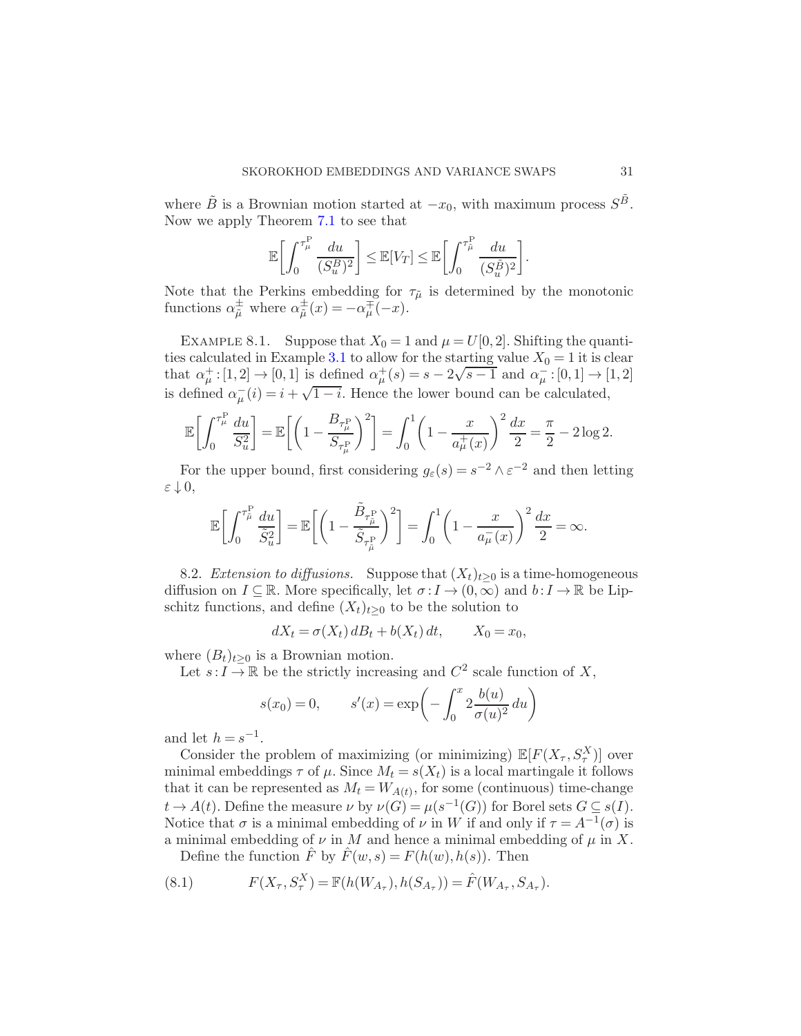where  $\tilde{B}$  is a Brownian motion started at  $-x_0$ , with maximum process  $S^{\tilde{B}}$ . Now we apply Theorem [7.1](#page-23-0) to see that

$$
\mathbb{E}\bigg[\int_0^{\tau_\mu^{\mathcal{P}}} \frac{du}{(S_u^B)^2}\bigg] \leq \mathbb{E}[V_T] \leq \mathbb{E}\bigg[\int_0^{\tau_\mu^{\mathcal{P}}} \frac{du}{(S_u^{\tilde{B}})^2}\bigg].
$$

Note that the Perkins embedding for  $\tau_{\tilde{\mu}}$  is determined by the monotonic functions  $\alpha_{\tilde{\mu}}^{\pm}$  where  $\alpha_{\tilde{\mu}}^{\pm}(x) = -\alpha_{\mu}^{\mp}(-x)$ .

EXAMPLE 8.1. Suppose that  $X_0 = 1$  and  $\mu = U[0, 2]$ . Shifting the quanti-ties calculated in Example [3.1](#page-6-4) to allow for the starting value  $X_0 = 1$  it is clear that  $\alpha^{\pm}_{\mu}:[1,2]\rightarrow[0,1]$  is defined  $\alpha^{\pm}_{\mu}(s)=s-2\sqrt{s-1}$  and  $\alpha^{-}_{\mu}:[0,1]\rightarrow[1,2]$ is defined  $\alpha_{\mu}^{-}(i) = i + \sqrt{1-i}$ . Hence the lower bound can be calculated,

$$
\mathbb{E}\bigg[\int_0^{\tau_\mu^{\rm P}} \frac{du}{S_u^2}\bigg] = \mathbb{E}\bigg[\bigg(1 - \frac{B_{\tau_\mu^{\rm P}}}{S_{\tau_\mu^{\rm P}}}\bigg)^2\bigg] = \int_0^1 \bigg(1 - \frac{x}{a_\mu^+(x)}\bigg)^2 \frac{dx}{2} = \frac{\pi}{2} - 2\log 2.
$$

For the upper bound, first considering  $g_{\varepsilon}(s) = s^{-2} \wedge \varepsilon^{-2}$  and then letting  $\varepsilon \downarrow 0,$ 

$$
\mathbb{E}\bigg[\int_0^{\tau_\mu^{\rm P}}\frac{du}{\tilde{S}_u^2}\bigg] = \mathbb{E}\bigg[\bigg(1-\frac{\tilde{B}_{\tau_\mu^{\rm P}}}{\tilde{S}_{\tau_\mu^{\rm P}}}\bigg)^2\bigg] = \int_0^1\bigg(1-\frac{x}{a_\mu^-(x)}\bigg)^2\,\frac{dx}{2} = \infty.
$$

8.2. Extension to diffusions. Suppose that  $(X_t)_{t>0}$  is a time-homogeneous diffusion on  $I \subseteq \mathbb{R}$ . More specifically, let  $\sigma: I \to (0,\infty)$  and  $b: I \to \mathbb{R}$  be Lipschitz functions, and define  $(X_t)_{t\geq 0}$  to be the solution to

$$
dX_t = \sigma(X_t) dB_t + b(X_t) dt, \qquad X_0 = x_0,
$$

where  $(B_t)_{t>0}$  is a Brownian motion.

Let  $s: I \to \mathbb{R}$  be the strictly increasing and  $C^2$  scale function of X,

$$
s(x_0) = 0,
$$
  $s'(x) = \exp\left(-\int_0^x 2 \frac{b(u)}{\sigma(u)^2} du\right)$ 

and let  $h = s^{-1}$ .

Consider the problem of maximizing (or minimizing)  $\mathbb{E}[F(X_{\tau},S_{\tau}^X)]$  over minimal embeddings  $\tau$  of  $\mu$ . Since  $M_t = s(X_t)$  is a local martingale it follows that it can be represented as  $M_t = W_{A(t)}$ , for some (continuous) time-change  $t \to A(t)$ . Define the measure  $\nu$  by  $\nu(G) = \mu(s^{-1}(G))$  for Borel sets  $G \subseteq s(I)$ . Notice that  $\sigma$  is a minimal embedding of  $\nu$  in W if and only if  $\tau = A^{-1}(\sigma)$  is a minimal embedding of  $\nu$  in M and hence a minimal embedding of  $\mu$  in X.

Define the function  $\hat{F}$  by  $\hat{F}(w,s) = F(h(w), h(s))$ . Then

(8.1) 
$$
F(X_{\tau}, S_{\tau}^{X}) = \mathbb{F}(h(W_{A_{\tau}}), h(S_{A_{\tau}})) = \hat{F}(W_{A_{\tau}}, S_{A_{\tau}}).
$$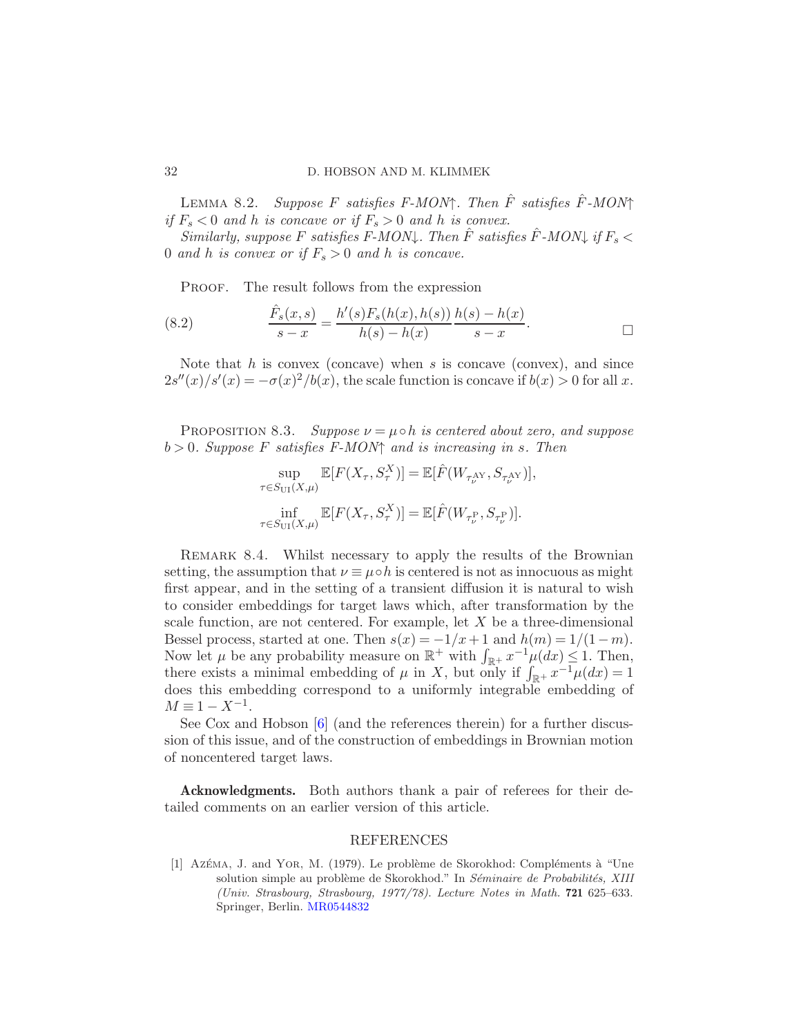### 32 D. HOBSON AND M. KLIMMEK

LEMMA 8.2. Suppose F satisfies F-MON↑. Then  $\hat{F}$  satisfies  $\hat{F}$ -MON↑ if  $F_s < 0$  and h is concave or if  $F_s > 0$  and h is convex.

Similarly, suppose F satisfies F-MON $\downarrow$ . Then  $\hat{F}$  satisfies  $\hat{F}$ -MON $\downarrow$  if  $F_s$ 0 and h is convex or if  $F_s > 0$  and h is concave.

PROOF. The result follows from the expression

(8.2) 
$$
\frac{\hat{F}_s(x,s)}{s-x} = \frac{h'(s)F_s(h(x),h(s))}{h(s)-h(x)} \frac{h(s)-h(x)}{s-x}.
$$

Note that  $h$  is convex (concave) when  $s$  is concave (convex), and since  $2s''(x)/s'(x) = -\sigma(x)^2/b(x)$ , the scale function is concave if  $b(x) > 0$  for all x.

PROPOSITION 8.3. Suppose  $\nu = \mu \circ h$  is centered about zero, and suppose  $b > 0$ . Suppose F satisfies F-MON $\uparrow$  and is increasing in s. Then

$$
\sup_{\tau \in S_{\text{UI}}(X,\mu)} \mathbb{E}[F(X_{\tau},S_{\tau}^X)] = \mathbb{E}[\hat{F}(W_{\tau_{\nu}^{\text{AY}}},S_{\tau_{\nu}^{\text{AY}}})],
$$
  

$$
\inf_{\tau \in S_{\text{UI}}(X,\mu)} \mathbb{E}[F(X_{\tau},S_{\tau}^X)] = \mathbb{E}[\hat{F}(W_{\tau_{\nu}^{\text{P}}},S_{\tau_{\nu}^{\text{P}}})].
$$

REMARK 8.4. Whilst necessary to apply the results of the Brownian setting, the assumption that  $\nu \equiv \mu \circ h$  is centered is not as innocuous as might first appear, and in the setting of a transient diffusion it is natural to wish to consider embeddings for target laws which, after transformation by the scale function, are not centered. For example, let  $X$  be a three-dimensional Bessel process, started at one. Then  $s(x) = -1/x + 1$  and  $h(m) = 1/(1-m)$ . Now let  $\mu$  be any probability measure on  $\mathbb{R}^+$  with  $\int_{\mathbb{R}^+} x^{-1} \mu(dx) \leq 1$ . Then, there exists a minimal embedding of  $\mu$  in X, but only if  $\int_{\mathbb{R}^+} x^{-1} \mu(dx) = 1$ does this embedding correspond to a uniformly integrable embedding of  $M \equiv 1 - X^{-1}.$ 

See Cox and Hobson [\[6](#page-32-19)] (and the references therein) for a further discussion of this issue, and of the construction of embeddings in Brownian motion of noncentered target laws.

Acknowledgments. Both authors thank a pair of referees for their detailed comments on an earlier version of this article.

## REFERENCES

<span id="page-31-0"></span>[1] Azéma, J. and Yor, M. (1979). Le problème de Skorokhod: Compléments à "Une solution simple au problème de Skorokhod." In *Séminaire de Probabilités, XIII (Univ. Strasbourg, Strasbourg, 1977/78)*. *Lecture Notes in Math.* 721 625–633. Springer, Berlin. [MR0544832](http://www.ams.org/mathscinet-getitem?mr=0544832)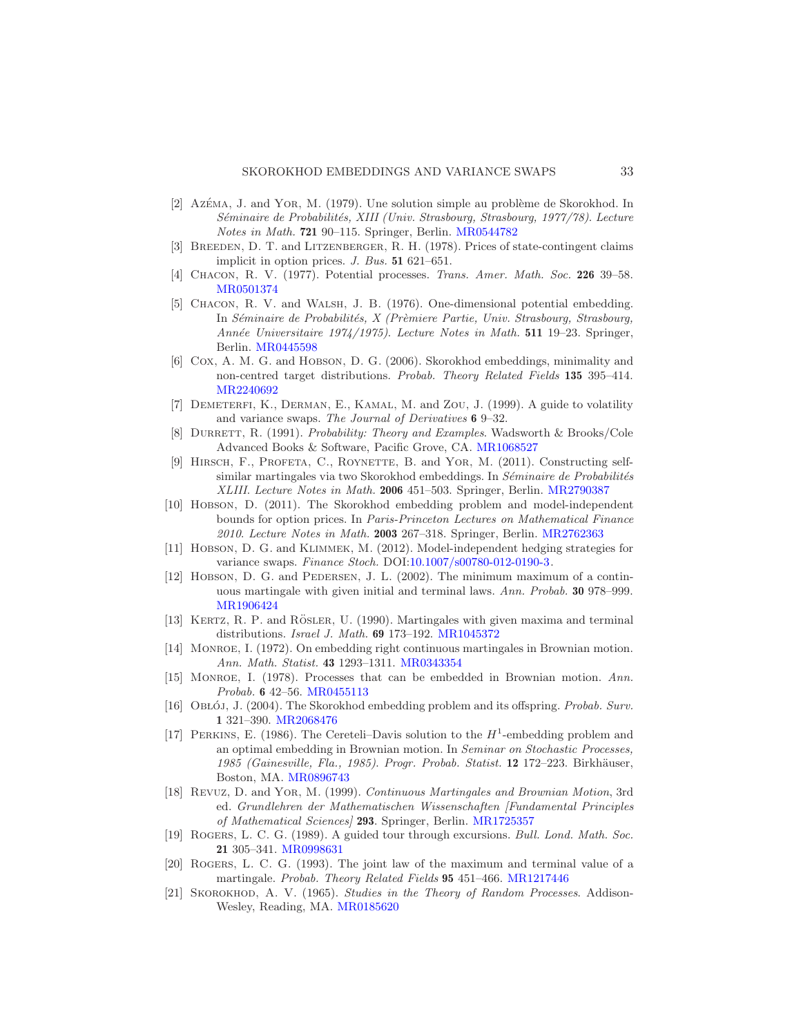- <span id="page-32-4"></span> $[2]$  Az $\acute{E}$ ma, J. and Yor, M. (1979). Une solution simple au problème de Skorokhod. In *S´eminaire de Probabilit´es, XIII (Univ. Strasbourg, Strasbourg, 1977/78)*. *Lecture Notes in Math.* 721 90–115. Springer, Berlin. [MR0544782](http://www.ams.org/mathscinet-getitem?mr=0544782)
- <span id="page-32-10"></span>[3] Breeden, D. T. and Litzenberger, R. H. (1978). Prices of state-contingent claims implicit in option prices. *J. Bus.* 51 621–651.
- <span id="page-32-13"></span>[4] Chacon, R. V. (1977). Potential processes. *Trans. Amer. Math. Soc.* 226 39–58. [MR0501374](http://www.ams.org/mathscinet-getitem?mr=0501374)
- <span id="page-32-18"></span>[5] Chacon, R. V. and Walsh, J. B. (1976). One-dimensional potential embedding. In *Séminaire de Probabilités, X (Prèmiere Partie, Univ. Strasbourg, Strasbourg, Ann´ee Universitaire 1974/1975)*. *Lecture Notes in Math.* 511 19–23. Springer, Berlin. [MR0445598](http://www.ams.org/mathscinet-getitem?mr=0445598)
- <span id="page-32-19"></span>[6] Cox, A. M. G. and Hobson, D. G. (2006). Skorokhod embeddings, minimality and non-centred target distributions. *Probab. Theory Related Fields* 135 395–414. [MR2240692](http://www.ams.org/mathscinet-getitem?mr=2240692)
- <span id="page-32-11"></span>[7] Demeterfi, K., Derman, E., Kamal, M. and Zou, J. (1999). A guide to volatility and variance swaps. *The Journal of Derivatives* 6 9–32.
- <span id="page-32-17"></span>[8] Durrett, R. (1991). *Probability: Theory and Examples*. Wadsworth & Brooks/Cole Advanced Books & Software, Pacific Grove, CA. [MR1068527](http://www.ams.org/mathscinet-getitem?mr=1068527)
- <span id="page-32-2"></span>[9] Hirsch, F., Profeta, C., Roynette, B. and Yor, M. (2011). Constructing selfsimilar martingales via two Skorokhod embeddings. In *Séminaire de Probabilités XLIII*. *Lecture Notes in Math.* 2006 451–503. Springer, Berlin. [MR2790387](http://www.ams.org/mathscinet-getitem?mr=2790387)
- <span id="page-32-3"></span>[10] Hobson, D. (2011). The Skorokhod embedding problem and model-independent bounds for option prices. In *Paris-Princeton Lectures on Mathematical Finance 2010*. *Lecture Notes in Math.* 2003 267–318. Springer, Berlin. [MR2762363](http://www.ams.org/mathscinet-getitem?mr=2762363)
- <span id="page-32-8"></span>[11] Hobson, D. G. and Klimmek, M. (2012). Model-independent hedging strategies for variance swaps. *Finance Stoch.* DOI[:10.1007/s00780-012-0190-3.](http://dx.doi.org/10.1007/s00780-012-0190-3)
- <span id="page-32-15"></span>[12] HOBSON, D. G. and PEDERSEN, J. L. (2002). The minimum maximum of a continuous martingale with given initial and terminal laws. *Ann. Probab.* 30 978–999. [MR1906424](http://www.ams.org/mathscinet-getitem?mr=1906424)
- <span id="page-32-6"></span> $[13]$  KERTZ, R. P. and RÖSLER, U.  $(1990)$ . Martingales with given maxima and terminal distributions. *Israel J. Math.* 69 173–192. [MR1045372](http://www.ams.org/mathscinet-getitem?mr=1045372)
- <span id="page-32-12"></span>[14] Monroe, I. (1972). On embedding right continuous martingales in Brownian motion. *Ann. Math. Statist.* 43 1293–1311. [MR0343354](http://www.ams.org/mathscinet-getitem?mr=0343354)
- <span id="page-32-9"></span>[15] Monroe, I. (1978). Processes that can be embedded in Brownian motion. *Ann. Probab.* 6 42–56. [MR0455113](http://www.ams.org/mathscinet-getitem?mr=0455113)
- <span id="page-32-1"></span>[16] OBŁÓJ, J. (2004). The Skorokhod embedding problem and its offspring. *Probab. Surv.* 1 321–390. [MR2068476](http://www.ams.org/mathscinet-getitem?mr=2068476)
- <span id="page-32-5"></span>[17] PERKINS, E. (1986). The Cereteli-Davis solution to the  $H^1$ -embedding problem and an optimal embedding in Brownian motion. In *Seminar on Stochastic Processes,* 1985 (Gainesville, Fla., 1985). *Progr. Probab. Statist.* **12** 172–223. Birkhäuser, Boston, MA. [MR0896743](http://www.ams.org/mathscinet-getitem?mr=0896743)
- <span id="page-32-16"></span>[18] Revuz, D. and Yor, M. (1999). *Continuous Martingales and Brownian Motion*, 3rd ed. *Grundlehren der Mathematischen Wissenschaften [Fundamental Principles of Mathematical Sciences]* 293. Springer, Berlin. [MR1725357](http://www.ams.org/mathscinet-getitem?mr=1725357)
- <span id="page-32-14"></span>[19] Rogers, L. C. G. (1989). A guided tour through excursions. *Bull. Lond. Math. Soc.* 21 305–341. [MR0998631](http://www.ams.org/mathscinet-getitem?mr=0998631)
- <span id="page-32-7"></span>[20] Rogers, L. C. G. (1993). The joint law of the maximum and terminal value of a martingale. *Probab. Theory Related Fields* 95 451–466. [MR1217446](http://www.ams.org/mathscinet-getitem?mr=1217446)
- <span id="page-32-0"></span>[21] Skorokhod, A. V. (1965). *Studies in the Theory of Random Processes*. Addison-Wesley, Reading, MA. [MR0185620](http://www.ams.org/mathscinet-getitem?mr=0185620)